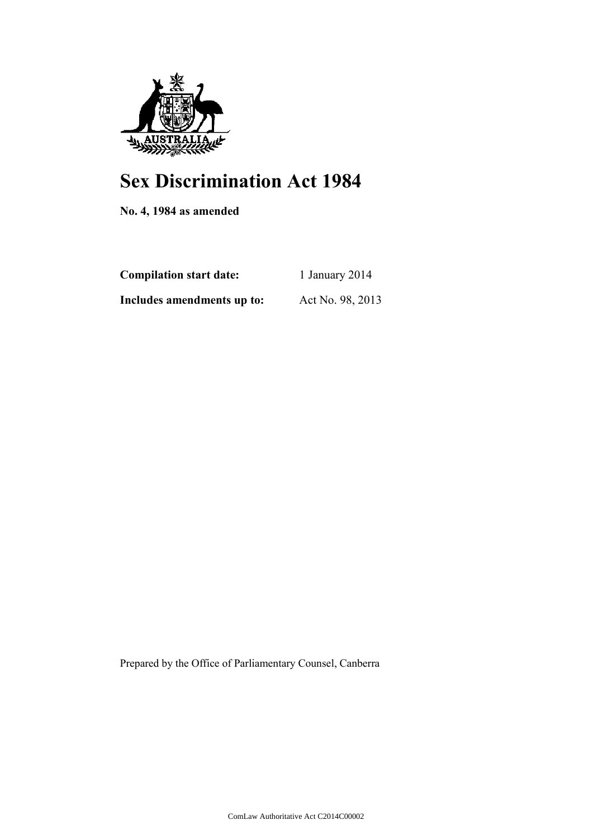

# **Sex Discrimination Act 1984**

**No. 4, 1984 as amended**

| <b>Compilation start date:</b> | 1 January 2014   |
|--------------------------------|------------------|
| Includes amendments up to:     | Act No. 98, 2013 |

Prepared by the Office of Parliamentary Counsel, Canberra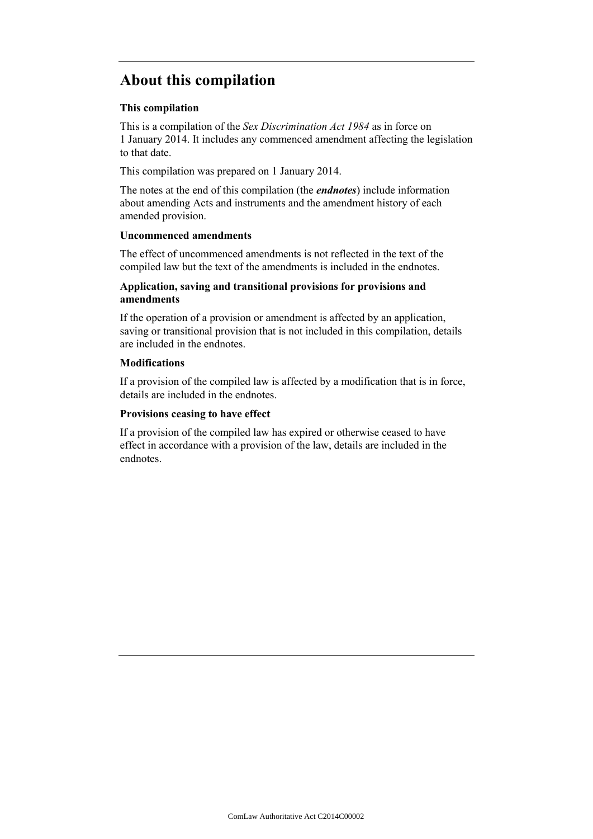# **About this compilation**

#### **This compilation**

This is a compilation of the *Sex Discrimination Act 1984* as in force on 1 January 2014. It includes any commenced amendment affecting the legislation to that date.

This compilation was prepared on 1 January 2014.

The notes at the end of this compilation (the *endnotes*) include information about amending Acts and instruments and the amendment history of each amended provision.

# **Uncommenced amendments**

The effect of uncommenced amendments is not reflected in the text of the compiled law but the text of the amendments is included in the endnotes.

### **Application, saving and transitional provisions for provisions and amendments**

If the operation of a provision or amendment is affected by an application, saving or transitional provision that is not included in this compilation, details are included in the endnotes.

# **Modifications**

If a provision of the compiled law is affected by a modification that is in force, details are included in the endnotes.

# **Provisions ceasing to have effect**

If a provision of the compiled law has expired or otherwise ceased to have effect in accordance with a provision of the law, details are included in the endnotes.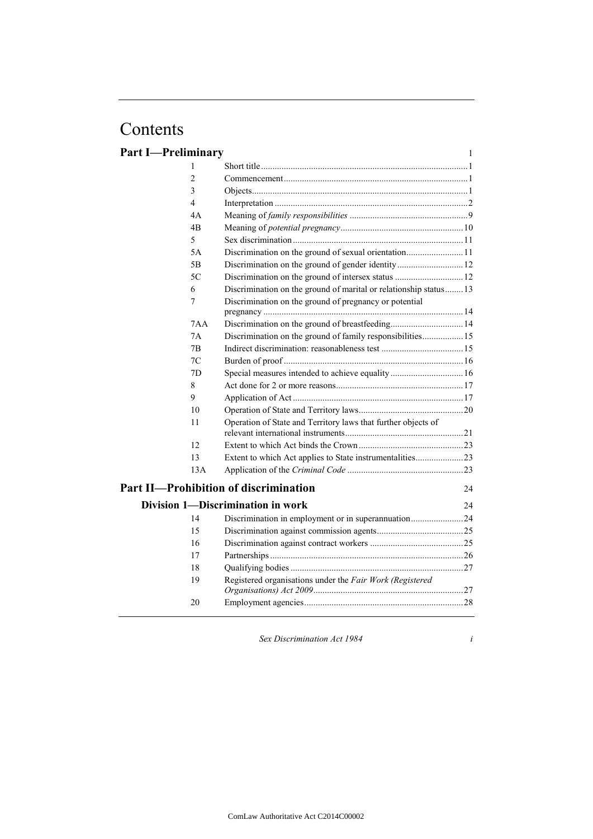# Contents

| <b>Part I-Preliminary</b> |                |                                                                  | 1  |
|---------------------------|----------------|------------------------------------------------------------------|----|
|                           | 1              |                                                                  |    |
|                           | $\overline{2}$ |                                                                  |    |
|                           | 3              |                                                                  |    |
|                           | 4              |                                                                  |    |
|                           | 4A             |                                                                  |    |
|                           | 4 <sub>B</sub> |                                                                  |    |
|                           | 5              |                                                                  |    |
|                           | 5A             |                                                                  |    |
|                           | 5B             |                                                                  |    |
|                           | 5C             |                                                                  |    |
|                           | 6              | Discrimination on the ground of marital or relationship status13 |    |
|                           | 7              | Discrimination on the ground of pregnancy or potential           |    |
|                           | 7AA            | Discrimination on the ground of breastfeeding 14                 |    |
|                           | 7A             |                                                                  |    |
|                           | 7B             |                                                                  |    |
|                           | 7C             |                                                                  |    |
|                           | 7D             | Special measures intended to achieve equality 16                 |    |
|                           | 8              |                                                                  |    |
|                           | 9              |                                                                  |    |
|                           | 10             |                                                                  |    |
|                           | 11             | Operation of State and Territory laws that further objects of    |    |
|                           | 12             |                                                                  |    |
|                           | 13             | Extent to which Act applies to State instrumentalities23         |    |
|                           | 13A            |                                                                  |    |
|                           |                | <b>Part II—Prohibition of discrimination</b>                     | 24 |
|                           |                | Division 1—Discrimination in work                                | 24 |
|                           | 14             | Discrimination in employment or in superannuation24              |    |
|                           | 15             |                                                                  |    |
|                           | 16             |                                                                  |    |
|                           | 17             |                                                                  |    |
|                           | 18             |                                                                  |    |
|                           | 19             | Registered organisations under the Fair Work (Registered         |    |
|                           | 20             |                                                                  |    |
|                           |                |                                                                  |    |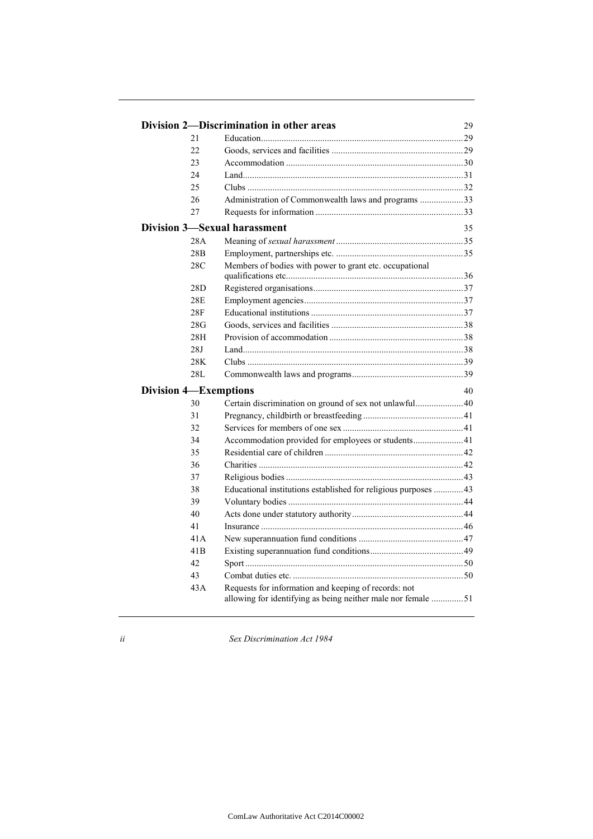|                 | Division 2-Discrimination in other areas                       | 29 |
|-----------------|----------------------------------------------------------------|----|
| 21              |                                                                |    |
| 22              |                                                                |    |
| 23              |                                                                |    |
| 24              |                                                                |    |
| 25              |                                                                |    |
| 26              | Administration of Commonwealth laws and programs 33            |    |
| 27              |                                                                |    |
|                 | <b>Division 3-Sexual harassment</b>                            | 35 |
| 28A             |                                                                |    |
| 28B             |                                                                |    |
| 28C             | Members of bodies with power to grant etc. occupational        |    |
|                 |                                                                |    |
| 28D             |                                                                |    |
| 28 <sub>E</sub> |                                                                |    |
| 28F             |                                                                |    |
| 28G             |                                                                |    |
| 28H             |                                                                |    |
| 28J             |                                                                |    |
| 28K             |                                                                |    |
| 28L             |                                                                |    |
|                 | <b>Division 4-Exemptions</b>                                   | 40 |
| 30              | Certain discrimination on ground of sex not unlawful40         |    |
| 31              |                                                                |    |
| 32              |                                                                |    |
| 34              | Accommodation provided for employees or students41             |    |
| 35              |                                                                |    |
| 36              |                                                                |    |
| 37              |                                                                |    |
| 38              | Educational institutions established for religious purposes 43 |    |
| 39              |                                                                |    |
| 40              |                                                                |    |
| 41              |                                                                |    |
| 41A             |                                                                |    |
| 41B             |                                                                |    |
| 42              |                                                                |    |
| 43              |                                                                |    |
| 43A             | Requests for information and keeping of records: not           |    |
|                 | allowing for identifying as being neither male nor female 51   |    |
|                 |                                                                |    |

*ii Sex Discrimination Act 1984*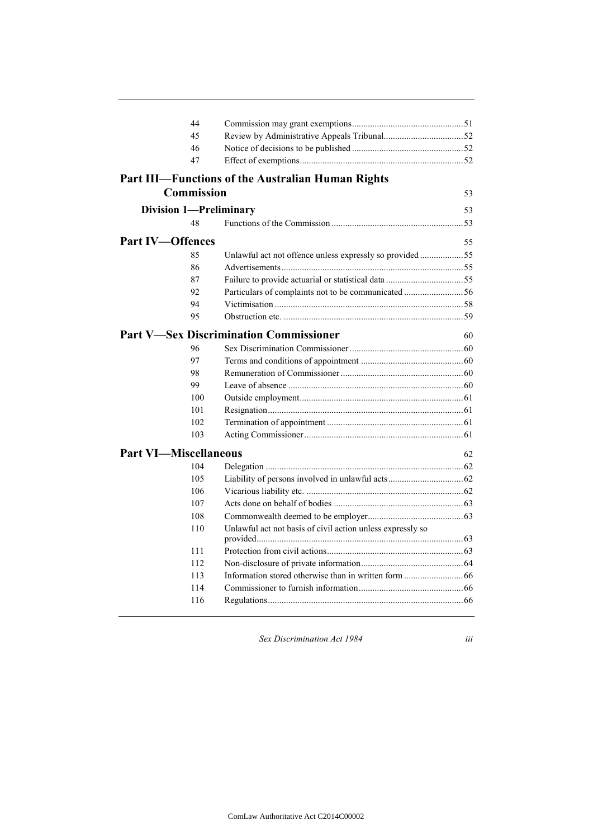|                               | 44                |                                                            |    |
|-------------------------------|-------------------|------------------------------------------------------------|----|
|                               | 45                |                                                            |    |
|                               | 46                |                                                            |    |
|                               | 47                |                                                            |    |
|                               |                   | <b>Part III—Functions of the Australian Human Rights</b>   |    |
|                               | <b>Commission</b> |                                                            | 53 |
| <b>Division 1-Preliminary</b> |                   |                                                            | 53 |
|                               | 48                |                                                            |    |
| <b>Part IV-Offences</b>       |                   |                                                            | 55 |
|                               | 85                | Unlawful act not offence unless expressly so provided 55   |    |
|                               | 86                |                                                            |    |
|                               | 87                |                                                            |    |
|                               | 92                | Particulars of complaints not to be communicated 56        |    |
|                               | 94                |                                                            |    |
|                               | 95                |                                                            |    |
|                               |                   | <b>Part V-Sex Discrimination Commissioner</b>              | 60 |
|                               | 96                |                                                            |    |
|                               | 97                |                                                            |    |
|                               | 98                |                                                            |    |
|                               | 99                |                                                            |    |
|                               | 100               |                                                            |    |
|                               | 101               |                                                            |    |
|                               | 102               |                                                            |    |
|                               | 103               |                                                            |    |
| <b>Part VI-Miscellaneous</b>  |                   |                                                            | 62 |
|                               | 104               |                                                            |    |
|                               | 105               |                                                            |    |
|                               | 106               |                                                            |    |
|                               | 107               |                                                            |    |
|                               | 108               |                                                            |    |
|                               | 110               | Unlawful act not basis of civil action unless expressly so |    |
|                               | 111               |                                                            |    |
|                               | 112               |                                                            |    |
|                               | 113               |                                                            |    |
|                               | 114               |                                                            |    |
|                               | 116               |                                                            |    |
|                               |                   |                                                            |    |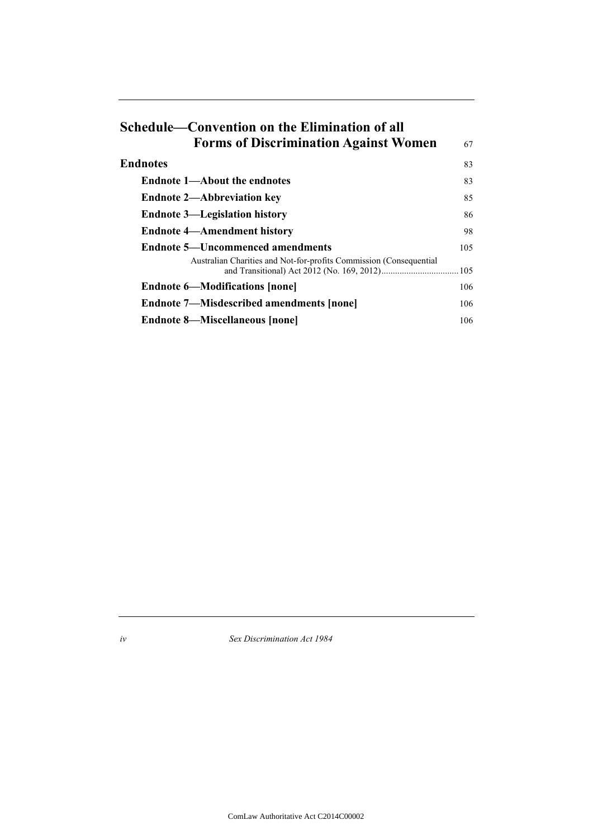| Schedule—Convention on the Elimination of all                      |      |
|--------------------------------------------------------------------|------|
| <b>Forms of Discrimination Against Women</b>                       | 67   |
| <b>Endnotes</b>                                                    | 83   |
| <b>Endnote 1—About the endnotes</b>                                | 83   |
| <b>Endnote 2—Abbreviation key</b>                                  | 85   |
| <b>Endnote 3—Legislation history</b>                               | 86   |
| <b>Endnote 4—Amendment history</b>                                 | 98.  |
| <b>Endnote 5—Uncommenced amendments</b>                            | 105  |
| Australian Charities and Not-for-profits Commission (Consequential | .105 |
| <b>Endnote 6—Modifications [none]</b>                              | 106  |
| <b>Endnote 7—Misdescribed amendments [none]</b>                    | 106  |
| <b>Endnote 8—Miscellaneous [none]</b>                              | 106  |

*iv Sex Discrimination Act 1984*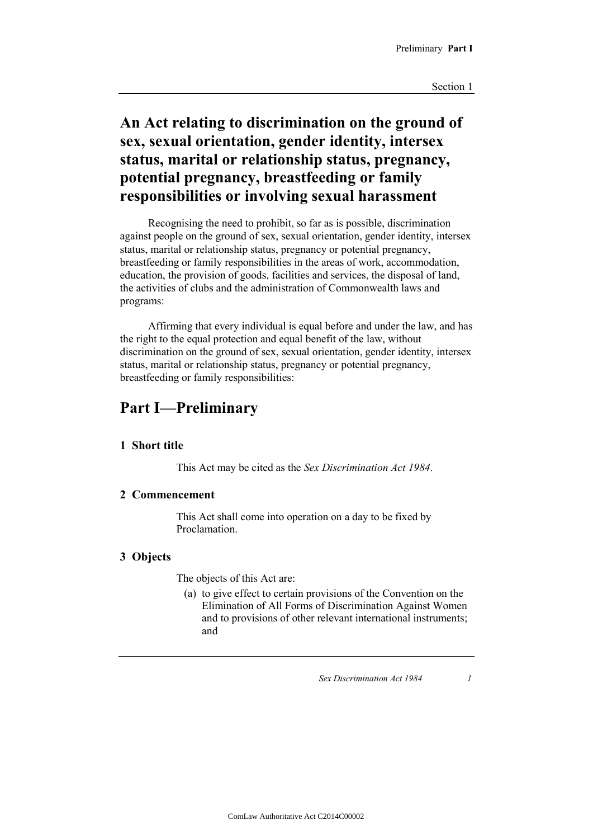# **An Act relating to discrimination on the ground of sex, sexual orientation, gender identity, intersex status, marital or relationship status, pregnancy, potential pregnancy, breastfeeding or family responsibilities or involving sexual harassment**

Recognising the need to prohibit, so far as is possible, discrimination against people on the ground of sex, sexual orientation, gender identity, intersex status, marital or relationship status, pregnancy or potential pregnancy, breastfeeding or family responsibilities in the areas of work, accommodation, education, the provision of goods, facilities and services, the disposal of land, the activities of clubs and the administration of Commonwealth laws and programs:

Affirming that every individual is equal before and under the law, and has the right to the equal protection and equal benefit of the law, without discrimination on the ground of sex, sexual orientation, gender identity, intersex status, marital or relationship status, pregnancy or potential pregnancy, breastfeeding or family responsibilities:

# **Part I—Preliminary**

# **1 Short title**

This Act may be cited as the *Sex Discrimination Act 1984*.

#### **2 Commencement**

This Act shall come into operation on a day to be fixed by Proclamation.

# **3 Objects**

The objects of this Act are:

(a) to give effect to certain provisions of the Convention on the Elimination of All Forms of Discrimination Against Women and to provisions of other relevant international instruments; and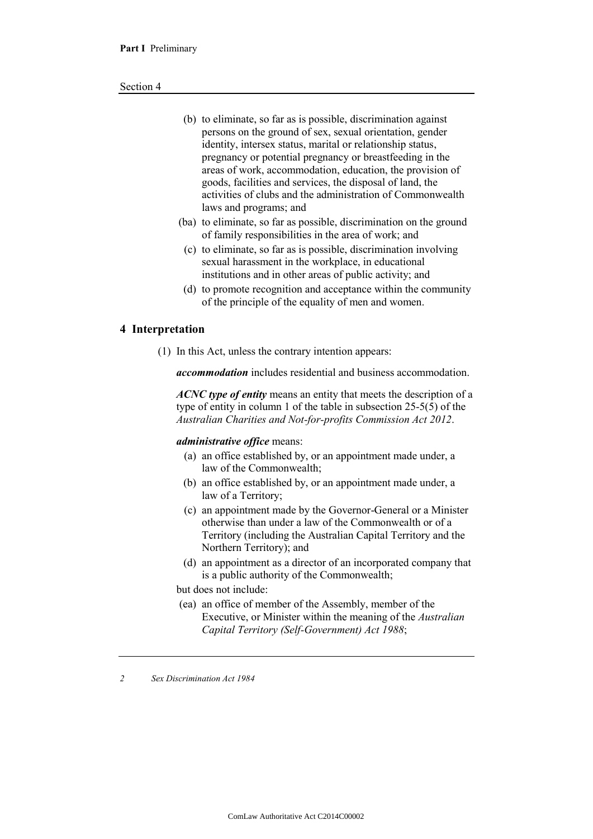- (b) to eliminate, so far as is possible, discrimination against persons on the ground of sex, sexual orientation, gender identity, intersex status, marital or relationship status, pregnancy or potential pregnancy or breastfeeding in the areas of work, accommodation, education, the provision of goods, facilities and services, the disposal of land, the activities of clubs and the administration of Commonwealth laws and programs; and
- (ba) to eliminate, so far as possible, discrimination on the ground of family responsibilities in the area of work; and
	- (c) to eliminate, so far as is possible, discrimination involving sexual harassment in the workplace, in educational institutions and in other areas of public activity; and
- (d) to promote recognition and acceptance within the community of the principle of the equality of men and women.

#### **4 Interpretation**

(1) In this Act, unless the contrary intention appears:

*accommodation* includes residential and business accommodation.

*ACNC type of entity* means an entity that meets the description of a type of entity in column 1 of the table in subsection 25-5(5) of the *Australian Charities and Not-for-profits Commission Act 2012*.

#### *administrative office* means:

- (a) an office established by, or an appointment made under, a law of the Commonwealth;
- (b) an office established by, or an appointment made under, a law of a Territory;
- (c) an appointment made by the Governor-General or a Minister otherwise than under a law of the Commonwealth or of a Territory (including the Australian Capital Territory and the Northern Territory); and
- (d) an appointment as a director of an incorporated company that is a public authority of the Commonwealth;

but does not include:

(ea) an office of member of the Assembly, member of the Executive, or Minister within the meaning of the *Australian Capital Territory (Self-Government) Act 1988*;

*2 Sex Discrimination Act 1984*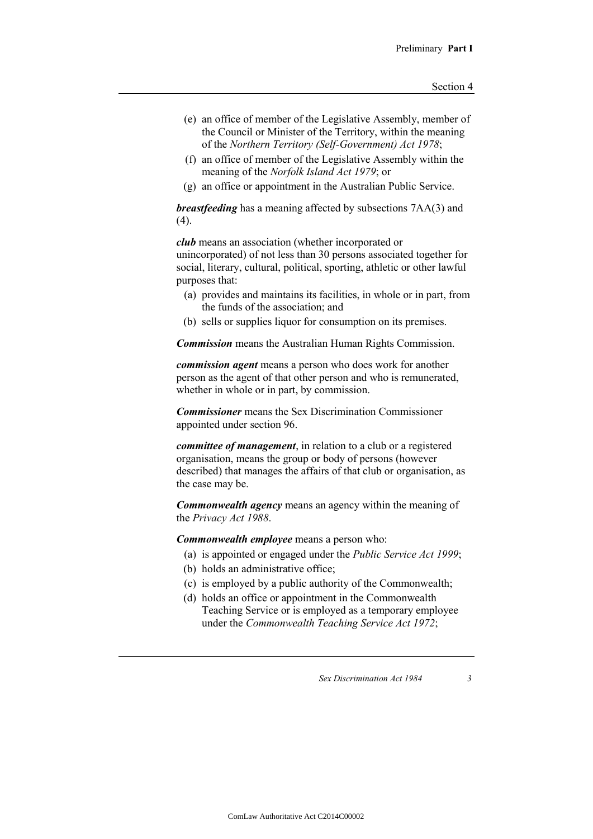- (e) an office of member of the Legislative Assembly, member of the Council or Minister of the Territory, within the meaning of the *Northern Territory (Self-Government) Act 1978*;
- (f) an office of member of the Legislative Assembly within the meaning of the *Norfolk Island Act 1979*; or
- (g) an office or appointment in the Australian Public Service.

*breastfeeding* has a meaning affected by subsections 7AA(3) and  $(4)$ .

*club* means an association (whether incorporated or unincorporated) of not less than 30 persons associated together for social, literary, cultural, political, sporting, athletic or other lawful purposes that:

- (a) provides and maintains its facilities, in whole or in part, from the funds of the association; and
- (b) sells or supplies liquor for consumption on its premises.

*Commission* means the Australian Human Rights Commission.

*commission agent* means a person who does work for another person as the agent of that other person and who is remunerated, whether in whole or in part, by commission.

*Commissioner* means the Sex Discrimination Commissioner appointed under section 96.

*committee of management*, in relation to a club or a registered organisation, means the group or body of persons (however described) that manages the affairs of that club or organisation, as the case may be.

*Commonwealth agency* means an agency within the meaning of the *Privacy Act 1988*.

*Commonwealth employee* means a person who:

- (a) is appointed or engaged under the *Public Service Act 1999*;
- (b) holds an administrative office;
- (c) is employed by a public authority of the Commonwealth;
- (d) holds an office or appointment in the Commonwealth Teaching Service or is employed as a temporary employee under the *Commonwealth Teaching Service Act 1972*;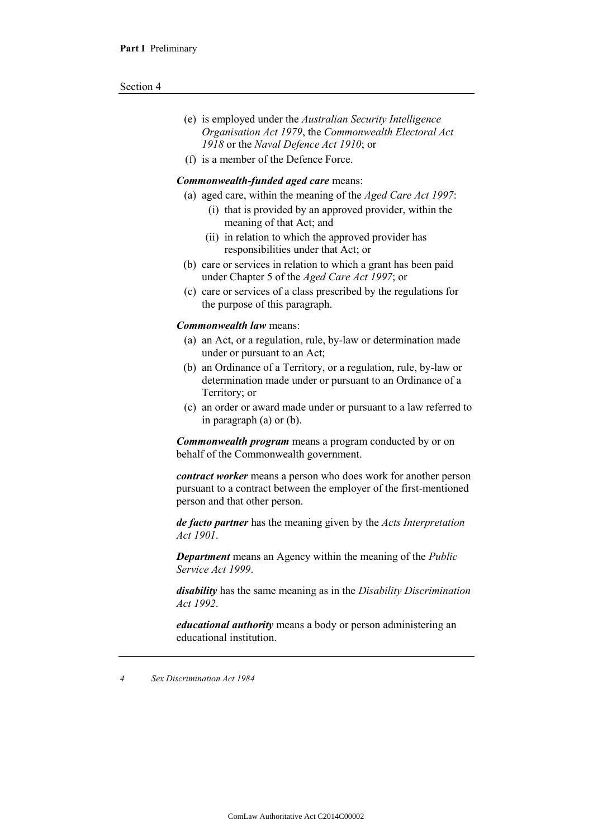| (e) is employed under the <i>Australian Security Intelligence</i> |
|-------------------------------------------------------------------|
| Organisation Act 1979, the Commonwealth Electoral Act             |
| 1918 or the Naval Defence Act 1910; or                            |

(f) is a member of the Defence Force.

#### *Commonwealth-funded aged care* means:

- (a) aged care, within the meaning of the *Aged Care Act 1997*:
	- (i) that is provided by an approved provider, within the meaning of that Act; and
	- (ii) in relation to which the approved provider has responsibilities under that Act; or
- (b) care or services in relation to which a grant has been paid under Chapter 5 of the *Aged Care Act 1997*; or
- (c) care or services of a class prescribed by the regulations for the purpose of this paragraph.

#### *Commonwealth law* means:

- (a) an Act, or a regulation, rule, by-law or determination made under or pursuant to an Act;
- (b) an Ordinance of a Territory, or a regulation, rule, by-law or determination made under or pursuant to an Ordinance of a Territory; or
- (c) an order or award made under or pursuant to a law referred to in paragraph (a) or (b).

*Commonwealth program* means a program conducted by or on behalf of the Commonwealth government.

*contract worker* means a person who does work for another person pursuant to a contract between the employer of the first-mentioned person and that other person.

*de facto partner* has the meaning given by the *Acts Interpretation Act 1901*.

*Department* means an Agency within the meaning of the *Public Service Act 1999*.

*disability* has the same meaning as in the *Disability Discrimination Act 1992*.

*educational authority* means a body or person administering an educational institution.

*4 Sex Discrimination Act 1984*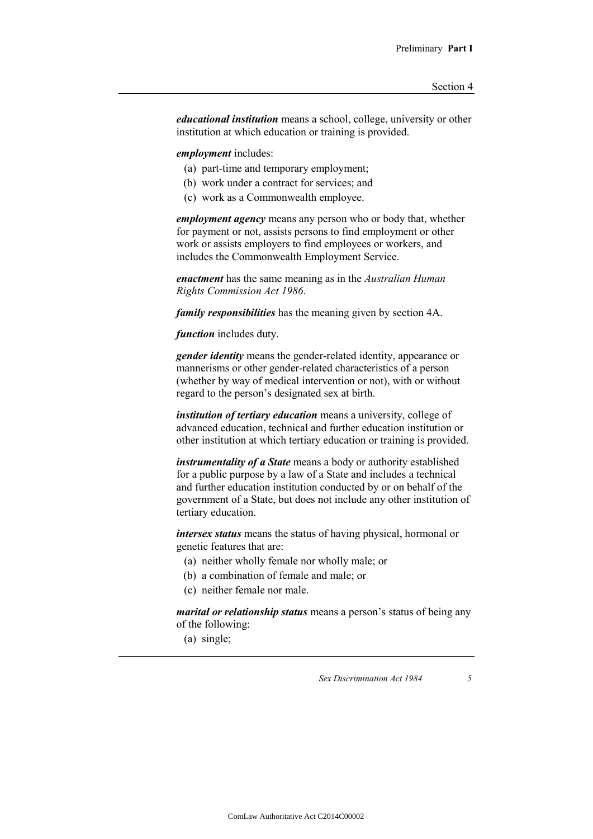*educational institution* means a school, college, university or other institution at which education or training is provided.

*employment* includes:

- (a) part-time and temporary employment;
- (b) work under a contract for services; and
- (c) work as a Commonwealth employee.

*employment agency* means any person who or body that, whether for payment or not, assists persons to find employment or other work or assists employers to find employees or workers, and includes the Commonwealth Employment Service.

*enactment* has the same meaning as in the *Australian Human Rights Commission Act 1986*.

*family responsibilities* has the meaning given by section 4A.

*function* includes duty.

*gender identity* means the gender-related identity, appearance or mannerisms or other gender-related characteristics of a person (whether by way of medical intervention or not), with or without regard to the person's designated sex at birth.

*institution of tertiary education* means a university, college of advanced education, technical and further education institution or other institution at which tertiary education or training is provided.

*instrumentality of a State* means a body or authority established for a public purpose by a law of a State and includes a technical and further education institution conducted by or on behalf of the government of a State, but does not include any other institution of tertiary education.

*intersex status* means the status of having physical, hormonal or genetic features that are:

- (a) neither wholly female nor wholly male; or
- (b) a combination of female and male; or
- (c) neither female nor male.

*marital or relationship status* means a person's status of being any of the following:

(a) single;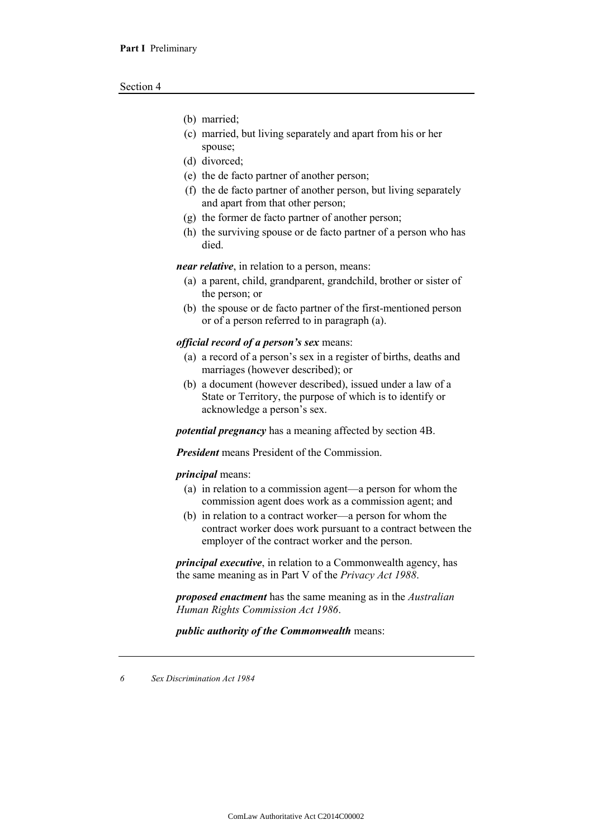- (b) married;
- (c) married, but living separately and apart from his or her spouse;
- (d) divorced;
- (e) the de facto partner of another person;
- (f) the de facto partner of another person, but living separately and apart from that other person;
- (g) the former de facto partner of another person;
- (h) the surviving spouse or de facto partner of a person who has died.

*near relative*, in relation to a person, means:

- (a) a parent, child, grandparent, grandchild, brother or sister of the person; or
- (b) the spouse or de facto partner of the first-mentioned person or of a person referred to in paragraph (a).

#### *official record of a person's sex* means:

- (a) a record of a person's sex in a register of births, deaths and marriages (however described); or
- (b) a document (however described), issued under a law of a State or Territory, the purpose of which is to identify or acknowledge a person's sex.

*potential pregnancy* has a meaning affected by section 4B.

*President* means President of the Commission.

#### *principal* means:

- (a) in relation to a commission agent—a person for whom the commission agent does work as a commission agent; and
- (b) in relation to a contract worker—a person for whom the contract worker does work pursuant to a contract between the employer of the contract worker and the person.

*principal executive*, in relation to a Commonwealth agency, has the same meaning as in Part V of the *Privacy Act 1988*.

*proposed enactment* has the same meaning as in the *Australian Human Rights Commission Act 1986*.

*public authority of the Commonwealth* means: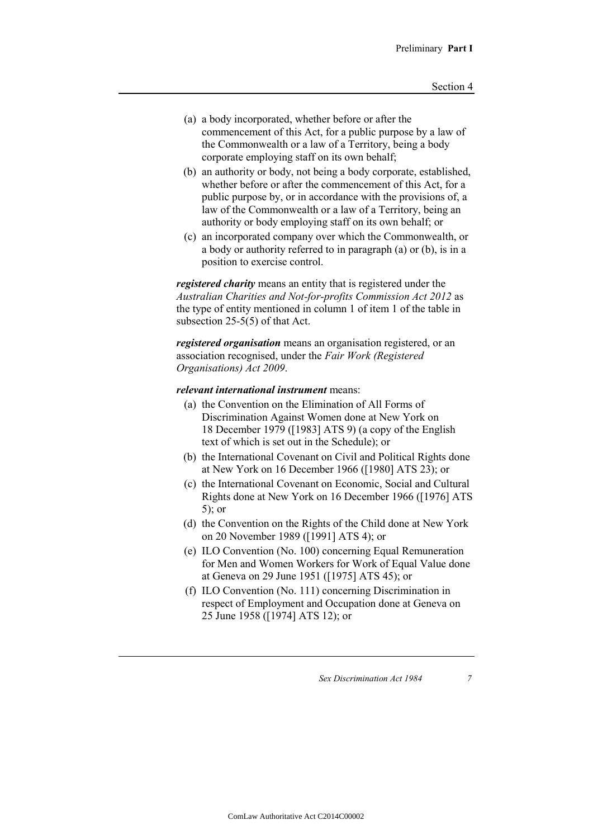- (a) a body incorporated, whether before or after the commencement of this Act, for a public purpose by a law of the Commonwealth or a law of a Territory, being a body corporate employing staff on its own behalf;
- (b) an authority or body, not being a body corporate, established, whether before or after the commencement of this Act, for a public purpose by, or in accordance with the provisions of, a law of the Commonwealth or a law of a Territory, being an authority or body employing staff on its own behalf; or
- (c) an incorporated company over which the Commonwealth, or a body or authority referred to in paragraph (a) or (b), is in a position to exercise control.

*registered charity* means an entity that is registered under the *Australian Charities and Not-for-profits Commission Act 2012* as the type of entity mentioned in column 1 of item 1 of the table in subsection 25-5(5) of that Act.

*registered organisation* means an organisation registered, or an association recognised, under the *Fair Work (Registered Organisations) Act 2009*.

#### *relevant international instrument* means:

- (a) the Convention on the Elimination of All Forms of Discrimination Against Women done at New York on 18 December 1979 ([1983] ATS 9) (a copy of the English text of which is set out in the Schedule); or
- (b) the International Covenant on Civil and Political Rights done at New York on 16 December 1966 ([1980] ATS 23); or
- (c) the International Covenant on Economic, Social and Cultural Rights done at New York on 16 December 1966 ([1976] ATS 5); or
- (d) the Convention on the Rights of the Child done at New York on 20 November 1989 ([1991] ATS 4); or
- (e) ILO Convention (No. 100) concerning Equal Remuneration for Men and Women Workers for Work of Equal Value done at Geneva on 29 June 1951 ([1975] ATS 45); or
- (f) ILO Convention (No. 111) concerning Discrimination in respect of Employment and Occupation done at Geneva on 25 June 1958 ([1974] ATS 12); or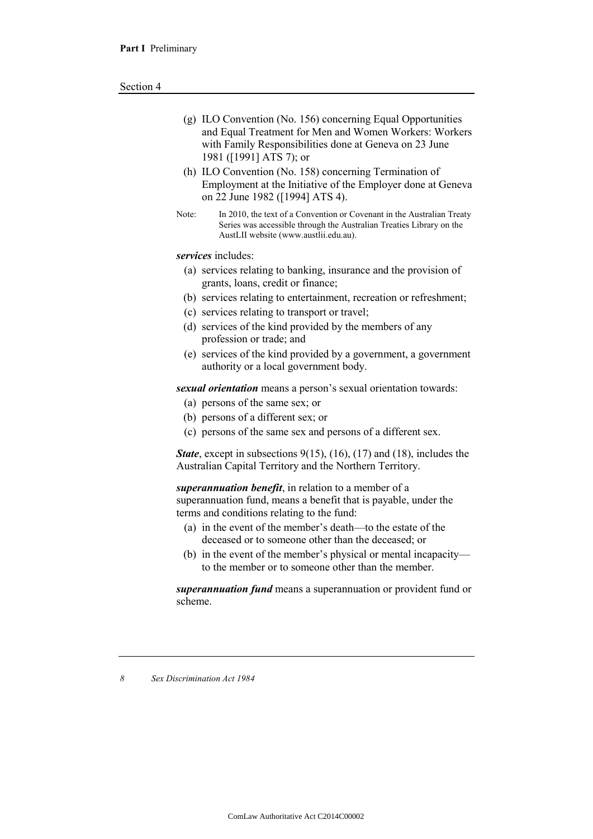- (g) ILO Convention (No. 156) concerning Equal Opportunities and Equal Treatment for Men and Women Workers: Workers with Family Responsibilities done at Geneva on 23 June 1981 ([1991] ATS 7); or
- (h) ILO Convention (No. 158) concerning Termination of Employment at the Initiative of the Employer done at Geneva on 22 June 1982 ([1994] ATS 4).
- Note: In 2010, the text of a Convention or Covenant in the Australian Treaty Series was accessible through the Australian Treaties Library on the AustLII website (www.austlii.edu.au).

#### *services* includes:

- (a) services relating to banking, insurance and the provision of grants, loans, credit or finance;
- (b) services relating to entertainment, recreation or refreshment;
- (c) services relating to transport or travel;
- (d) services of the kind provided by the members of any profession or trade; and
- (e) services of the kind provided by a government, a government authority or a local government body.

*sexual orientation* means a person's sexual orientation towards:

- (a) persons of the same sex; or
- (b) persons of a different sex; or
- (c) persons of the same sex and persons of a different sex.

*State*, except in subsections 9(15), (16), (17) and (18), includes the Australian Capital Territory and the Northern Territory.

*superannuation benefit*, in relation to a member of a superannuation fund, means a benefit that is payable, under the terms and conditions relating to the fund:

- (a) in the event of the member's death—to the estate of the deceased or to someone other than the deceased; or
- (b) in the event of the member's physical or mental incapacity to the member or to someone other than the member.

*superannuation fund* means a superannuation or provident fund or scheme.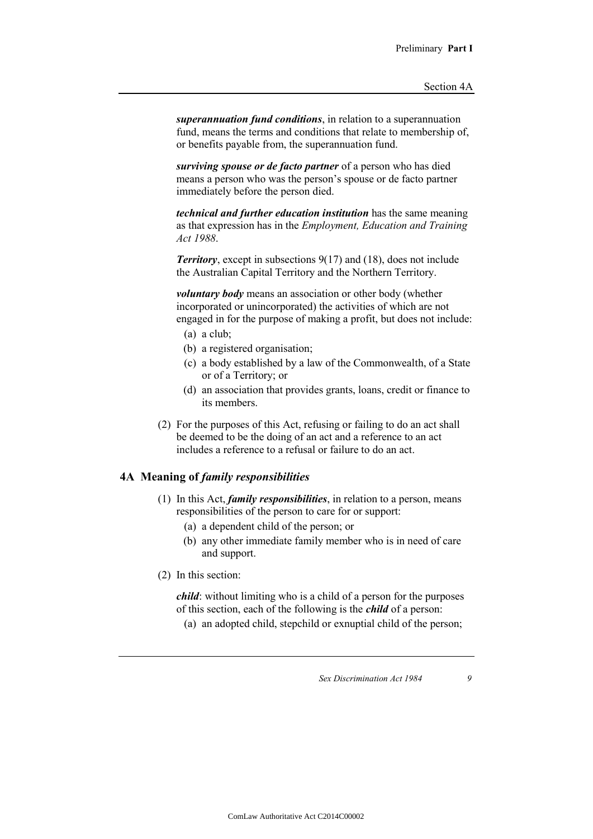*superannuation fund conditions*, in relation to a superannuation fund, means the terms and conditions that relate to membership of, or benefits payable from, the superannuation fund.

*surviving spouse or de facto partner* of a person who has died means a person who was the person's spouse or de facto partner immediately before the person died.

*technical and further education institution* has the same meaning as that expression has in the *Employment, Education and Training Act 1988*.

*Territory*, except in subsections 9(17) and (18), does not include the Australian Capital Territory and the Northern Territory.

*voluntary body* means an association or other body (whether incorporated or unincorporated) the activities of which are not engaged in for the purpose of making a profit, but does not include:

- (a) a club;
- (b) a registered organisation;
- (c) a body established by a law of the Commonwealth, of a State or of a Territory; or
- (d) an association that provides grants, loans, credit or finance to its members.
- (2) For the purposes of this Act, refusing or failing to do an act shall be deemed to be the doing of an act and a reference to an act includes a reference to a refusal or failure to do an act.

# **4A Meaning of** *family responsibilities*

- (1) In this Act, *family responsibilities*, in relation to a person, means responsibilities of the person to care for or support:
	- (a) a dependent child of the person; or
	- (b) any other immediate family member who is in need of care and support.
- (2) In this section:

*child*: without limiting who is a child of a person for the purposes of this section, each of the following is the *child* of a person:

(a) an adopted child, stepchild or exnuptial child of the person;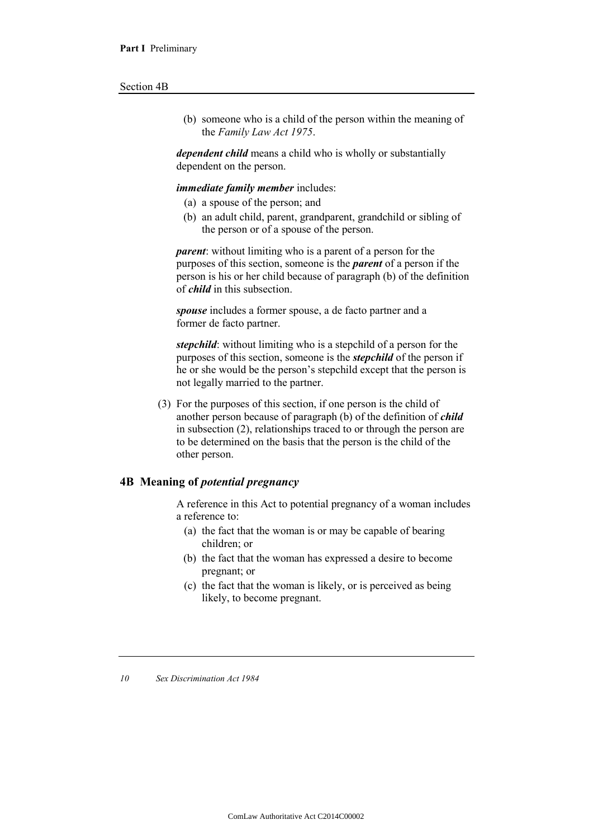#### Section 4B

(b) someone who is a child of the person within the meaning of the *Family Law Act 1975*.

*dependent child* means a child who is wholly or substantially dependent on the person.

#### *immediate family member* includes:

- (a) a spouse of the person; and
- (b) an adult child, parent, grandparent, grandchild or sibling of the person or of a spouse of the person.

*parent*: without limiting who is a parent of a person for the purposes of this section, someone is the *parent* of a person if the person is his or her child because of paragraph (b) of the definition of *child* in this subsection.

*spouse* includes a former spouse, a de facto partner and a former de facto partner.

*stepchild*: without limiting who is a stepchild of a person for the purposes of this section, someone is the *stepchild* of the person if he or she would be the person's stepchild except that the person is not legally married to the partner.

(3) For the purposes of this section, if one person is the child of another person because of paragraph (b) of the definition of *child* in subsection (2), relationships traced to or through the person are to be determined on the basis that the person is the child of the other person.

### **4B Meaning of** *potential pregnancy*

A reference in this Act to potential pregnancy of a woman includes a reference to:

- (a) the fact that the woman is or may be capable of bearing children; or
- (b) the fact that the woman has expressed a desire to become pregnant; or
- (c) the fact that the woman is likely, or is perceived as being likely, to become pregnant.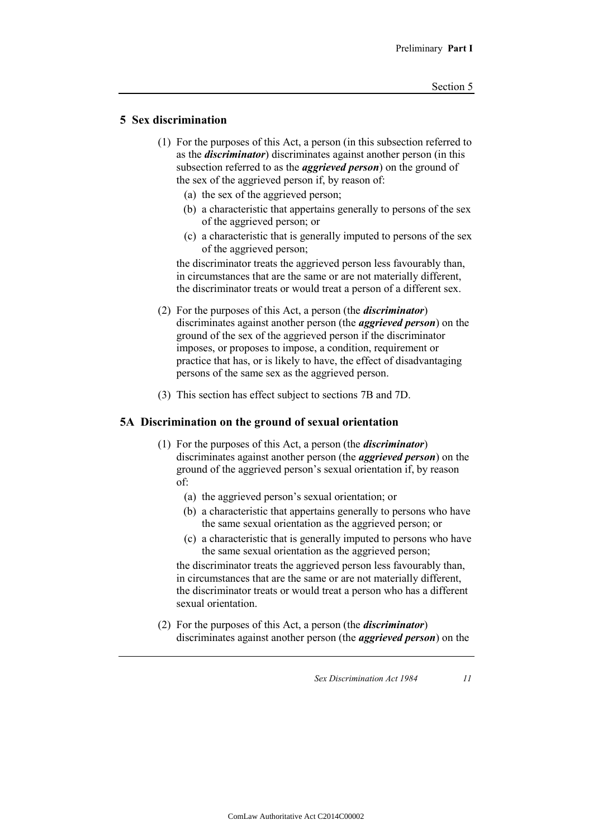### **5 Sex discrimination**

- (1) For the purposes of this Act, a person (in this subsection referred to as the *discriminator*) discriminates against another person (in this subsection referred to as the *aggrieved person*) on the ground of the sex of the aggrieved person if, by reason of:
	- (a) the sex of the aggrieved person;
	- (b) a characteristic that appertains generally to persons of the sex of the aggrieved person; or
	- (c) a characteristic that is generally imputed to persons of the sex of the aggrieved person;

the discriminator treats the aggrieved person less favourably than, in circumstances that are the same or are not materially different, the discriminator treats or would treat a person of a different sex.

- (2) For the purposes of this Act, a person (the *discriminator*) discriminates against another person (the *aggrieved person*) on the ground of the sex of the aggrieved person if the discriminator imposes, or proposes to impose, a condition, requirement or practice that has, or is likely to have, the effect of disadvantaging persons of the same sex as the aggrieved person.
- (3) This section has effect subject to sections 7B and 7D.

#### **5A Discrimination on the ground of sexual orientation**

- (1) For the purposes of this Act, a person (the *discriminator*) discriminates against another person (the *aggrieved person*) on the ground of the aggrieved person's sexual orientation if, by reason of:
	- (a) the aggrieved person's sexual orientation; or
	- (b) a characteristic that appertains generally to persons who have the same sexual orientation as the aggrieved person; or
	- (c) a characteristic that is generally imputed to persons who have the same sexual orientation as the aggrieved person;

the discriminator treats the aggrieved person less favourably than, in circumstances that are the same or are not materially different, the discriminator treats or would treat a person who has a different sexual orientation.

(2) For the purposes of this Act, a person (the *discriminator*) discriminates against another person (the *aggrieved person*) on the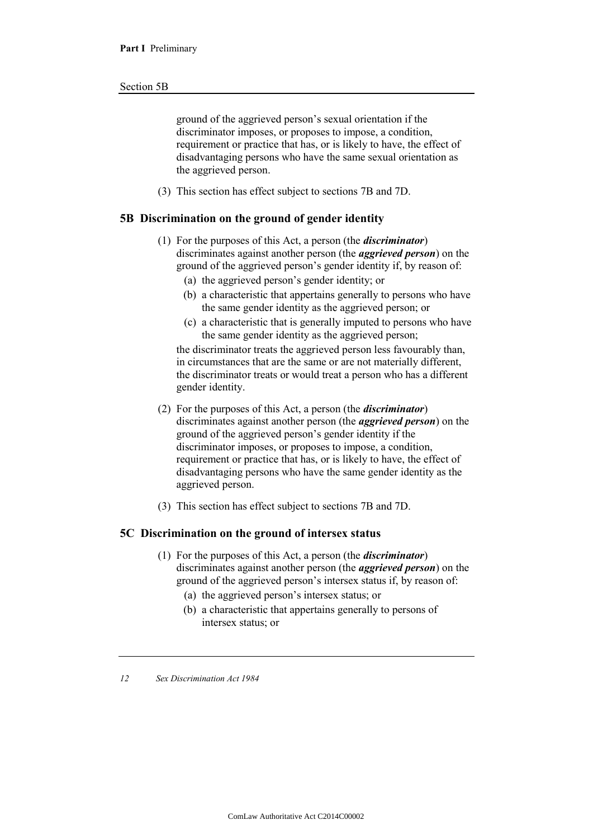#### Section 5B

ground of the aggrieved person's sexual orientation if the discriminator imposes, or proposes to impose, a condition, requirement or practice that has, or is likely to have, the effect of disadvantaging persons who have the same sexual orientation as the aggrieved person.

(3) This section has effect subject to sections 7B and 7D.

# **5B Discrimination on the ground of gender identity**

- (1) For the purposes of this Act, a person (the *discriminator*) discriminates against another person (the *aggrieved person*) on the ground of the aggrieved person's gender identity if, by reason of:
	- (a) the aggrieved person's gender identity; or
	- (b) a characteristic that appertains generally to persons who have the same gender identity as the aggrieved person; or
	- (c) a characteristic that is generally imputed to persons who have the same gender identity as the aggrieved person;

the discriminator treats the aggrieved person less favourably than, in circumstances that are the same or are not materially different, the discriminator treats or would treat a person who has a different gender identity.

- (2) For the purposes of this Act, a person (the *discriminator*) discriminates against another person (the *aggrieved person*) on the ground of the aggrieved person's gender identity if the discriminator imposes, or proposes to impose, a condition, requirement or practice that has, or is likely to have, the effect of disadvantaging persons who have the same gender identity as the aggrieved person.
- (3) This section has effect subject to sections 7B and 7D.

### **5C Discrimination on the ground of intersex status**

- (1) For the purposes of this Act, a person (the *discriminator*) discriminates against another person (the *aggrieved person*) on the ground of the aggrieved person's intersex status if, by reason of:
	- (a) the aggrieved person's intersex status; or
	- (b) a characteristic that appertains generally to persons of intersex status; or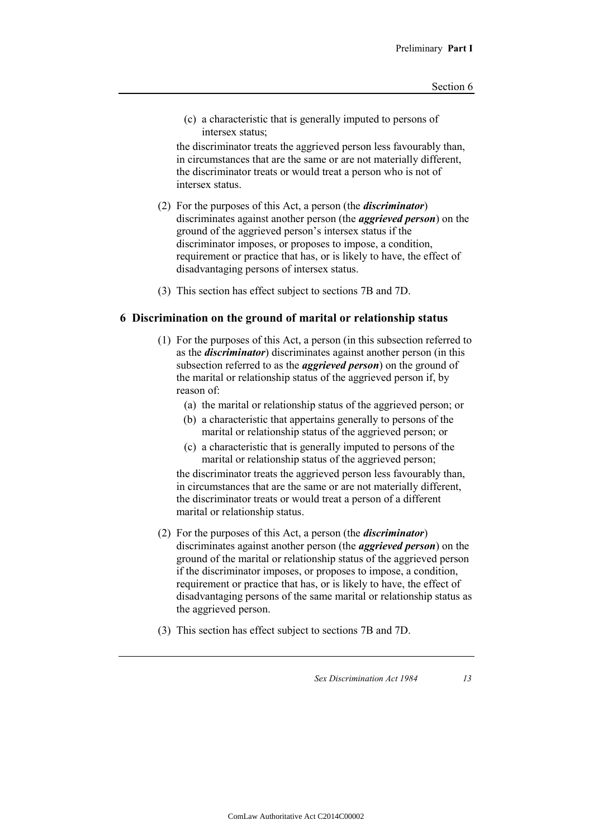(c) a characteristic that is generally imputed to persons of intersex status;

the discriminator treats the aggrieved person less favourably than, in circumstances that are the same or are not materially different, the discriminator treats or would treat a person who is not of intersex status.

- (2) For the purposes of this Act, a person (the *discriminator*) discriminates against another person (the *aggrieved person*) on the ground of the aggrieved person's intersex status if the discriminator imposes, or proposes to impose, a condition, requirement or practice that has, or is likely to have, the effect of disadvantaging persons of intersex status.
- (3) This section has effect subject to sections 7B and 7D.

#### **6 Discrimination on the ground of marital or relationship status**

- (1) For the purposes of this Act, a person (in this subsection referred to as the *discriminator*) discriminates against another person (in this subsection referred to as the *aggrieved person*) on the ground of the marital or relationship status of the aggrieved person if, by reason of:
	- (a) the marital or relationship status of the aggrieved person; or
	- (b) a characteristic that appertains generally to persons of the marital or relationship status of the aggrieved person; or
	- (c) a characteristic that is generally imputed to persons of the marital or relationship status of the aggrieved person;

the discriminator treats the aggrieved person less favourably than, in circumstances that are the same or are not materially different, the discriminator treats or would treat a person of a different marital or relationship status.

- (2) For the purposes of this Act, a person (the *discriminator*) discriminates against another person (the *aggrieved person*) on the ground of the marital or relationship status of the aggrieved person if the discriminator imposes, or proposes to impose, a condition, requirement or practice that has, or is likely to have, the effect of disadvantaging persons of the same marital or relationship status as the aggrieved person.
- (3) This section has effect subject to sections 7B and 7D.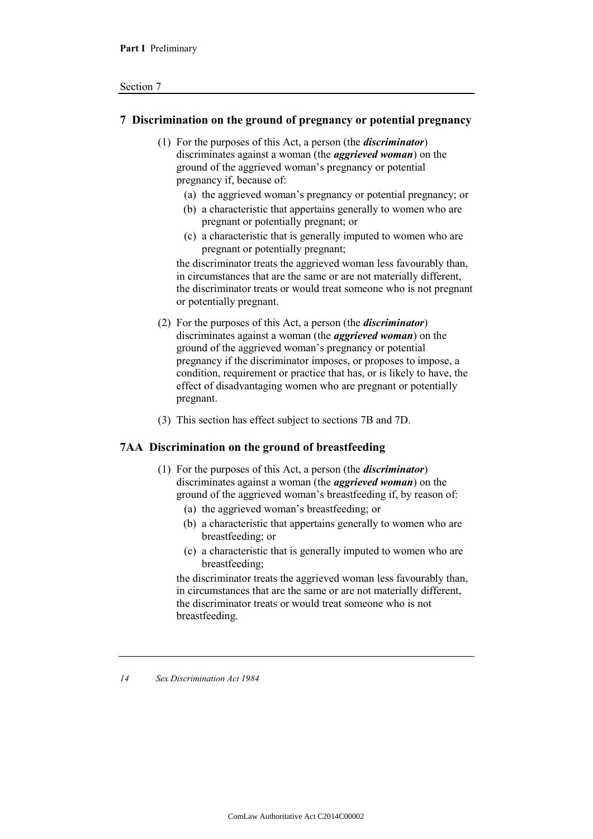| Section 7 |
|-----------|
|-----------|

# **7 Discrimination on the ground of pregnancy or potential pregnancy**

- (1) For the purposes of this Act, a person (the *discriminator*) discriminates against a woman (the *aggrieved woman*) on the ground of the aggrieved woman's pregnancy or potential pregnancy if, because of:
	- (a) the aggrieved woman's pregnancy or potential pregnancy; or
	- (b) a characteristic that appertains generally to women who are pregnant or potentially pregnant; or
	- (c) a characteristic that is generally imputed to women who are pregnant or potentially pregnant;

the discriminator treats the aggrieved woman less favourably than, in circumstances that are the same or are not materially different, the discriminator treats or would treat someone who is not pregnant or potentially pregnant.

- (2) For the purposes of this Act, a person (the *discriminator*) discriminates against a woman (the *aggrieved woman*) on the ground of the aggrieved woman's pregnancy or potential pregnancy if the discriminator imposes, or proposes to impose, a condition, requirement or practice that has, or is likely to have, the effect of disadvantaging women who are pregnant or potentially pregnant.
- (3) This section has effect subject to sections 7B and 7D.

#### **7AA Discrimination on the ground of breastfeeding**

- (1) For the purposes of this Act, a person (the *discriminator*) discriminates against a woman (the *aggrieved woman*) on the ground of the aggrieved woman's breastfeeding if, by reason of:
	- (a) the aggrieved woman's breastfeeding; or
	- (b) a characteristic that appertains generally to women who are breastfeeding; or
	- (c) a characteristic that is generally imputed to women who are breastfeeding;

the discriminator treats the aggrieved woman less favourably than, in circumstances that are the same or are not materially different, the discriminator treats or would treat someone who is not breastfeeding.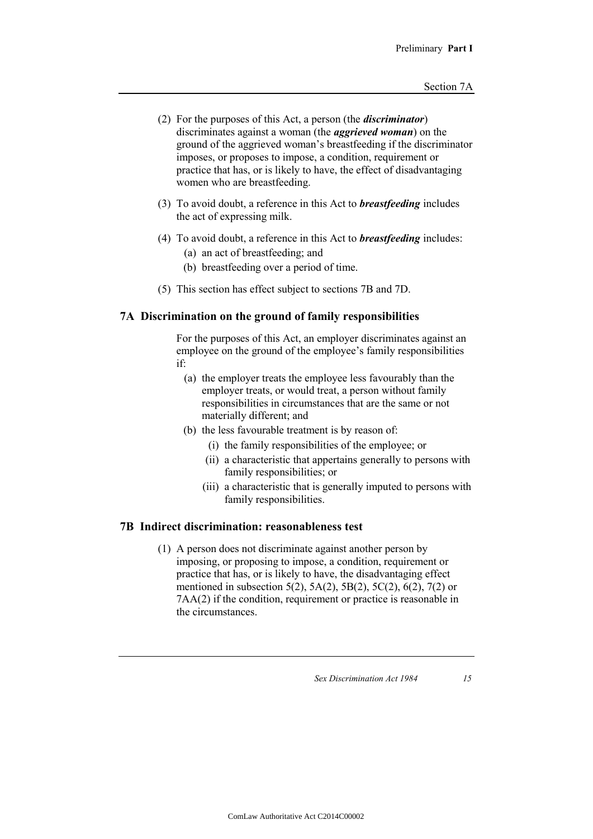- (2) For the purposes of this Act, a person (the *discriminator*) discriminates against a woman (the *aggrieved woman*) on the ground of the aggrieved woman's breastfeeding if the discriminator imposes, or proposes to impose, a condition, requirement or practice that has, or is likely to have, the effect of disadvantaging women who are breastfeeding.
- (3) To avoid doubt, a reference in this Act to *breastfeeding* includes the act of expressing milk.
- (4) To avoid doubt, a reference in this Act to *breastfeeding* includes:
	- (a) an act of breastfeeding; and
	- (b) breastfeeding over a period of time.
- (5) This section has effect subject to sections 7B and 7D.

#### **7A Discrimination on the ground of family responsibilities**

For the purposes of this Act, an employer discriminates against an employee on the ground of the employee's family responsibilities if:

- (a) the employer treats the employee less favourably than the employer treats, or would treat, a person without family responsibilities in circumstances that are the same or not materially different; and
- (b) the less favourable treatment is by reason of:
	- (i) the family responsibilities of the employee; or
	- (ii) a characteristic that appertains generally to persons with family responsibilities; or
	- (iii) a characteristic that is generally imputed to persons with family responsibilities.

#### **7B Indirect discrimination: reasonableness test**

(1) A person does not discriminate against another person by imposing, or proposing to impose, a condition, requirement or practice that has, or is likely to have, the disadvantaging effect mentioned in subsection 5(2), 5A(2), 5B(2), 5C(2), 6(2), 7(2) or 7AA(2) if the condition, requirement or practice is reasonable in the circumstances.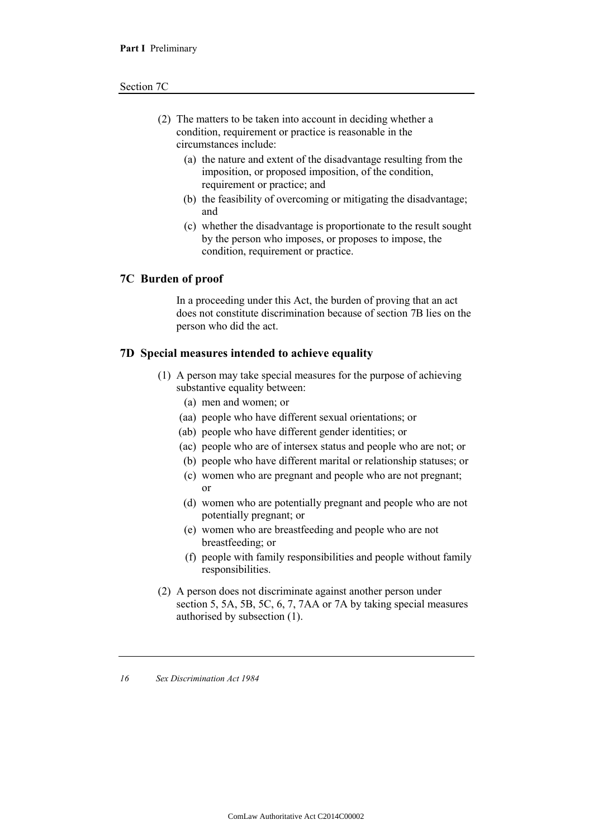#### Section 7C

- (2) The matters to be taken into account in deciding whether a condition, requirement or practice is reasonable in the circumstances include:
	- (a) the nature and extent of the disadvantage resulting from the imposition, or proposed imposition, of the condition, requirement or practice; and
	- (b) the feasibility of overcoming or mitigating the disadvantage; and
	- (c) whether the disadvantage is proportionate to the result sought by the person who imposes, or proposes to impose, the condition, requirement or practice.

# **7C Burden of proof**

In a proceeding under this Act, the burden of proving that an act does not constitute discrimination because of section 7B lies on the person who did the act.

# **7D Special measures intended to achieve equality**

- (1) A person may take special measures for the purpose of achieving substantive equality between:
	- (a) men and women; or
	- (aa) people who have different sexual orientations; or
	- (ab) people who have different gender identities; or
	- (ac) people who are of intersex status and people who are not; or
	- (b) people who have different marital or relationship statuses; or
	- (c) women who are pregnant and people who are not pregnant; or
	- (d) women who are potentially pregnant and people who are not potentially pregnant; or
	- (e) women who are breastfeeding and people who are not breastfeeding; or
	- (f) people with family responsibilities and people without family responsibilities.
- (2) A person does not discriminate against another person under section 5, 5A, 5B, 5C, 6, 7, 7AA or 7A by taking special measures authorised by subsection (1).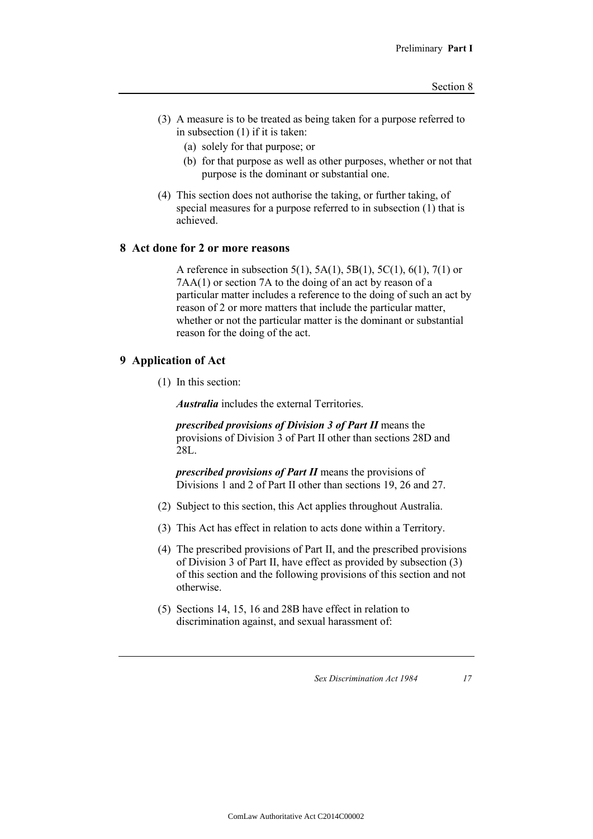- (3) A measure is to be treated as being taken for a purpose referred to in subsection (1) if it is taken:
	- (a) solely for that purpose; or
	- (b) for that purpose as well as other purposes, whether or not that purpose is the dominant or substantial one.
- (4) This section does not authorise the taking, or further taking, of special measures for a purpose referred to in subsection (1) that is achieved.

# **8 Act done for 2 or more reasons**

A reference in subsection 5(1), 5A(1), 5B(1), 5C(1), 6(1), 7(1) or 7AA(1) or section 7A to the doing of an act by reason of a particular matter includes a reference to the doing of such an act by reason of 2 or more matters that include the particular matter, whether or not the particular matter is the dominant or substantial reason for the doing of the act.

#### **9 Application of Act**

(1) In this section:

*Australia* includes the external Territories.

*prescribed provisions of Division 3 of Part II* means the provisions of Division 3 of Part II other than sections 28D and 28L.

*prescribed provisions of Part II* means the provisions of Divisions 1 and 2 of Part II other than sections 19, 26 and 27.

- (2) Subject to this section, this Act applies throughout Australia.
- (3) This Act has effect in relation to acts done within a Territory.
- (4) The prescribed provisions of Part II, and the prescribed provisions of Division 3 of Part II, have effect as provided by subsection (3) of this section and the following provisions of this section and not otherwise.
- (5) Sections 14, 15, 16 and 28B have effect in relation to discrimination against, and sexual harassment of: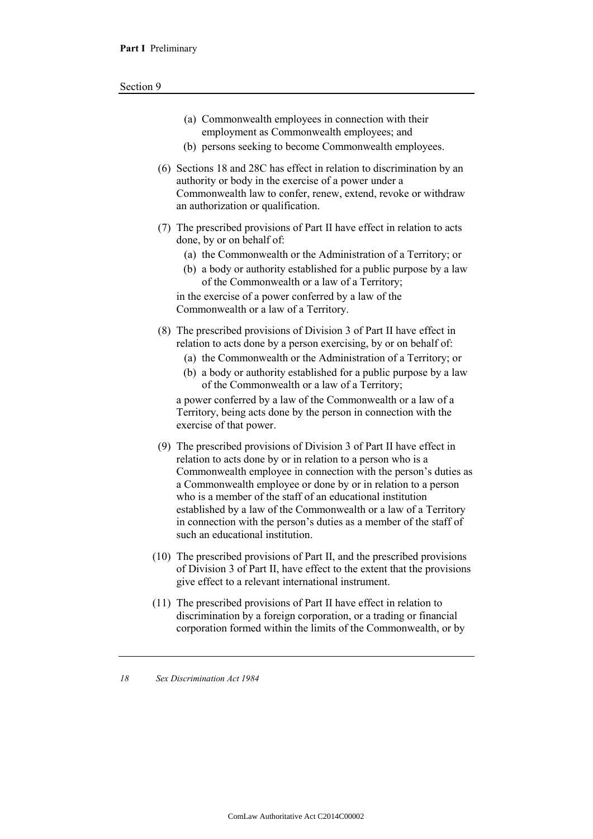- (a) Commonwealth employees in connection with their employment as Commonwealth employees; and
- (b) persons seeking to become Commonwealth employees.
- (6) Sections 18 and 28C has effect in relation to discrimination by an authority or body in the exercise of a power under a Commonwealth law to confer, renew, extend, revoke or withdraw an authorization or qualification.
- (7) The prescribed provisions of Part II have effect in relation to acts done, by or on behalf of:
	- (a) the Commonwealth or the Administration of a Territory; or
	- (b) a body or authority established for a public purpose by a law of the Commonwealth or a law of a Territory;

in the exercise of a power conferred by a law of the Commonwealth or a law of a Territory.

- (8) The prescribed provisions of Division 3 of Part II have effect in relation to acts done by a person exercising, by or on behalf of:
	- (a) the Commonwealth or the Administration of a Territory; or
	- (b) a body or authority established for a public purpose by a law of the Commonwealth or a law of a Territory;

a power conferred by a law of the Commonwealth or a law of a Territory, being acts done by the person in connection with the exercise of that power.

- (9) The prescribed provisions of Division 3 of Part II have effect in relation to acts done by or in relation to a person who is a Commonwealth employee in connection with the person's duties as a Commonwealth employee or done by or in relation to a person who is a member of the staff of an educational institution established by a law of the Commonwealth or a law of a Territory in connection with the person's duties as a member of the staff of such an educational institution.
- (10) The prescribed provisions of Part II, and the prescribed provisions of Division 3 of Part II, have effect to the extent that the provisions give effect to a relevant international instrument.
- (11) The prescribed provisions of Part II have effect in relation to discrimination by a foreign corporation, or a trading or financial corporation formed within the limits of the Commonwealth, or by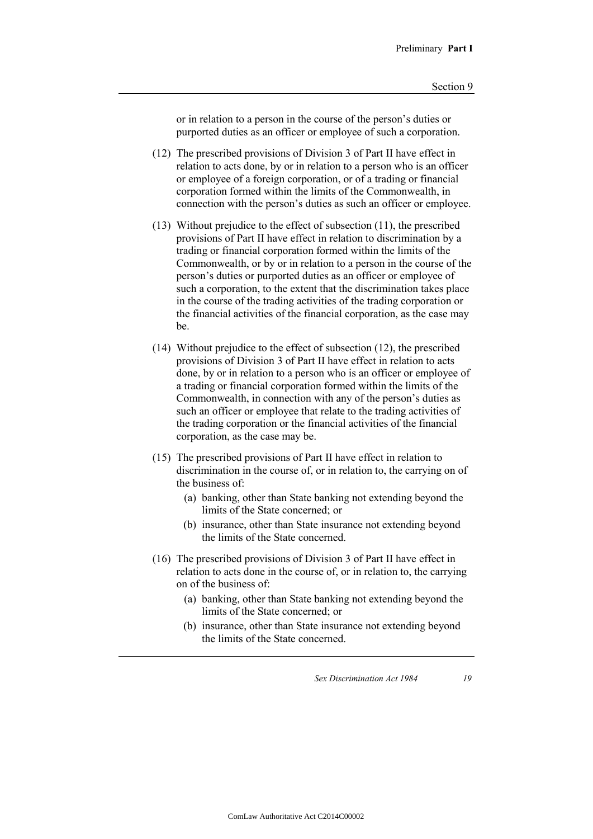or in relation to a person in the course of the person's duties or purported duties as an officer or employee of such a corporation.

- (12) The prescribed provisions of Division 3 of Part II have effect in relation to acts done, by or in relation to a person who is an officer or employee of a foreign corporation, or of a trading or financial corporation formed within the limits of the Commonwealth, in connection with the person's duties as such an officer or employee.
- (13) Without prejudice to the effect of subsection (11), the prescribed provisions of Part II have effect in relation to discrimination by a trading or financial corporation formed within the limits of the Commonwealth, or by or in relation to a person in the course of the person's duties or purported duties as an officer or employee of such a corporation, to the extent that the discrimination takes place in the course of the trading activities of the trading corporation or the financial activities of the financial corporation, as the case may be.
- (14) Without prejudice to the effect of subsection (12), the prescribed provisions of Division 3 of Part II have effect in relation to acts done, by or in relation to a person who is an officer or employee of a trading or financial corporation formed within the limits of the Commonwealth, in connection with any of the person's duties as such an officer or employee that relate to the trading activities of the trading corporation or the financial activities of the financial corporation, as the case may be.
- (15) The prescribed provisions of Part II have effect in relation to discrimination in the course of, or in relation to, the carrying on of the business of:
	- (a) banking, other than State banking not extending beyond the limits of the State concerned; or
	- (b) insurance, other than State insurance not extending beyond the limits of the State concerned.
- (16) The prescribed provisions of Division 3 of Part II have effect in relation to acts done in the course of, or in relation to, the carrying on of the business of:
	- (a) banking, other than State banking not extending beyond the limits of the State concerned; or
	- (b) insurance, other than State insurance not extending beyond the limits of the State concerned.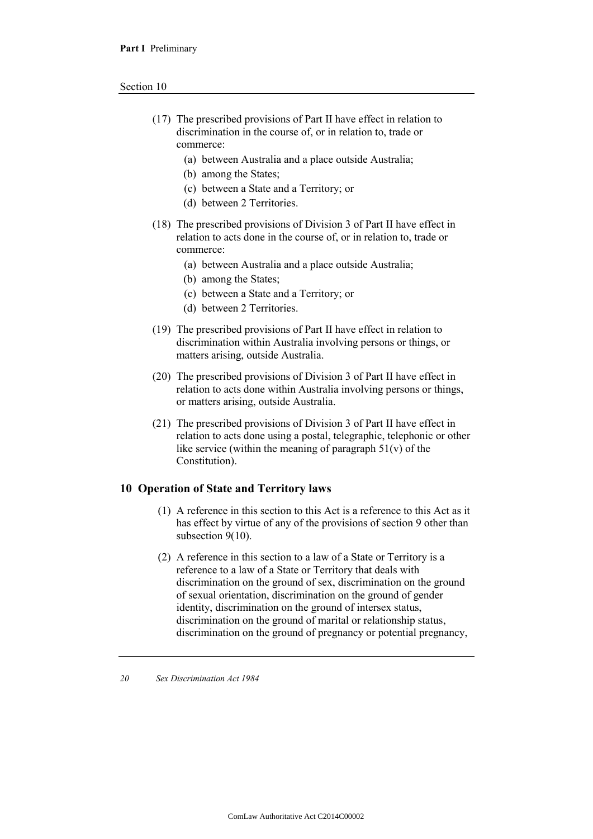- (17) The prescribed provisions of Part II have effect in relation to discrimination in the course of, or in relation to, trade or commerce:
	- (a) between Australia and a place outside Australia;
	- (b) among the States;
	- (c) between a State and a Territory; or
	- (d) between 2 Territories.
- (18) The prescribed provisions of Division 3 of Part II have effect in relation to acts done in the course of, or in relation to, trade or commerce:
	- (a) between Australia and a place outside Australia;
	- (b) among the States;
	- (c) between a State and a Territory; or
	- (d) between 2 Territories.
- (19) The prescribed provisions of Part II have effect in relation to discrimination within Australia involving persons or things, or matters arising, outside Australia.
- (20) The prescribed provisions of Division 3 of Part II have effect in relation to acts done within Australia involving persons or things, or matters arising, outside Australia.
- (21) The prescribed provisions of Division 3 of Part II have effect in relation to acts done using a postal, telegraphic, telephonic or other like service (within the meaning of paragraph  $51(v)$  of the Constitution).

# **10 Operation of State and Territory laws**

- (1) A reference in this section to this Act is a reference to this Act as it has effect by virtue of any of the provisions of section 9 other than subsection 9(10).
- (2) A reference in this section to a law of a State or Territory is a reference to a law of a State or Territory that deals with discrimination on the ground of sex, discrimination on the ground of sexual orientation, discrimination on the ground of gender identity, discrimination on the ground of intersex status, discrimination on the ground of marital or relationship status, discrimination on the ground of pregnancy or potential pregnancy,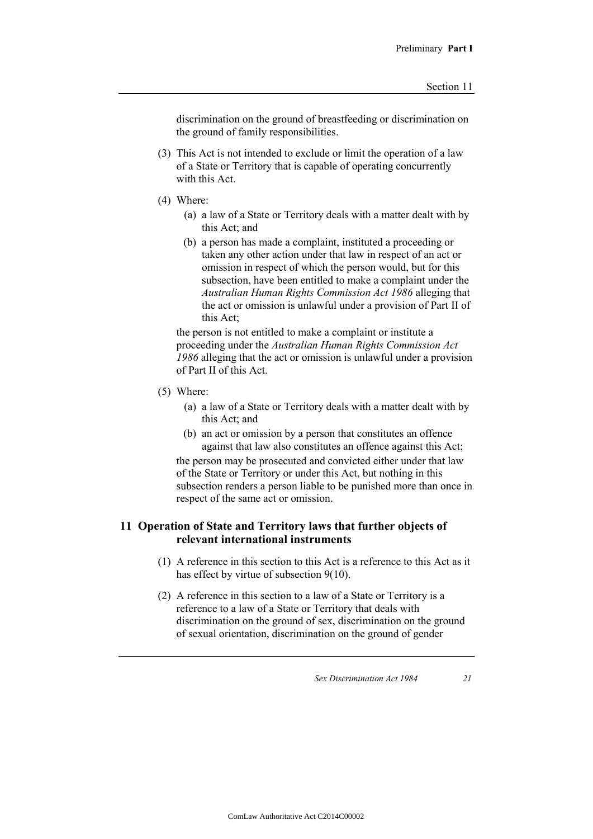discrimination on the ground of breastfeeding or discrimination on the ground of family responsibilities.

- (3) This Act is not intended to exclude or limit the operation of a law of a State or Territory that is capable of operating concurrently with this Act.
- (4) Where:
	- (a) a law of a State or Territory deals with a matter dealt with by this Act; and
	- (b) a person has made a complaint, instituted a proceeding or taken any other action under that law in respect of an act or omission in respect of which the person would, but for this subsection, have been entitled to make a complaint under the *Australian Human Rights Commission Act 1986* alleging that the act or omission is unlawful under a provision of Part II of this Act;

the person is not entitled to make a complaint or institute a proceeding under the *Australian Human Rights Commission Act 1986* alleging that the act or omission is unlawful under a provision of Part II of this Act.

- (5) Where:
	- (a) a law of a State or Territory deals with a matter dealt with by this Act; and
	- (b) an act or omission by a person that constitutes an offence against that law also constitutes an offence against this Act;

the person may be prosecuted and convicted either under that law of the State or Territory or under this Act, but nothing in this subsection renders a person liable to be punished more than once in respect of the same act or omission.

# **11 Operation of State and Territory laws that further objects of relevant international instruments**

- (1) A reference in this section to this Act is a reference to this Act as it has effect by virtue of subsection 9(10).
- (2) A reference in this section to a law of a State or Territory is a reference to a law of a State or Territory that deals with discrimination on the ground of sex, discrimination on the ground of sexual orientation, discrimination on the ground of gender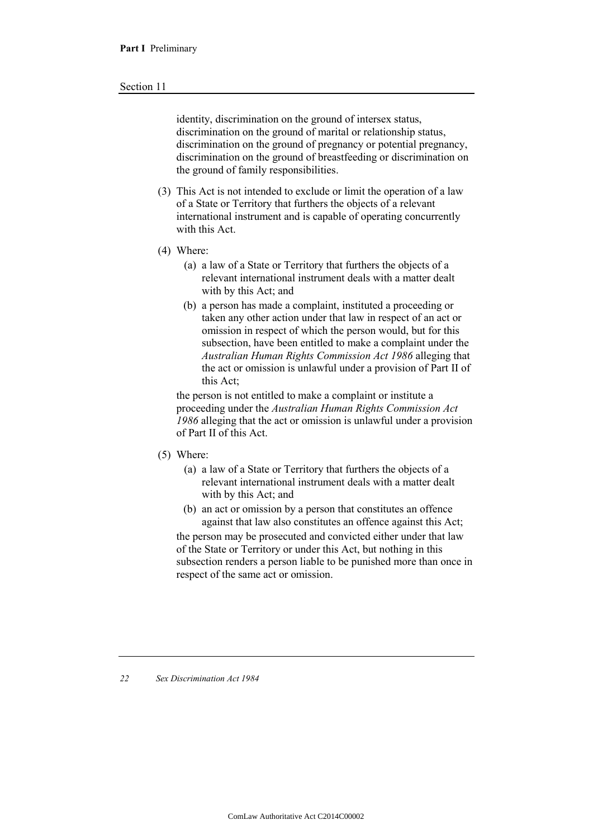identity, discrimination on the ground of intersex status, discrimination on the ground of marital or relationship status, discrimination on the ground of pregnancy or potential pregnancy, discrimination on the ground of breastfeeding or discrimination on the ground of family responsibilities.

- (3) This Act is not intended to exclude or limit the operation of a law of a State or Territory that furthers the objects of a relevant international instrument and is capable of operating concurrently with this Act.
- (4) Where:
	- (a) a law of a State or Territory that furthers the objects of a relevant international instrument deals with a matter dealt with by this Act; and
	- (b) a person has made a complaint, instituted a proceeding or taken any other action under that law in respect of an act or omission in respect of which the person would, but for this subsection, have been entitled to make a complaint under the *Australian Human Rights Commission Act 1986* alleging that the act or omission is unlawful under a provision of Part II of this Act;

the person is not entitled to make a complaint or institute a proceeding under the *Australian Human Rights Commission Act 1986* alleging that the act or omission is unlawful under a provision of Part II of this Act.

#### (5) Where:

- (a) a law of a State or Territory that furthers the objects of a relevant international instrument deals with a matter dealt with by this Act; and
- (b) an act or omission by a person that constitutes an offence against that law also constitutes an offence against this Act;

the person may be prosecuted and convicted either under that law of the State or Territory or under this Act, but nothing in this subsection renders a person liable to be punished more than once in respect of the same act or omission.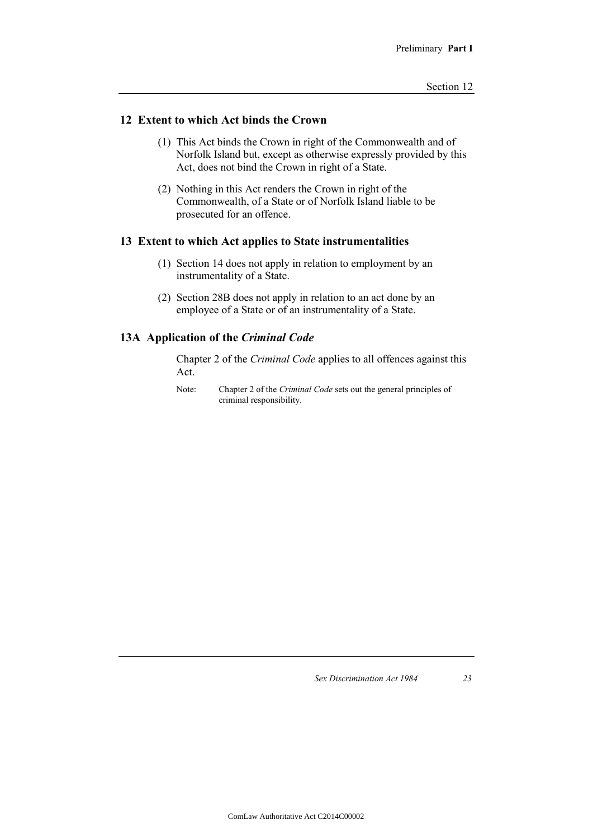### **12 Extent to which Act binds the Crown**

- (1) This Act binds the Crown in right of the Commonwealth and of Norfolk Island but, except as otherwise expressly provided by this Act, does not bind the Crown in right of a State.
- (2) Nothing in this Act renders the Crown in right of the Commonwealth, of a State or of Norfolk Island liable to be prosecuted for an offence.

#### **13 Extent to which Act applies to State instrumentalities**

- (1) Section 14 does not apply in relation to employment by an instrumentality of a State.
- (2) Section 28B does not apply in relation to an act done by an employee of a State or of an instrumentality of a State.

# **13A Application of the** *Criminal Code*

Chapter 2 of the *Criminal Code* applies to all offences against this Act.

Note: Chapter 2 of the *Criminal Code* sets out the general principles of criminal responsibility.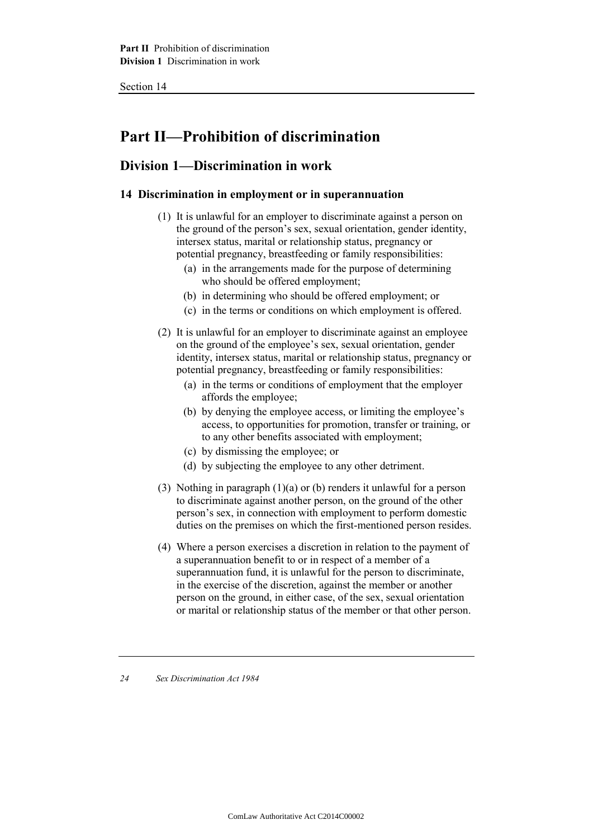# **Part II—Prohibition of discrimination**

# **Division 1—Discrimination in work**

# **14 Discrimination in employment or in superannuation**

- (1) It is unlawful for an employer to discriminate against a person on the ground of the person's sex, sexual orientation, gender identity, intersex status, marital or relationship status, pregnancy or potential pregnancy, breastfeeding or family responsibilities:
	- (a) in the arrangements made for the purpose of determining who should be offered employment;
	- (b) in determining who should be offered employment; or
	- (c) in the terms or conditions on which employment is offered.
- (2) It is unlawful for an employer to discriminate against an employee on the ground of the employee's sex, sexual orientation, gender identity, intersex status, marital or relationship status, pregnancy or potential pregnancy, breastfeeding or family responsibilities:
	- (a) in the terms or conditions of employment that the employer affords the employee;
	- (b) by denying the employee access, or limiting the employee's access, to opportunities for promotion, transfer or training, or to any other benefits associated with employment;
	- (c) by dismissing the employee; or
	- (d) by subjecting the employee to any other detriment.
- (3) Nothing in paragraph  $(1)(a)$  or (b) renders it unlawful for a person to discriminate against another person, on the ground of the other person's sex, in connection with employment to perform domestic duties on the premises on which the first-mentioned person resides.
- (4) Where a person exercises a discretion in relation to the payment of a superannuation benefit to or in respect of a member of a superannuation fund, it is unlawful for the person to discriminate, in the exercise of the discretion, against the member or another person on the ground, in either case, of the sex, sexual orientation or marital or relationship status of the member or that other person.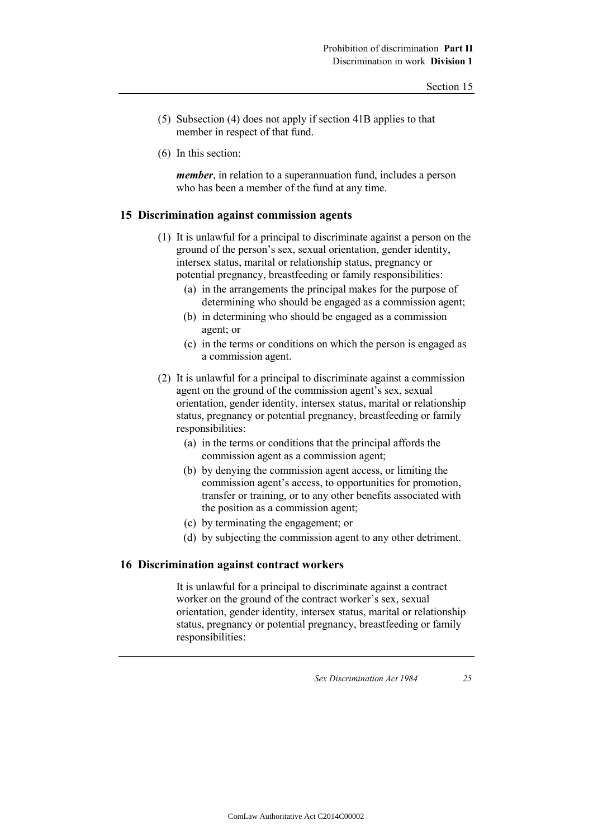- (5) Subsection (4) does not apply if section 41B applies to that member in respect of that fund.
- (6) In this section:

*member*, in relation to a superannuation fund, includes a person who has been a member of the fund at any time.

#### **15 Discrimination against commission agents**

- (1) It is unlawful for a principal to discriminate against a person on the ground of the person's sex, sexual orientation, gender identity, intersex status, marital or relationship status, pregnancy or potential pregnancy, breastfeeding or family responsibilities:
	- (a) in the arrangements the principal makes for the purpose of determining who should be engaged as a commission agent;
	- (b) in determining who should be engaged as a commission agent; or
	- (c) in the terms or conditions on which the person is engaged as a commission agent.
- (2) It is unlawful for a principal to discriminate against a commission agent on the ground of the commission agent's sex, sexual orientation, gender identity, intersex status, marital or relationship status, pregnancy or potential pregnancy, breastfeeding or family responsibilities:
	- (a) in the terms or conditions that the principal affords the commission agent as a commission agent;
	- (b) by denying the commission agent access, or limiting the commission agent's access, to opportunities for promotion, transfer or training, or to any other benefits associated with the position as a commission agent;
	- (c) by terminating the engagement; or
	- (d) by subjecting the commission agent to any other detriment.

#### **16 Discrimination against contract workers**

It is unlawful for a principal to discriminate against a contract worker on the ground of the contract worker's sex, sexual orientation, gender identity, intersex status, marital or relationship status, pregnancy or potential pregnancy, breastfeeding or family responsibilities: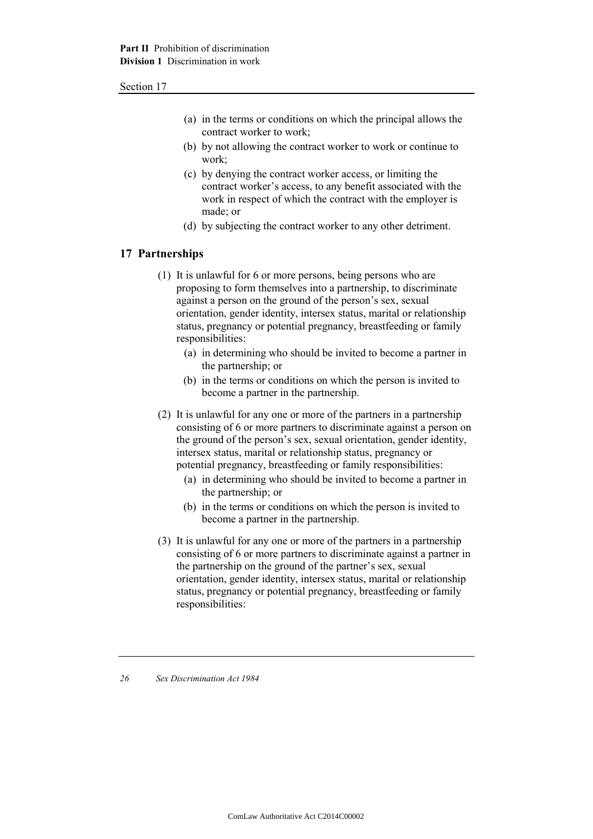- (a) in the terms or conditions on which the principal allows the contract worker to work;
- (b) by not allowing the contract worker to work or continue to work;
- (c) by denying the contract worker access, or limiting the contract worker's access, to any benefit associated with the work in respect of which the contract with the employer is made; or
- (d) by subjecting the contract worker to any other detriment.

# **17 Partnerships**

- (1) It is unlawful for 6 or more persons, being persons who are proposing to form themselves into a partnership, to discriminate against a person on the ground of the person's sex, sexual orientation, gender identity, intersex status, marital or relationship status, pregnancy or potential pregnancy, breastfeeding or family responsibilities:
	- (a) in determining who should be invited to become a partner in the partnership; or
	- (b) in the terms or conditions on which the person is invited to become a partner in the partnership.
- (2) It is unlawful for any one or more of the partners in a partnership consisting of 6 or more partners to discriminate against a person on the ground of the person's sex, sexual orientation, gender identity, intersex status, marital or relationship status, pregnancy or potential pregnancy, breastfeeding or family responsibilities:
	- (a) in determining who should be invited to become a partner in the partnership; or
	- (b) in the terms or conditions on which the person is invited to become a partner in the partnership.
- (3) It is unlawful for any one or more of the partners in a partnership consisting of 6 or more partners to discriminate against a partner in the partnership on the ground of the partner's sex, sexual orientation, gender identity, intersex status, marital or relationship status, pregnancy or potential pregnancy, breastfeeding or family responsibilities: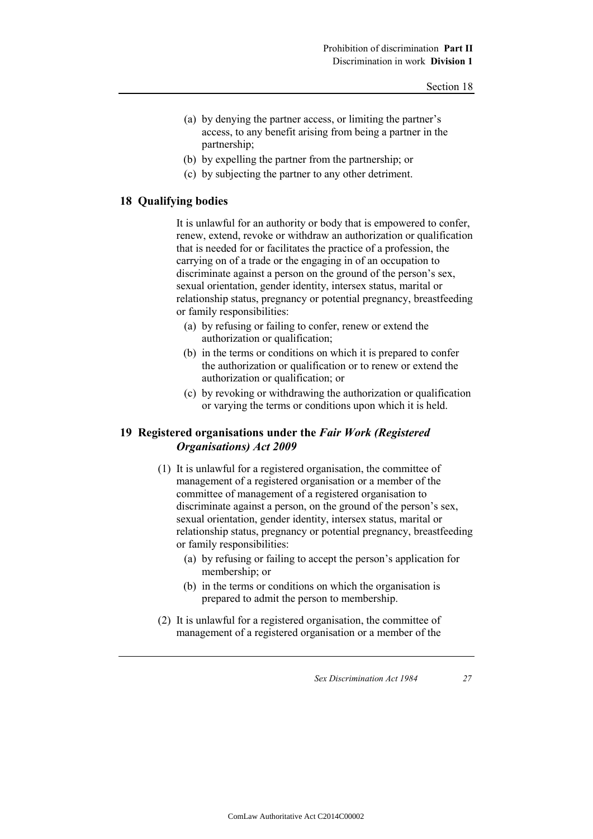- (a) by denying the partner access, or limiting the partner's access, to any benefit arising from being a partner in the partnership;
- (b) by expelling the partner from the partnership; or
- (c) by subjecting the partner to any other detriment.

#### **18 Qualifying bodies**

It is unlawful for an authority or body that is empowered to confer, renew, extend, revoke or withdraw an authorization or qualification that is needed for or facilitates the practice of a profession, the carrying on of a trade or the engaging in of an occupation to discriminate against a person on the ground of the person's sex, sexual orientation, gender identity, intersex status, marital or relationship status, pregnancy or potential pregnancy, breastfeeding or family responsibilities:

- (a) by refusing or failing to confer, renew or extend the authorization or qualification;
- (b) in the terms or conditions on which it is prepared to confer the authorization or qualification or to renew or extend the authorization or qualification; or
- (c) by revoking or withdrawing the authorization or qualification or varying the terms or conditions upon which it is held.

### **19****Registered organisations under the** *Fair Work (Registered Organisations) Act 2009*

- (1) It is unlawful for a registered organisation, the committee of management of a registered organisation or a member of the committee of management of a registered organisation to discriminate against a person, on the ground of the person's sex, sexual orientation, gender identity, intersex status, marital or relationship status, pregnancy or potential pregnancy, breastfeeding or family responsibilities:
	- (a) by refusing or failing to accept the person's application for membership; or
	- (b) in the terms or conditions on which the organisation is prepared to admit the person to membership.
- (2) It is unlawful for a registered organisation, the committee of management of a registered organisation or a member of the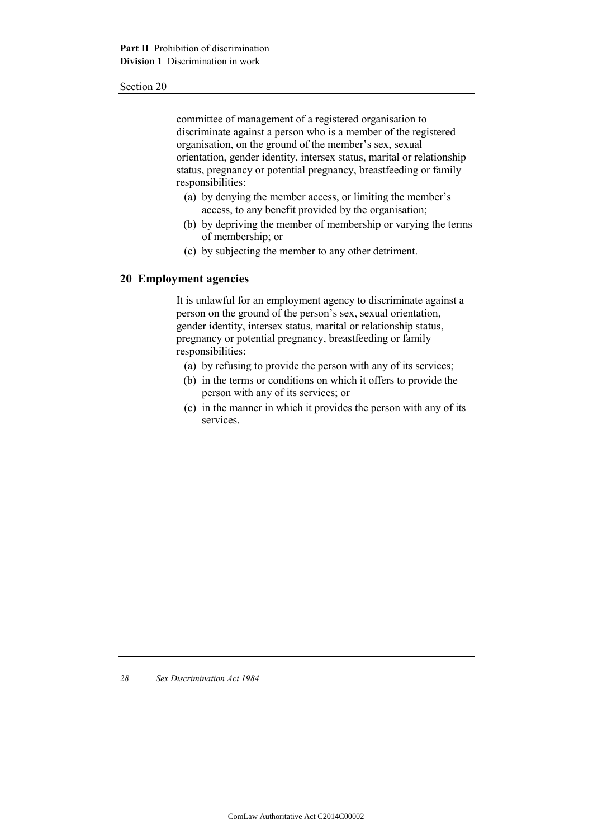committee of management of a registered organisation to discriminate against a person who is a member of the registered organisation, on the ground of the member's sex, sexual orientation, gender identity, intersex status, marital or relationship status, pregnancy or potential pregnancy, breastfeeding or family responsibilities:

- (a) by denying the member access, or limiting the member's access, to any benefit provided by the organisation;
- (b) by depriving the member of membership or varying the terms of membership; or
- (c) by subjecting the member to any other detriment.

#### **20 Employment agencies**

It is unlawful for an employment agency to discriminate against a person on the ground of the person's sex, sexual orientation, gender identity, intersex status, marital or relationship status, pregnancy or potential pregnancy, breastfeeding or family responsibilities:

- (a) by refusing to provide the person with any of its services;
- (b) in the terms or conditions on which it offers to provide the person with any of its services; or
- (c) in the manner in which it provides the person with any of its services.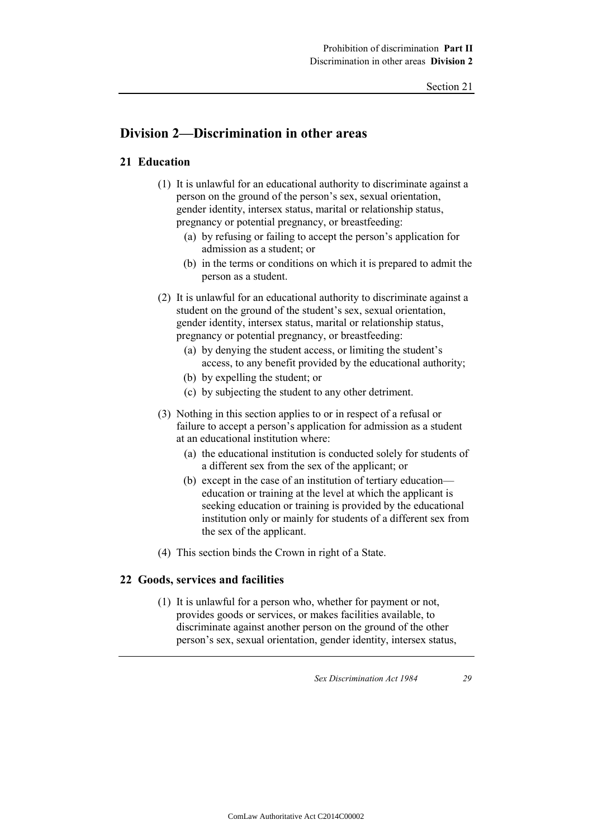# **Division 2—Discrimination in other areas**

# **21 Education**

- (1) It is unlawful for an educational authority to discriminate against a person on the ground of the person's sex, sexual orientation, gender identity, intersex status, marital or relationship status, pregnancy or potential pregnancy, or breastfeeding:
	- (a) by refusing or failing to accept the person's application for admission as a student; or
	- (b) in the terms or conditions on which it is prepared to admit the person as a student.
- (2) It is unlawful for an educational authority to discriminate against a student on the ground of the student's sex, sexual orientation, gender identity, intersex status, marital or relationship status, pregnancy or potential pregnancy, or breastfeeding:
	- (a) by denying the student access, or limiting the student's access, to any benefit provided by the educational authority;
	- (b) by expelling the student; or
	- (c) by subjecting the student to any other detriment.
- (3) Nothing in this section applies to or in respect of a refusal or failure to accept a person's application for admission as a student at an educational institution where:
	- (a) the educational institution is conducted solely for students of a different sex from the sex of the applicant; or
	- (b) except in the case of an institution of tertiary education education or training at the level at which the applicant is seeking education or training is provided by the educational institution only or mainly for students of a different sex from the sex of the applicant.
- (4) This section binds the Crown in right of a State.

# **22 Goods, services and facilities**

(1) It is unlawful for a person who, whether for payment or not, provides goods or services, or makes facilities available, to discriminate against another person on the ground of the other person's sex, sexual orientation, gender identity, intersex status,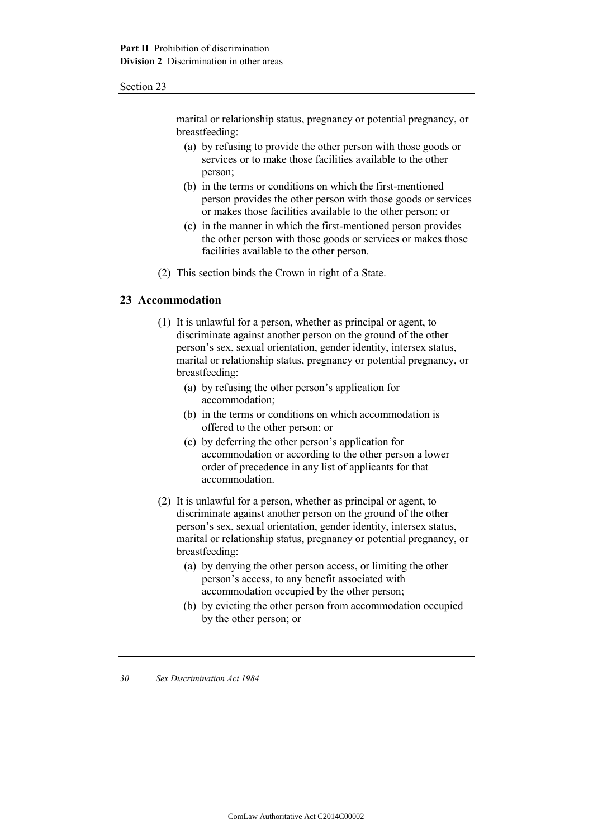marital or relationship status, pregnancy or potential pregnancy, or breastfeeding:

- (a) by refusing to provide the other person with those goods or services or to make those facilities available to the other person;
- (b) in the terms or conditions on which the first-mentioned person provides the other person with those goods or services or makes those facilities available to the other person; or
- (c) in the manner in which the first-mentioned person provides the other person with those goods or services or makes those facilities available to the other person.
- (2) This section binds the Crown in right of a State.

# **23 Accommodation**

- (1) It is unlawful for a person, whether as principal or agent, to discriminate against another person on the ground of the other person's sex, sexual orientation, gender identity, intersex status, marital or relationship status, pregnancy or potential pregnancy, or breastfeeding:
	- (a) by refusing the other person's application for accommodation;
	- (b) in the terms or conditions on which accommodation is offered to the other person; or
	- (c) by deferring the other person's application for accommodation or according to the other person a lower order of precedence in any list of applicants for that accommodation.
- (2) It is unlawful for a person, whether as principal or agent, to discriminate against another person on the ground of the other person's sex, sexual orientation, gender identity, intersex status, marital or relationship status, pregnancy or potential pregnancy, or breastfeeding:
	- (a) by denying the other person access, or limiting the other person's access, to any benefit associated with accommodation occupied by the other person;
	- (b) by evicting the other person from accommodation occupied by the other person; or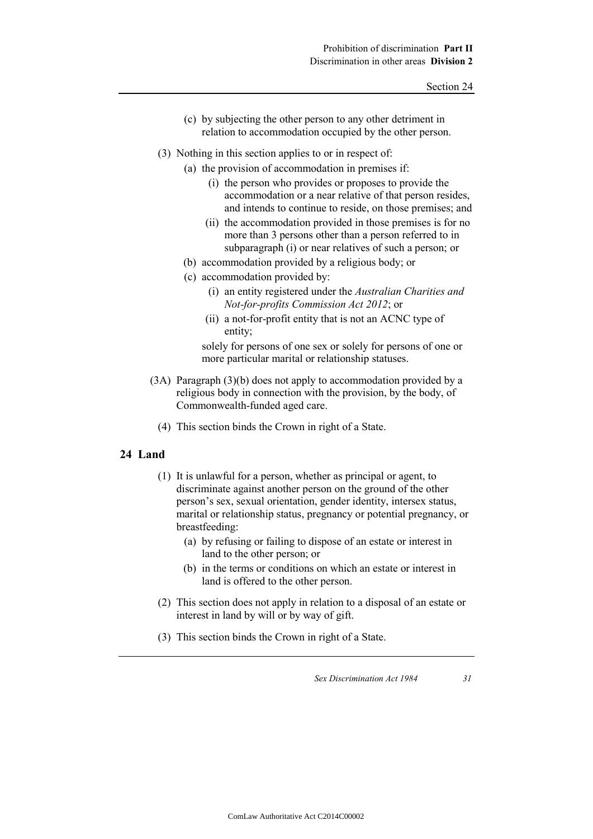- (c) by subjecting the other person to any other detriment in relation to accommodation occupied by the other person.
- (3) Nothing in this section applies to or in respect of:
	- (a) the provision of accommodation in premises if:
		- (i) the person who provides or proposes to provide the accommodation or a near relative of that person resides, and intends to continue to reside, on those premises; and
		- (ii) the accommodation provided in those premises is for no more than 3 persons other than a person referred to in subparagraph (i) or near relatives of such a person; or
	- (b) accommodation provided by a religious body; or
	- (c) accommodation provided by:
		- (i) an entity registered under the *Australian Charities and Not-for-profits Commission Act 2012*; or
		- (ii) a not-for-profit entity that is not an ACNC type of entity;

solely for persons of one sex or solely for persons of one or more particular marital or relationship statuses.

- (3A) Paragraph (3)(b) does not apply to accommodation provided by a religious body in connection with the provision, by the body, of Commonwealth-funded aged care.
	- (4) This section binds the Crown in right of a State.

## **24 Land**

- (1) It is unlawful for a person, whether as principal or agent, to discriminate against another person on the ground of the other person's sex, sexual orientation, gender identity, intersex status, marital or relationship status, pregnancy or potential pregnancy, or breastfeeding:
	- (a) by refusing or failing to dispose of an estate or interest in land to the other person; or
	- (b) in the terms or conditions on which an estate or interest in land is offered to the other person.
- (2) This section does not apply in relation to a disposal of an estate or interest in land by will or by way of gift.
- (3) This section binds the Crown in right of a State.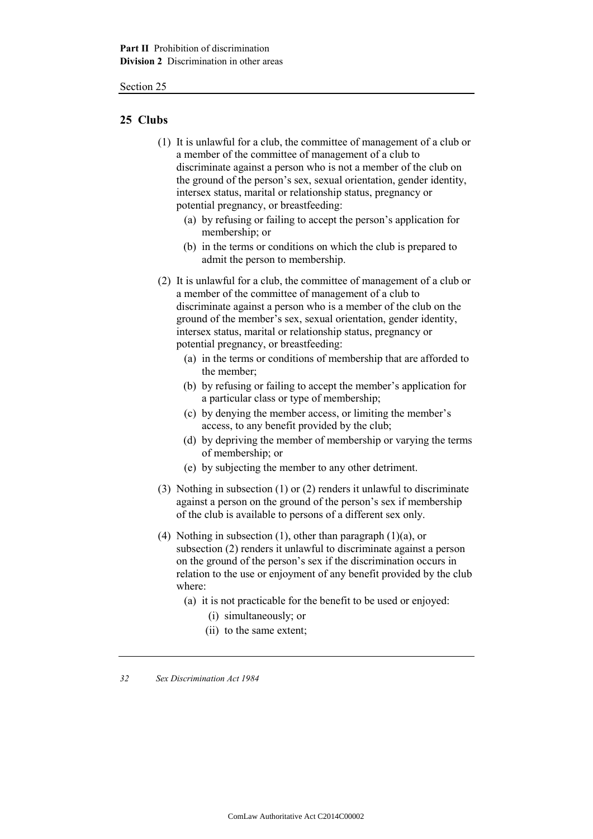## **25 Clubs**

- (1) It is unlawful for a club, the committee of management of a club or a member of the committee of management of a club to discriminate against a person who is not a member of the club on the ground of the person's sex, sexual orientation, gender identity, intersex status, marital or relationship status, pregnancy or potential pregnancy, or breastfeeding:
	- (a) by refusing or failing to accept the person's application for membership; or
	- (b) in the terms or conditions on which the club is prepared to admit the person to membership.
- (2) It is unlawful for a club, the committee of management of a club or a member of the committee of management of a club to discriminate against a person who is a member of the club on the ground of the member's sex, sexual orientation, gender identity, intersex status, marital or relationship status, pregnancy or potential pregnancy, or breastfeeding:
	- (a) in the terms or conditions of membership that are afforded to the member;
	- (b) by refusing or failing to accept the member's application for a particular class or type of membership;
	- (c) by denying the member access, or limiting the member's access, to any benefit provided by the club;
	- (d) by depriving the member of membership or varying the terms of membership; or
	- (e) by subjecting the member to any other detriment.
- (3) Nothing in subsection (1) or (2) renders it unlawful to discriminate against a person on the ground of the person's sex if membership of the club is available to persons of a different sex only.
- (4) Nothing in subsection (1), other than paragraph  $(1)(a)$ , or subsection (2) renders it unlawful to discriminate against a person on the ground of the person's sex if the discrimination occurs in relation to the use or enjoyment of any benefit provided by the club where:
	- (a) it is not practicable for the benefit to be used or enjoyed:
		- (i) simultaneously; or
		- (ii) to the same extent;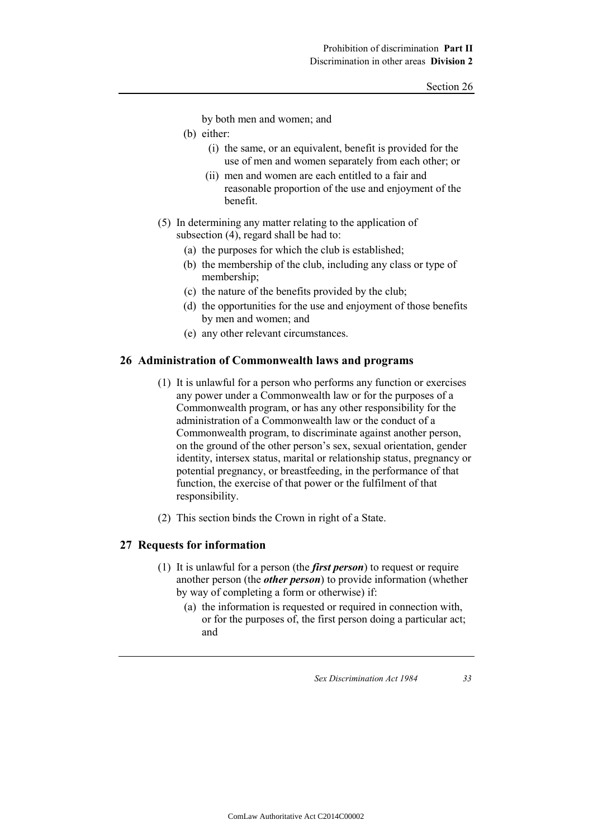by both men and women; and

- (b) either:
	- (i) the same, or an equivalent, benefit is provided for the use of men and women separately from each other; or
	- (ii) men and women are each entitled to a fair and reasonable proportion of the use and enjoyment of the benefit.
- (5) In determining any matter relating to the application of subsection (4), regard shall be had to:
	- (a) the purposes for which the club is established;
	- (b) the membership of the club, including any class or type of membership;
	- (c) the nature of the benefits provided by the club;
	- (d) the opportunities for the use and enjoyment of those benefits by men and women; and
	- (e) any other relevant circumstances.

## **26 Administration of Commonwealth laws and programs**

- (1) It is unlawful for a person who performs any function or exercises any power under a Commonwealth law or for the purposes of a Commonwealth program, or has any other responsibility for the administration of a Commonwealth law or the conduct of a Commonwealth program, to discriminate against another person, on the ground of the other person's sex, sexual orientation, gender identity, intersex status, marital or relationship status, pregnancy or potential pregnancy, or breastfeeding, in the performance of that function, the exercise of that power or the fulfilment of that responsibility.
- (2) This section binds the Crown in right of a State.

## **27 Requests for information**

- (1) It is unlawful for a person (the *first person*) to request or require another person (the *other person*) to provide information (whether by way of completing a form or otherwise) if:
	- (a) the information is requested or required in connection with, or for the purposes of, the first person doing a particular act; and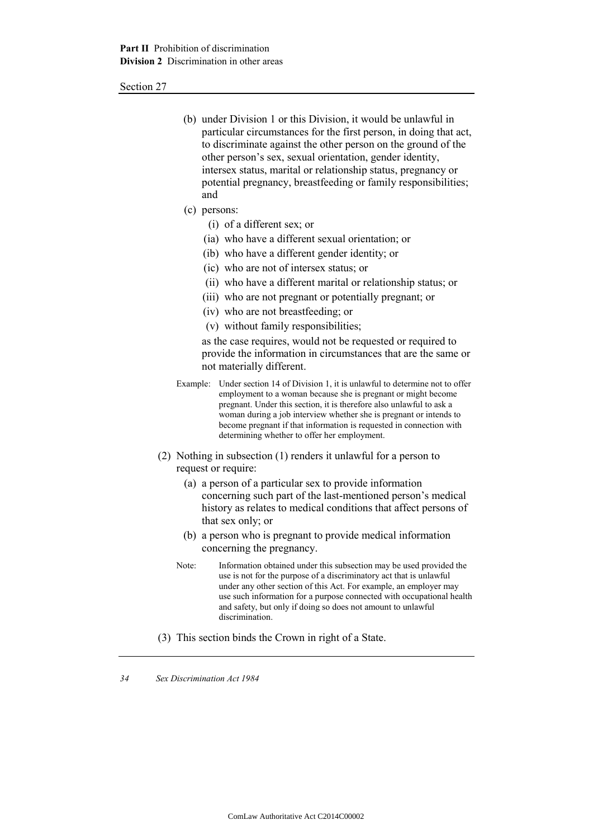|                                                          | (b) under Division 1 or this Division, it would be unlawful in    |  |  |  |
|----------------------------------------------------------|-------------------------------------------------------------------|--|--|--|
|                                                          | particular circumstances for the first person, in doing that act, |  |  |  |
|                                                          | to discriminate against the other person on the ground of the     |  |  |  |
| other person's sex, sexual orientation, gender identity, |                                                                   |  |  |  |
|                                                          | intersex status, marital or relationship status, pregnancy or     |  |  |  |
|                                                          | potential pregnancy, breastfeeding or family responsibilities;    |  |  |  |
|                                                          | and                                                               |  |  |  |

- (c) persons:
	- (i) of a different sex; or
	- (ia) who have a different sexual orientation; or
	- (ib) who have a different gender identity; or
	- (ic) who are not of intersex status; or
	- (ii) who have a different marital or relationship status; or
	- (iii) who are not pregnant or potentially pregnant; or
	- (iv) who are not breastfeeding; or
	- (v) without family responsibilities;

as the case requires, would not be requested or required to provide the information in circumstances that are the same or not materially different.

- Example: Under section 14 of Division 1, it is unlawful to determine not to offer employment to a woman because she is pregnant or might become pregnant. Under this section, it is therefore also unlawful to ask a woman during a job interview whether she is pregnant or intends to become pregnant if that information is requested in connection with determining whether to offer her employment.
- (2) Nothing in subsection (1) renders it unlawful for a person to request or require:
	- (a) a person of a particular sex to provide information concerning such part of the last-mentioned person's medical history as relates to medical conditions that affect persons of that sex only; or
	- (b) a person who is pregnant to provide medical information concerning the pregnancy.
	- Note: Information obtained under this subsection may be used provided the use is not for the purpose of a discriminatory act that is unlawful under any other section of this Act. For example, an employer may use such information for a purpose connected with occupational health and safety, but only if doing so does not amount to unlawful discrimination.
- (3) This section binds the Crown in right of a State.
- *34 Sex Discrimination Act 1984*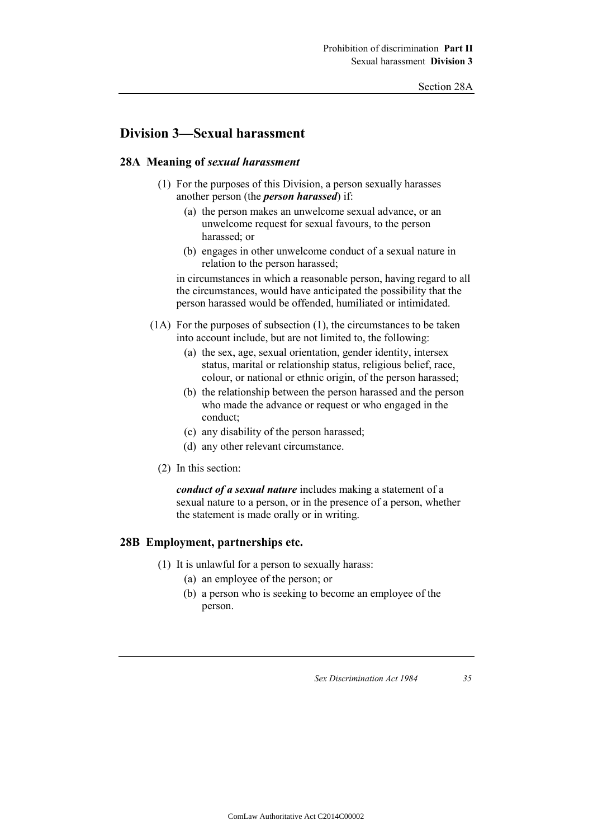## **Division 3—Sexual harassment**

## **28A Meaning of** *sexual harassment*

- (1) For the purposes of this Division, a person sexually harasses another person (the *person harassed*) if:
	- (a) the person makes an unwelcome sexual advance, or an unwelcome request for sexual favours, to the person harassed; or
	- (b) engages in other unwelcome conduct of a sexual nature in relation to the person harassed;

in circumstances in which a reasonable person, having regard to all the circumstances, would have anticipated the possibility that the person harassed would be offended, humiliated or intimidated.

- (1A) For the purposes of subsection (1), the circumstances to be taken into account include, but are not limited to, the following:
	- (a) the sex, age, sexual orientation, gender identity, intersex status, marital or relationship status, religious belief, race, colour, or national or ethnic origin, of the person harassed;
	- (b) the relationship between the person harassed and the person who made the advance or request or who engaged in the conduct;
	- (c) any disability of the person harassed;
	- (d) any other relevant circumstance.
	- (2) In this section:

*conduct of a sexual nature* includes making a statement of a sexual nature to a person, or in the presence of a person, whether the statement is made orally or in writing.

## **28B Employment, partnerships etc.**

- (1) It is unlawful for a person to sexually harass:
	- (a) an employee of the person; or
	- (b) a person who is seeking to become an employee of the person.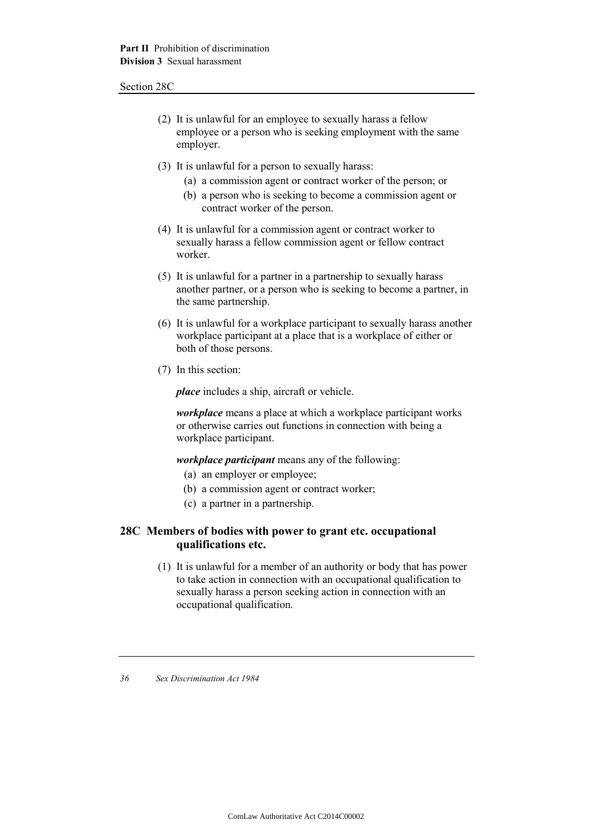#### Section 28C

- (2) It is unlawful for an employee to sexually harass a fellow employee or a person who is seeking employment with the same employer.
- (3) It is unlawful for a person to sexually harass:
	- (a) a commission agent or contract worker of the person; or
	- (b) a person who is seeking to become a commission agent or contract worker of the person.
- (4) It is unlawful for a commission agent or contract worker to sexually harass a fellow commission agent or fellow contract worker.
- (5) It is unlawful for a partner in a partnership to sexually harass another partner, or a person who is seeking to become a partner, in the same partnership.
- (6) It is unlawful for a workplace participant to sexually harass another workplace participant at a place that is a workplace of either or both of those persons.
- (7) In this section:

*place* includes a ship, aircraft or vehicle.

*workplace* means a place at which a workplace participant works or otherwise carries out functions in connection with being a workplace participant.

#### *workplace participant* means any of the following:

- (a) an employer or employee;
- (b) a commission agent or contract worker;
- (c) a partner in a partnership.

## **28C Members of bodies with power to grant etc. occupational qualifications etc.**

(1) It is unlawful for a member of an authority or body that has power to take action in connection with an occupational qualification to sexually harass a person seeking action in connection with an occupational qualification.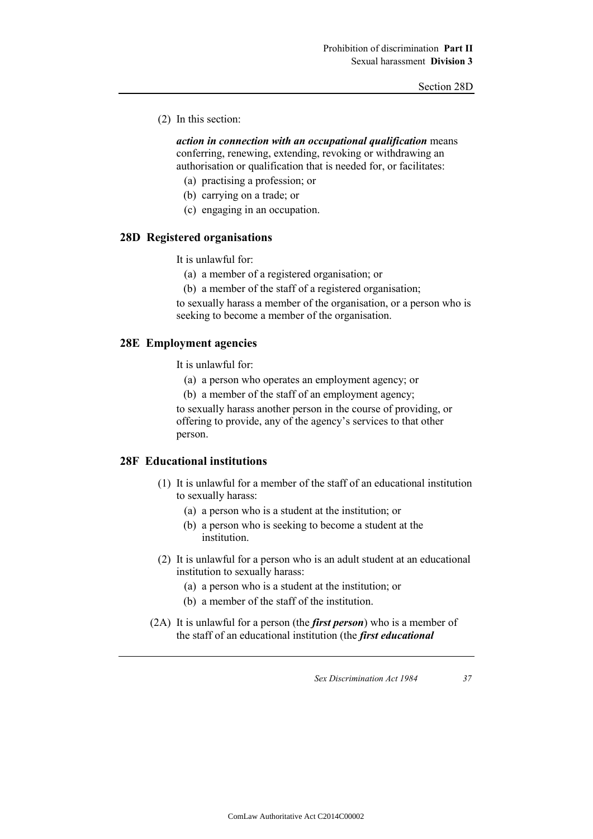(2) In this section:

*action in connection with an occupational qualification* means conferring, renewing, extending, revoking or withdrawing an authorisation or qualification that is needed for, or facilitates:

- (a) practising a profession; or
- (b) carrying on a trade; or
- (c) engaging in an occupation.

## **28D Registered organisations**

It is unlawful for:

- (a) a member of a registered organisation; or
- (b) a member of the staff of a registered organisation;

to sexually harass a member of the organisation, or a person who is seeking to become a member of the organisation.

#### **28E Employment agencies**

It is unlawful for:

- (a) a person who operates an employment agency; or
- (b) a member of the staff of an employment agency;

to sexually harass another person in the course of providing, or offering to provide, any of the agency's services to that other person.

## **28F Educational institutions**

- (1) It is unlawful for a member of the staff of an educational institution to sexually harass:
	- (a) a person who is a student at the institution; or
	- (b) a person who is seeking to become a student at the institution.
- (2) It is unlawful for a person who is an adult student at an educational institution to sexually harass:
	- (a) a person who is a student at the institution; or
	- (b) a member of the staff of the institution.
- (2A) It is unlawful for a person (the *first person*) who is a member of the staff of an educational institution (the *first educational*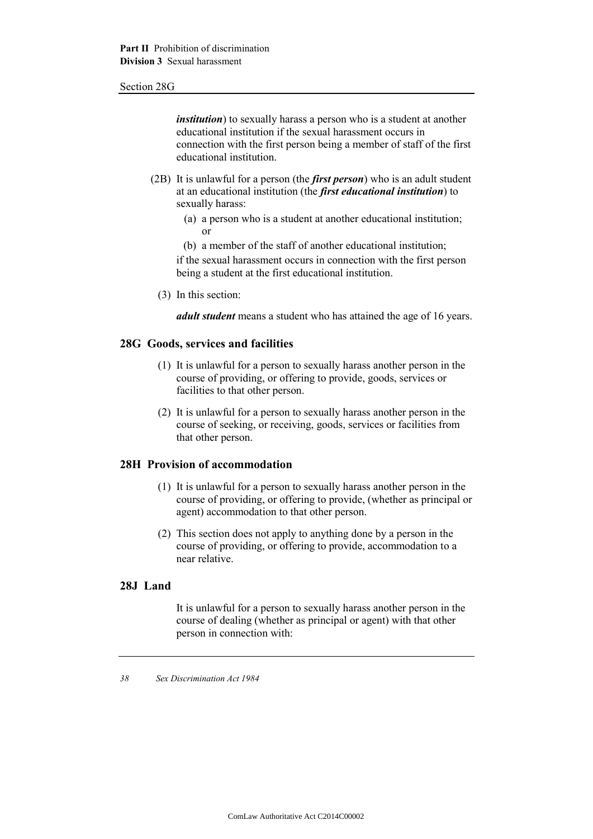#### Section 28G

*institution*) to sexually harass a person who is a student at another educational institution if the sexual harassment occurs in connection with the first person being a member of staff of the first educational institution.

- (2B) It is unlawful for a person (the *first person*) who is an adult student at an educational institution (the *first educational institution*) to sexually harass:
	- (a) a person who is a student at another educational institution; or
	- (b) a member of the staff of another educational institution;

if the sexual harassment occurs in connection with the first person being a student at the first educational institution.

(3) In this section:

*adult student* means a student who has attained the age of 16 years.

## **28G Goods, services and facilities**

- (1) It is unlawful for a person to sexually harass another person in the course of providing, or offering to provide, goods, services or facilities to that other person.
- (2) It is unlawful for a person to sexually harass another person in the course of seeking, or receiving, goods, services or facilities from that other person.

## **28H Provision of accommodation**

- (1) It is unlawful for a person to sexually harass another person in the course of providing, or offering to provide, (whether as principal or agent) accommodation to that other person.
- (2) This section does not apply to anything done by a person in the course of providing, or offering to provide, accommodation to a near relative.

## **28J Land**

It is unlawful for a person to sexually harass another person in the course of dealing (whether as principal or agent) with that other person in connection with: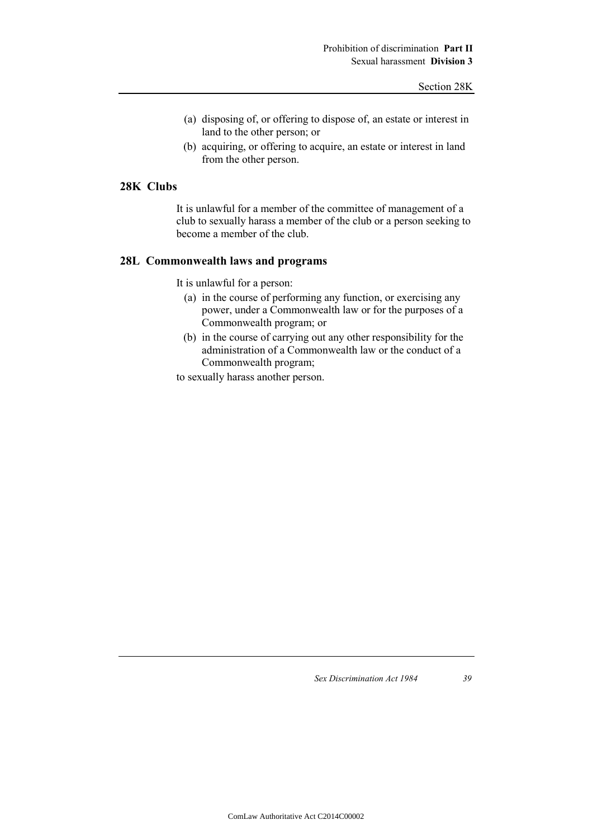- (a) disposing of, or offering to dispose of, an estate or interest in land to the other person; or
- (b) acquiring, or offering to acquire, an estate or interest in land from the other person.

## **28K Clubs**

It is unlawful for a member of the committee of management of a club to sexually harass a member of the club or a person seeking to become a member of the club.

## **28L Commonwealth laws and programs**

It is unlawful for a person:

- (a) in the course of performing any function, or exercising any power, under a Commonwealth law or for the purposes of a Commonwealth program; or
- (b) in the course of carrying out any other responsibility for the administration of a Commonwealth law or the conduct of a Commonwealth program;

to sexually harass another person.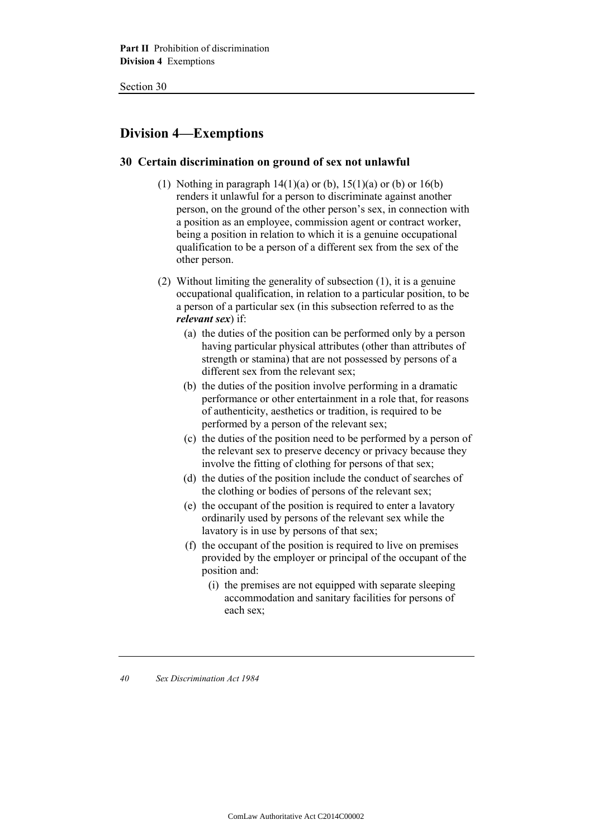## **Division 4—Exemptions**

## **30 Certain discrimination on ground of sex not unlawful**

- (1) Nothing in paragraph  $14(1)(a)$  or (b),  $15(1)(a)$  or (b) or  $16(b)$ renders it unlawful for a person to discriminate against another person, on the ground of the other person's sex, in connection with a position as an employee, commission agent or contract worker, being a position in relation to which it is a genuine occupational qualification to be a person of a different sex from the sex of the other person.
- (2) Without limiting the generality of subsection (1), it is a genuine occupational qualification, in relation to a particular position, to be a person of a particular sex (in this subsection referred to as the *relevant sex*) if:
	- (a) the duties of the position can be performed only by a person having particular physical attributes (other than attributes of strength or stamina) that are not possessed by persons of a different sex from the relevant sex;
	- (b) the duties of the position involve performing in a dramatic performance or other entertainment in a role that, for reasons of authenticity, aesthetics or tradition, is required to be performed by a person of the relevant sex;
	- (c) the duties of the position need to be performed by a person of the relevant sex to preserve decency or privacy because they involve the fitting of clothing for persons of that sex;
	- (d) the duties of the position include the conduct of searches of the clothing or bodies of persons of the relevant sex;
	- (e) the occupant of the position is required to enter a lavatory ordinarily used by persons of the relevant sex while the lavatory is in use by persons of that sex;
	- (f) the occupant of the position is required to live on premises provided by the employer or principal of the occupant of the position and:
		- (i) the premises are not equipped with separate sleeping accommodation and sanitary facilities for persons of each sex;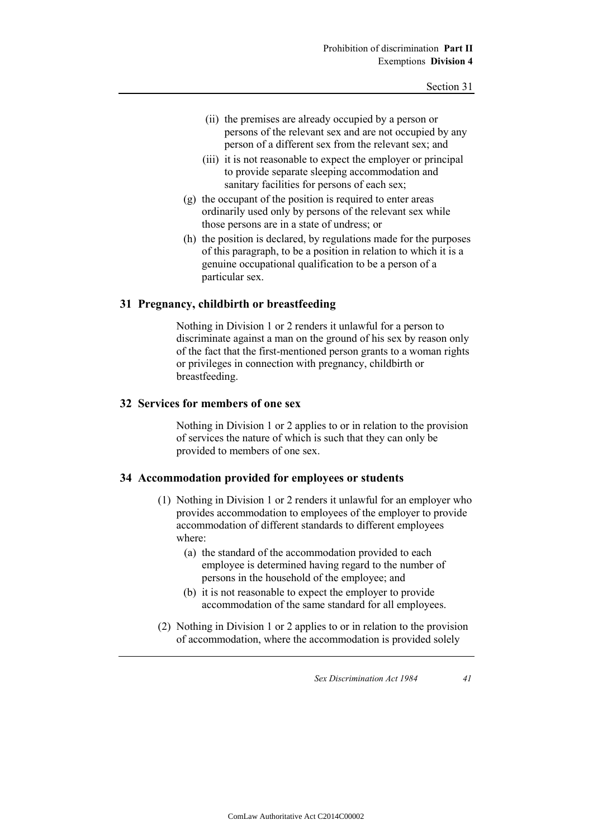- (ii) the premises are already occupied by a person or persons of the relevant sex and are not occupied by any person of a different sex from the relevant sex; and
- (iii) it is not reasonable to expect the employer or principal to provide separate sleeping accommodation and sanitary facilities for persons of each sex;
- (g) the occupant of the position is required to enter areas ordinarily used only by persons of the relevant sex while those persons are in a state of undress; or
- (h) the position is declared, by regulations made for the purposes of this paragraph, to be a position in relation to which it is a genuine occupational qualification to be a person of a particular sex.

## **31 Pregnancy, childbirth or breastfeeding**

Nothing in Division 1 or 2 renders it unlawful for a person to discriminate against a man on the ground of his sex by reason only of the fact that the first-mentioned person grants to a woman rights or privileges in connection with pregnancy, childbirth or breastfeeding.

## **32 Services for members of one sex**

Nothing in Division 1 or 2 applies to or in relation to the provision of services the nature of which is such that they can only be provided to members of one sex.

#### **34 Accommodation provided for employees or students**

- (1) Nothing in Division 1 or 2 renders it unlawful for an employer who provides accommodation to employees of the employer to provide accommodation of different standards to different employees where:
	- (a) the standard of the accommodation provided to each employee is determined having regard to the number of persons in the household of the employee; and
	- (b) it is not reasonable to expect the employer to provide accommodation of the same standard for all employees.
- (2) Nothing in Division 1 or 2 applies to or in relation to the provision of accommodation, where the accommodation is provided solely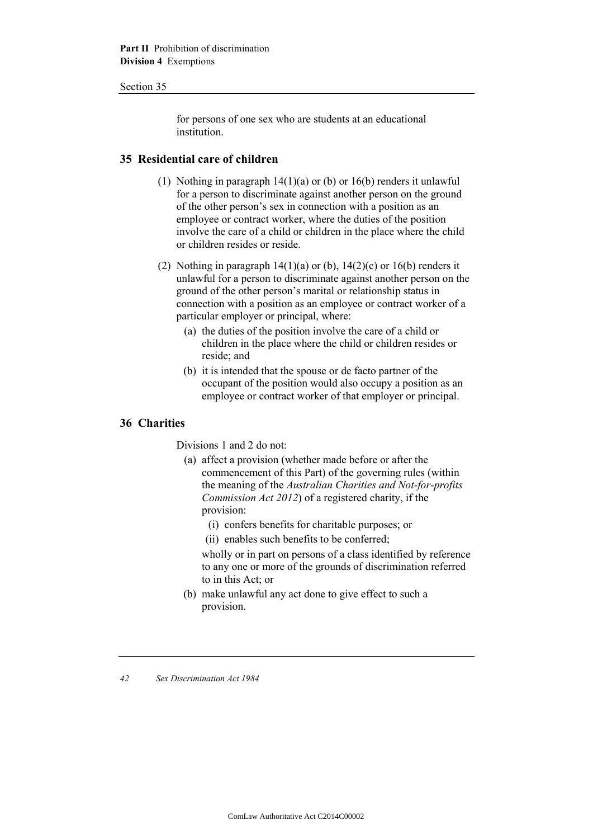for persons of one sex who are students at an educational institution.

## **35 Residential care of children**

- (1) Nothing in paragraph 14(1)(a) or (b) or 16(b) renders it unlawful for a person to discriminate against another person on the ground of the other person's sex in connection with a position as an employee or contract worker, where the duties of the position involve the care of a child or children in the place where the child or children resides or reside.
- (2) Nothing in paragraph  $14(1)(a)$  or (b),  $14(2)(c)$  or 16(b) renders it unlawful for a person to discriminate against another person on the ground of the other person's marital or relationship status in connection with a position as an employee or contract worker of a particular employer or principal, where:
	- (a) the duties of the position involve the care of a child or children in the place where the child or children resides or reside; and
	- (b) it is intended that the spouse or de facto partner of the occupant of the position would also occupy a position as an employee or contract worker of that employer or principal.

## **36 Charities**

Divisions 1 and 2 do not:

- (a) affect a provision (whether made before or after the commencement of this Part) of the governing rules (within the meaning of the *Australian Charities and Not-for-profits Commission Act 2012*) of a registered charity, if the provision:
	- (i) confers benefits for charitable purposes; or
	- (ii) enables such benefits to be conferred;

wholly or in part on persons of a class identified by reference to any one or more of the grounds of discrimination referred to in this Act; or

(b) make unlawful any act done to give effect to such a provision.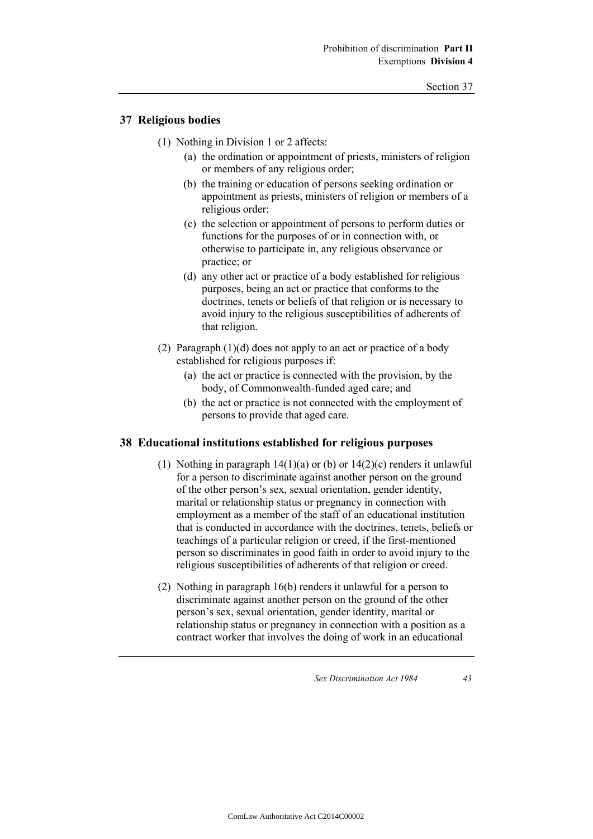## **37 Religious bodies**

- (1) Nothing in Division 1 or 2 affects:
	- (a) the ordination or appointment of priests, ministers of religion or members of any religious order;
	- (b) the training or education of persons seeking ordination or appointment as priests, ministers of religion or members of a religious order;
	- (c) the selection or appointment of persons to perform duties or functions for the purposes of or in connection with, or otherwise to participate in, any religious observance or practice; or
	- (d) any other act or practice of a body established for religious purposes, being an act or practice that conforms to the doctrines, tenets or beliefs of that religion or is necessary to avoid injury to the religious susceptibilities of adherents of that religion.
- (2) Paragraph (1)(d) does not apply to an act or practice of a body established for religious purposes if:
	- (a) the act or practice is connected with the provision, by the body, of Commonwealth-funded aged care; and
	- (b) the act or practice is not connected with the employment of persons to provide that aged care.

## **38 Educational institutions established for religious purposes**

- (1) Nothing in paragraph 14(1)(a) or (b) or 14(2)(c) renders it unlawful for a person to discriminate against another person on the ground of the other person's sex, sexual orientation, gender identity, marital or relationship status or pregnancy in connection with employment as a member of the staff of an educational institution that is conducted in accordance with the doctrines, tenets, beliefs or teachings of a particular religion or creed, if the first-mentioned person so discriminates in good faith in order to avoid injury to the religious susceptibilities of adherents of that religion or creed.
- (2) Nothing in paragraph 16(b) renders it unlawful for a person to discriminate against another person on the ground of the other person's sex, sexual orientation, gender identity, marital or relationship status or pregnancy in connection with a position as a contract worker that involves the doing of work in an educational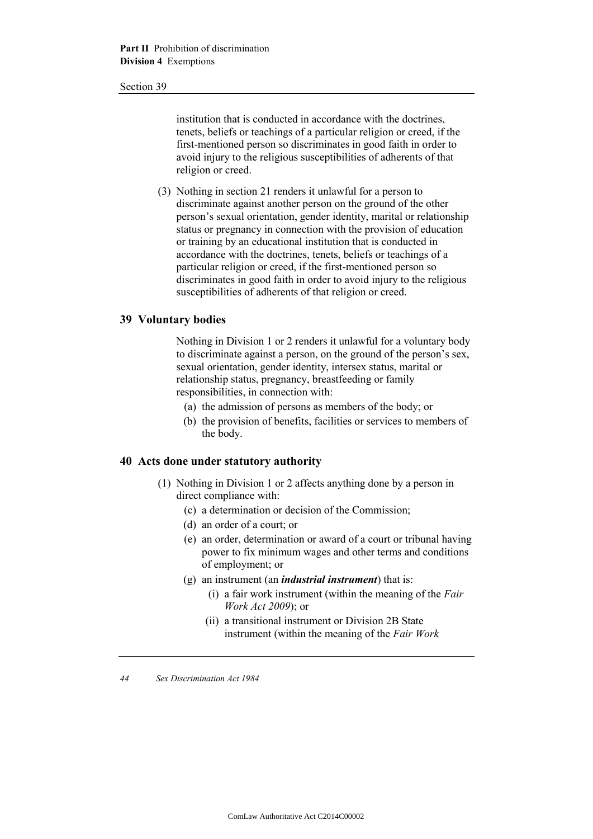institution that is conducted in accordance with the doctrines, tenets, beliefs or teachings of a particular religion or creed, if the first-mentioned person so discriminates in good faith in order to avoid injury to the religious susceptibilities of adherents of that religion or creed.

(3) Nothing in section 21 renders it unlawful for a person to discriminate against another person on the ground of the other person's sexual orientation, gender identity, marital or relationship status or pregnancy in connection with the provision of education or training by an educational institution that is conducted in accordance with the doctrines, tenets, beliefs or teachings of a particular religion or creed, if the first-mentioned person so discriminates in good faith in order to avoid injury to the religious susceptibilities of adherents of that religion or creed.

## **39 Voluntary bodies**

Nothing in Division 1 or 2 renders it unlawful for a voluntary body to discriminate against a person, on the ground of the person's sex, sexual orientation, gender identity, intersex status, marital or relationship status, pregnancy, breastfeeding or family responsibilities, in connection with:

- (a) the admission of persons as members of the body; or
- (b) the provision of benefits, facilities or services to members of the body.

## **40 Acts done under statutory authority**

- (1) Nothing in Division 1 or 2 affects anything done by a person in direct compliance with:
	- (c) a determination or decision of the Commission;
	- (d) an order of a court; or
	- (e) an order, determination or award of a court or tribunal having power to fix minimum wages and other terms and conditions of employment; or
	- (g) an instrument (an *industrial instrument*) that is:
		- (i) a fair work instrument (within the meaning of the *Fair Work Act 2009*); or
		- (ii) a transitional instrument or Division 2B State instrument (within the meaning of the *Fair Work*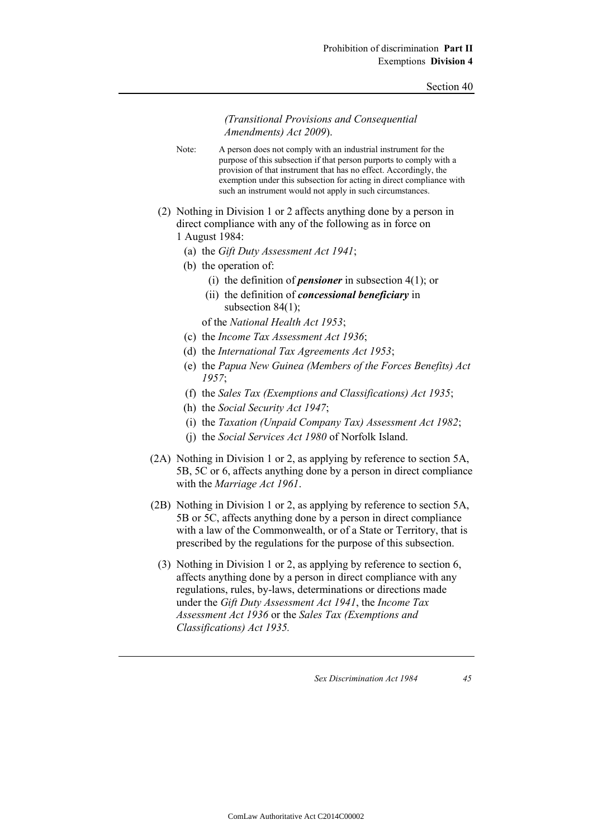*(Transitional Provisions and Consequential Amendments) Act 2009*).

- Note: A person does not comply with an industrial instrument for the purpose of this subsection if that person purports to comply with a provision of that instrument that has no effect. Accordingly, the exemption under this subsection for acting in direct compliance with such an instrument would not apply in such circumstances.
- (2) Nothing in Division 1 or 2 affects anything done by a person in direct compliance with any of the following as in force on 1 August 1984:
	- (a) the *Gift Duty Assessment Act 1941*;
	- (b) the operation of:
		- (i) the definition of *pensioner* in subsection 4(1); or
		- (ii) the definition of *concessional beneficiary* in subsection 84(1);
		- of the *National Health Act 1953*;
	- (c) the *Income Tax Assessment Act 1936*;
	- (d) the *International Tax Agreements Act 1953*;
	- (e) the *Papua New Guinea (Members of the Forces Benefits) Act 1957*;
	- (f) the *Sales Tax (Exemptions and Classifications) Act 1935*;
	- (h) the *Social Security Act 1947*;
	- (i) the *Taxation (Unpaid Company Tax) Assessment Act 1982*;
	- (j) the *Social Services Act 1980* of Norfolk Island.
- (2A) Nothing in Division 1 or 2, as applying by reference to section 5A, 5B, 5C or 6, affects anything done by a person in direct compliance with the *Marriage Act 1961*.
- (2B) Nothing in Division 1 or 2, as applying by reference to section 5A, 5B or 5C, affects anything done by a person in direct compliance with a law of the Commonwealth, or of a State or Territory, that is prescribed by the regulations for the purpose of this subsection.
	- (3) Nothing in Division 1 or 2, as applying by reference to section 6, affects anything done by a person in direct compliance with any regulations, rules, by-laws, determinations or directions made under the *Gift Duty Assessment Act 1941*, the *Income Tax Assessment Act 1936* or the *Sales Tax (Exemptions and Classifications) Act 1935.*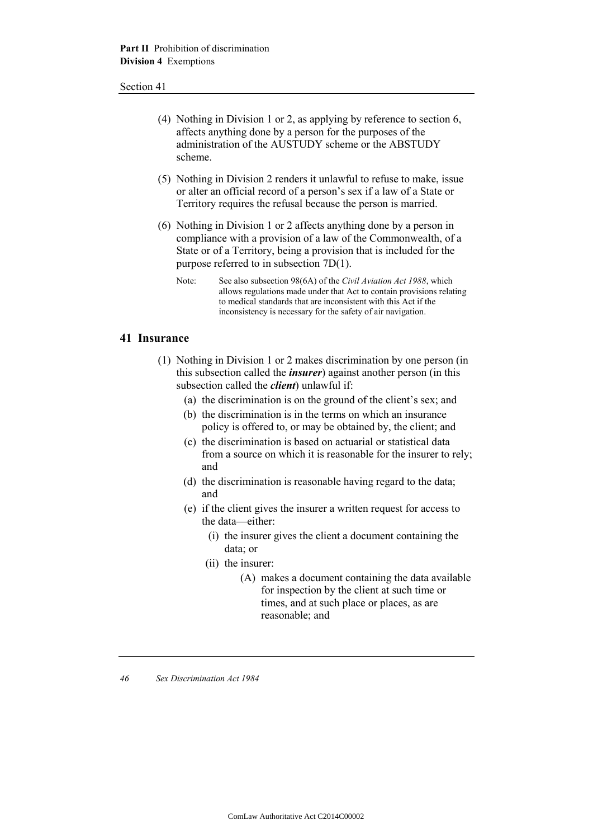- (4) Nothing in Division 1 or 2, as applying by reference to section 6, affects anything done by a person for the purposes of the administration of the AUSTUDY scheme or the ABSTUDY scheme.
- (5) Nothing in Division 2 renders it unlawful to refuse to make, issue or alter an official record of a person's sex if a law of a State or Territory requires the refusal because the person is married.
- (6) Nothing in Division 1 or 2 affects anything done by a person in compliance with a provision of a law of the Commonwealth, of a State or of a Territory, being a provision that is included for the purpose referred to in subsection 7D(1).

#### **41 Insurance**

- (1) Nothing in Division 1 or 2 makes discrimination by one person (in this subsection called the *insurer*) against another person (in this subsection called the *client*) unlawful if:
	- (a) the discrimination is on the ground of the client's sex; and
	- (b) the discrimination is in the terms on which an insurance policy is offered to, or may be obtained by, the client; and
	- (c) the discrimination is based on actuarial or statistical data from a source on which it is reasonable for the insurer to rely; and
	- (d) the discrimination is reasonable having regard to the data; and
	- (e) if the client gives the insurer a written request for access to the data—either:
		- (i) the insurer gives the client a document containing the data; or
		- (ii) the insurer:
			- (A) makes a document containing the data available for inspection by the client at such time or times, and at such place or places, as are reasonable; and

Note: See also subsection 98(6A) of the *Civil Aviation Act 1988*, which allows regulations made under that Act to contain provisions relating to medical standards that are inconsistent with this Act if the inconsistency is necessary for the safety of air navigation.

*<sup>46</sup> Sex Discrimination Act 1984*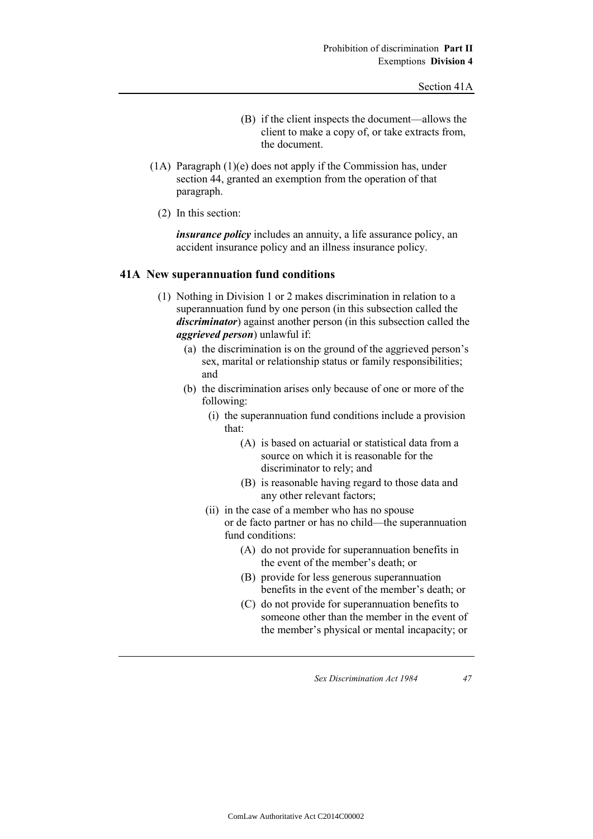- (B) if the client inspects the document—allows the client to make a copy of, or take extracts from, the document.
- (1A) Paragraph (1)(e) does not apply if the Commission has, under section 44, granted an exemption from the operation of that paragraph.
	- (2) In this section:

*insurance policy* includes an annuity, a life assurance policy, an accident insurance policy and an illness insurance policy.

## **41A New superannuation fund conditions**

- (1) Nothing in Division 1 or 2 makes discrimination in relation to a superannuation fund by one person (in this subsection called the *discriminator*) against another person (in this subsection called the *aggrieved person*) unlawful if:
	- (a) the discrimination is on the ground of the aggrieved person's sex, marital or relationship status or family responsibilities; and
	- (b) the discrimination arises only because of one or more of the following:
		- (i) the superannuation fund conditions include a provision that:
			- (A) is based on actuarial or statistical data from a source on which it is reasonable for the discriminator to rely; and
			- (B) is reasonable having regard to those data and any other relevant factors;
		- (ii) in the case of a member who has no spouse or de facto partner or has no child—the superannuation fund conditions:
			- (A) do not provide for superannuation benefits in the event of the member's death; or
			- (B) provide for less generous superannuation benefits in the event of the member's death; or
			- (C) do not provide for superannuation benefits to someone other than the member in the event of the member's physical or mental incapacity; or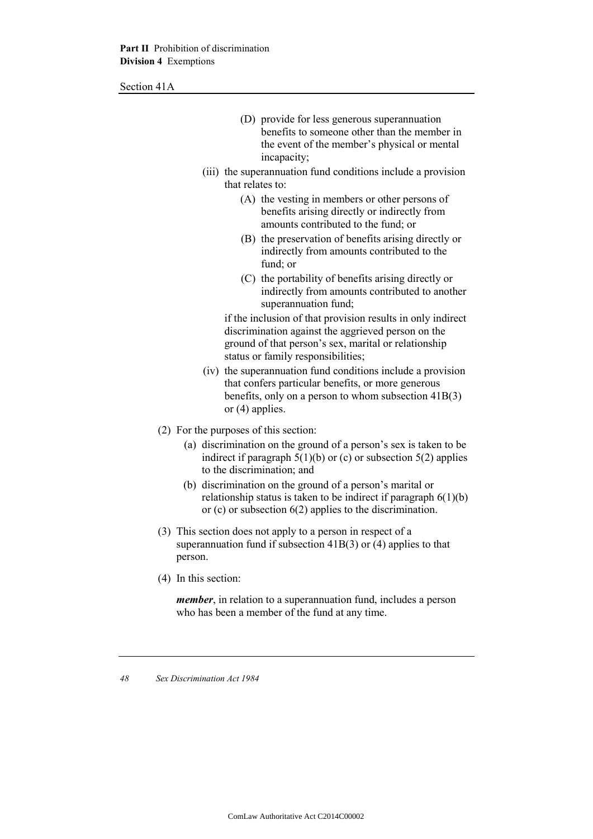Section 41A

| (D) provide for less generous superannuation |                                              |  |
|----------------------------------------------|----------------------------------------------|--|
|                                              | benefits to someone other than the member in |  |
|                                              | the event of the member's physical or mental |  |
|                                              | incapacity;                                  |  |

- (iii) the superannuation fund conditions include a provision that relates to:
	- (A) the vesting in members or other persons of benefits arising directly or indirectly from amounts contributed to the fund; or
	- (B) the preservation of benefits arising directly or indirectly from amounts contributed to the fund; or
	- (C) the portability of benefits arising directly or indirectly from amounts contributed to another superannuation fund;

if the inclusion of that provision results in only indirect discrimination against the aggrieved person on the ground of that person's sex, marital or relationship status or family responsibilities;

- (iv) the superannuation fund conditions include a provision that confers particular benefits, or more generous benefits, only on a person to whom subsection 41B(3) or (4) applies.
- (2) For the purposes of this section:
	- (a) discrimination on the ground of a person's sex is taken to be indirect if paragraph  $5(1)(b)$  or (c) or subsection  $5(2)$  applies to the discrimination; and
	- (b) discrimination on the ground of a person's marital or relationship status is taken to be indirect if paragraph 6(1)(b) or (c) or subsection 6(2) applies to the discrimination.
- (3) This section does not apply to a person in respect of a superannuation fund if subsection 41B(3) or (4) applies to that person.
- (4) In this section:

*member*, in relation to a superannuation fund, includes a person who has been a member of the fund at any time.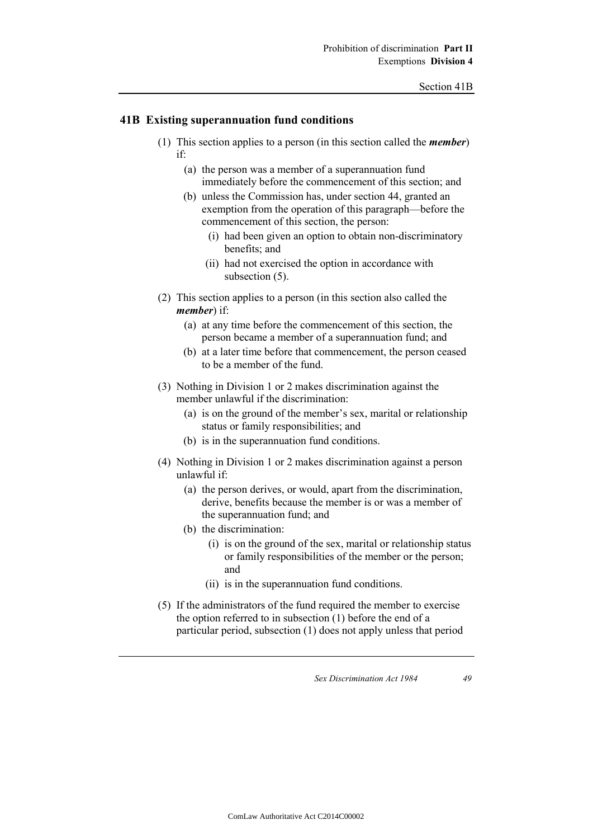## **41B Existing superannuation fund conditions**

- (1) This section applies to a person (in this section called the *member*) if:
	- (a) the person was a member of a superannuation fund immediately before the commencement of this section; and
	- (b) unless the Commission has, under section 44, granted an exemption from the operation of this paragraph—before the commencement of this section, the person:
		- (i) had been given an option to obtain non-discriminatory benefits; and
		- (ii) had not exercised the option in accordance with subsection  $(5)$ .
- (2) This section applies to a person (in this section also called the *member*) if:
	- (a) at any time before the commencement of this section, the person became a member of a superannuation fund; and
	- (b) at a later time before that commencement, the person ceased to be a member of the fund.
- (3) Nothing in Division 1 or 2 makes discrimination against the member unlawful if the discrimination:
	- (a) is on the ground of the member's sex, marital or relationship status or family responsibilities; and
	- (b) is in the superannuation fund conditions.
- (4) Nothing in Division 1 or 2 makes discrimination against a person unlawful if:
	- (a) the person derives, or would, apart from the discrimination, derive, benefits because the member is or was a member of the superannuation fund; and
	- (b) the discrimination:
		- (i) is on the ground of the sex, marital or relationship status or family responsibilities of the member or the person; and
		- (ii) is in the superannuation fund conditions.
- (5) If the administrators of the fund required the member to exercise the option referred to in subsection (1) before the end of a particular period, subsection (1) does not apply unless that period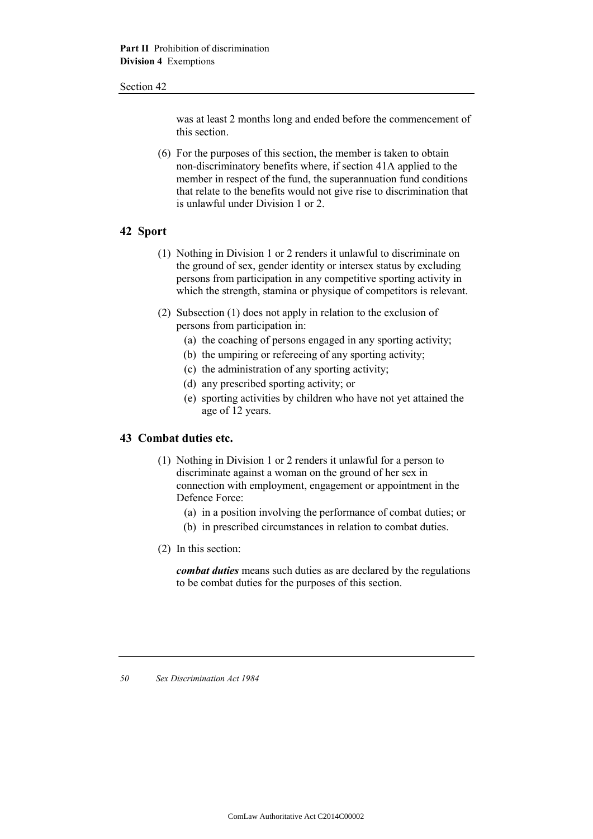was at least 2 months long and ended before the commencement of this section.

(6) For the purposes of this section, the member is taken to obtain non-discriminatory benefits where, if section 41A applied to the member in respect of the fund, the superannuation fund conditions that relate to the benefits would not give rise to discrimination that is unlawful under Division 1 or 2.

#### **42 Sport**

- (1) Nothing in Division 1 or 2 renders it unlawful to discriminate on the ground of sex, gender identity or intersex status by excluding persons from participation in any competitive sporting activity in which the strength, stamina or physique of competitors is relevant.
- (2) Subsection (1) does not apply in relation to the exclusion of persons from participation in:
	- (a) the coaching of persons engaged in any sporting activity;
	- (b) the umpiring or refereeing of any sporting activity;
	- (c) the administration of any sporting activity;
	- (d) any prescribed sporting activity; or
	- (e) sporting activities by children who have not yet attained the age of 12 years.

## **43 Combat duties etc.**

- (1) Nothing in Division 1 or 2 renders it unlawful for a person to discriminate against a woman on the ground of her sex in connection with employment, engagement or appointment in the Defence Force:
	- (a) in a position involving the performance of combat duties; or
	- (b) in prescribed circumstances in relation to combat duties.
- (2) In this section:

*combat duties* means such duties as are declared by the regulations to be combat duties for the purposes of this section.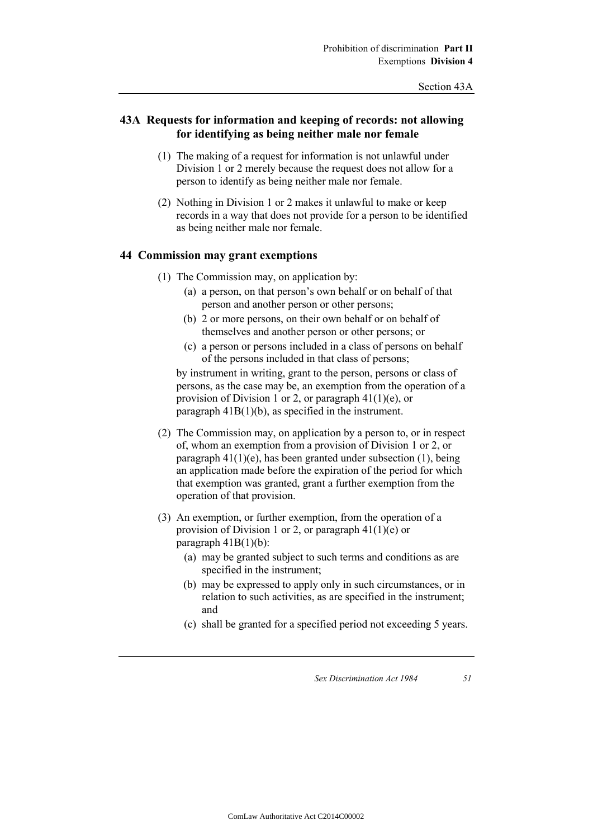## **43A Requests for information and keeping of records: not allowing for identifying as being neither male nor female**

- (1) The making of a request for information is not unlawful under Division 1 or 2 merely because the request does not allow for a person to identify as being neither male nor female.
- (2) Nothing in Division 1 or 2 makes it unlawful to make or keep records in a way that does not provide for a person to be identified as being neither male nor female.

## **44 Commission may grant exemptions**

- (1) The Commission may, on application by:
	- (a) a person, on that person's own behalf or on behalf of that person and another person or other persons;
	- (b) 2 or more persons, on their own behalf or on behalf of themselves and another person or other persons; or
	- (c) a person or persons included in a class of persons on behalf of the persons included in that class of persons;

by instrument in writing, grant to the person, persons or class of persons, as the case may be, an exemption from the operation of a provision of Division 1 or 2, or paragraph 41(1)(e), or paragraph 41B(1)(b), as specified in the instrument.

- (2) The Commission may, on application by a person to, or in respect of, whom an exemption from a provision of Division 1 or 2, or paragraph  $41(1)(e)$ , has been granted under subsection (1), being an application made before the expiration of the period for which that exemption was granted, grant a further exemption from the operation of that provision.
- (3) An exemption, or further exemption, from the operation of a provision of Division 1 or 2, or paragraph 41(1)(e) or paragraph  $41B(1)(b)$ :
	- (a) may be granted subject to such terms and conditions as are specified in the instrument;
	- (b) may be expressed to apply only in such circumstances, or in relation to such activities, as are specified in the instrument; and
	- (c) shall be granted for a specified period not exceeding 5 years.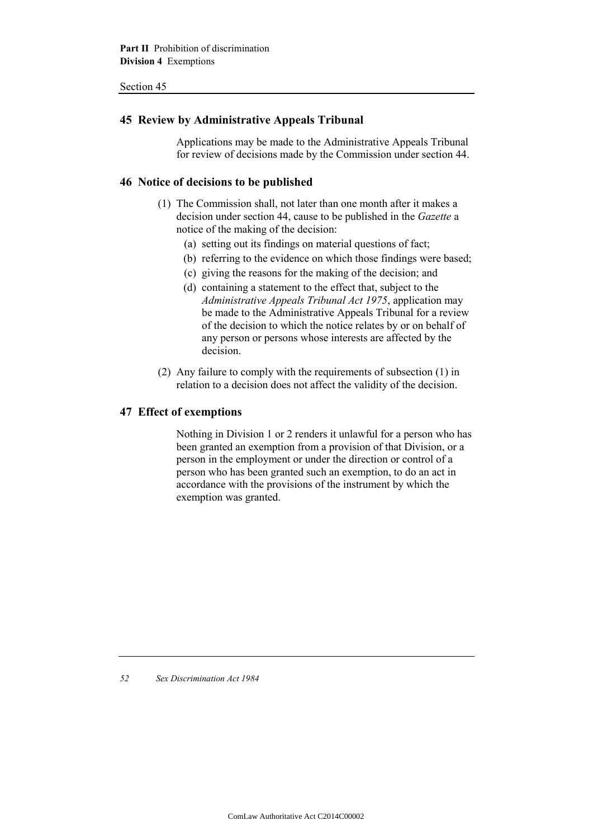## **45 Review by Administrative Appeals Tribunal**

Applications may be made to the Administrative Appeals Tribunal for review of decisions made by the Commission under section 44.

## **46 Notice of decisions to be published**

- (1) The Commission shall, not later than one month after it makes a decision under section 44, cause to be published in the *Gazette* a notice of the making of the decision:
	- (a) setting out its findings on material questions of fact;
	- (b) referring to the evidence on which those findings were based;
	- (c) giving the reasons for the making of the decision; and
	- (d) containing a statement to the effect that, subject to the *Administrative Appeals Tribunal Act 1975*, application may be made to the Administrative Appeals Tribunal for a review of the decision to which the notice relates by or on behalf of any person or persons whose interests are affected by the decision.
- (2) Any failure to comply with the requirements of subsection (1) in relation to a decision does not affect the validity of the decision.

#### **47 Effect of exemptions**

Nothing in Division 1 or 2 renders it unlawful for a person who has been granted an exemption from a provision of that Division, or a person in the employment or under the direction or control of a person who has been granted such an exemption, to do an act in accordance with the provisions of the instrument by which the exemption was granted.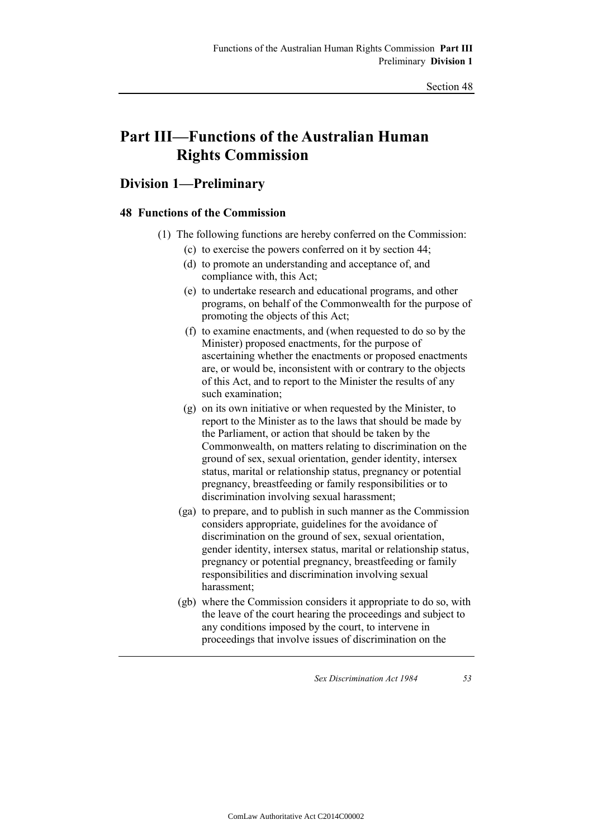# **Part III—Functions of the Australian Human Rights Commission**

## **Division 1—Preliminary**

## **48 Functions of the Commission**

- (1) The following functions are hereby conferred on the Commission:
	- (c) to exercise the powers conferred on it by section 44;
	- (d) to promote an understanding and acceptance of, and compliance with, this Act;
	- (e) to undertake research and educational programs, and other programs, on behalf of the Commonwealth for the purpose of promoting the objects of this Act;
	- (f) to examine enactments, and (when requested to do so by the Minister) proposed enactments, for the purpose of ascertaining whether the enactments or proposed enactments are, or would be, inconsistent with or contrary to the objects of this Act, and to report to the Minister the results of any such examination;
	- (g) on its own initiative or when requested by the Minister, to report to the Minister as to the laws that should be made by the Parliament, or action that should be taken by the Commonwealth, on matters relating to discrimination on the ground of sex, sexual orientation, gender identity, intersex status, marital or relationship status, pregnancy or potential pregnancy, breastfeeding or family responsibilities or to discrimination involving sexual harassment;
	- (ga) to prepare, and to publish in such manner as the Commission considers appropriate, guidelines for the avoidance of discrimination on the ground of sex, sexual orientation, gender identity, intersex status, marital or relationship status, pregnancy or potential pregnancy, breastfeeding or family responsibilities and discrimination involving sexual harassment;
	- (gb) where the Commission considers it appropriate to do so, with the leave of the court hearing the proceedings and subject to any conditions imposed by the court, to intervene in proceedings that involve issues of discrimination on the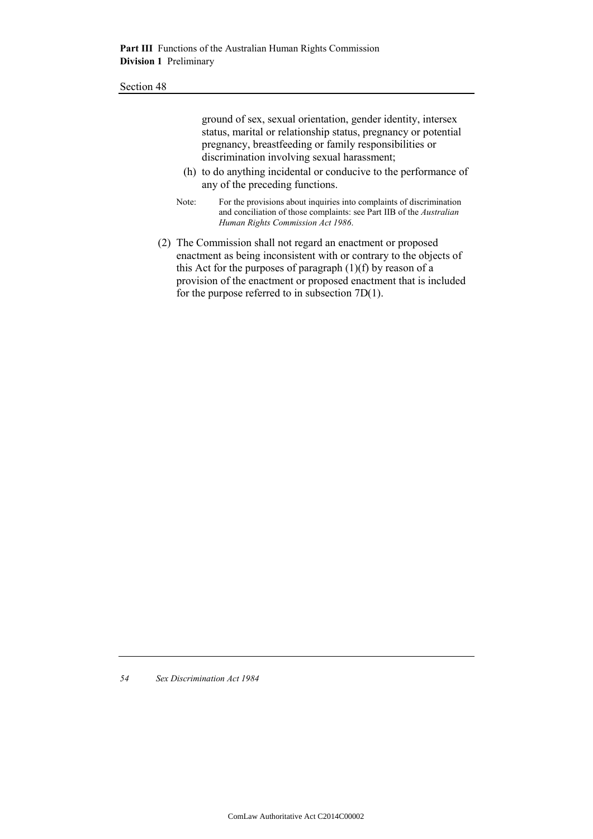ground of sex, sexual orientation, gender identity, intersex status, marital or relationship status, pregnancy or potential pregnancy, breastfeeding or family responsibilities or discrimination involving sexual harassment;

- (h) to do anything incidental or conducive to the performance of any of the preceding functions.
- Note: For the provisions about inquiries into complaints of discrimination and conciliation of those complaints: see Part IIB of the *Australian Human Rights Commission Act 1986*.
- (2) The Commission shall not regard an enactment or proposed enactment as being inconsistent with or contrary to the objects of this Act for the purposes of paragraph (1)(f) by reason of a provision of the enactment or proposed enactment that is included for the purpose referred to in subsection 7D(1).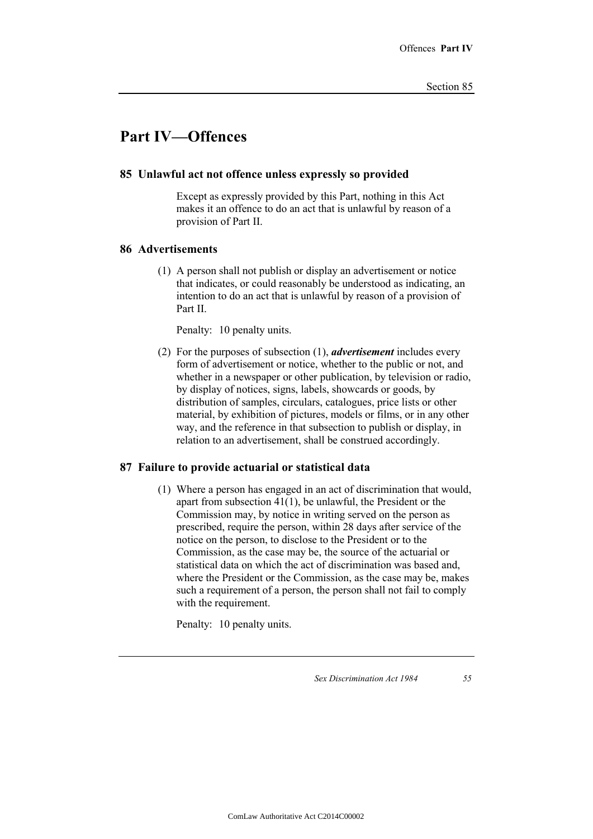# **Part IV—Offences**

## **85 Unlawful act not offence unless expressly so provided**

Except as expressly provided by this Part, nothing in this Act makes it an offence to do an act that is unlawful by reason of a provision of Part II.

#### **86 Advertisements**

(1) A person shall not publish or display an advertisement or notice that indicates, or could reasonably be understood as indicating, an intention to do an act that is unlawful by reason of a provision of Part II.

Penalty: 10 penalty units.

(2) For the purposes of subsection (1), *advertisement* includes every form of advertisement or notice, whether to the public or not, and whether in a newspaper or other publication, by television or radio, by display of notices, signs, labels, showcards or goods, by distribution of samples, circulars, catalogues, price lists or other material, by exhibition of pictures, models or films, or in any other way, and the reference in that subsection to publish or display, in relation to an advertisement, shall be construed accordingly.

#### **87 Failure to provide actuarial or statistical data**

(1) Where a person has engaged in an act of discrimination that would, apart from subsection 41(1), be unlawful, the President or the Commission may, by notice in writing served on the person as prescribed, require the person, within 28 days after service of the notice on the person, to disclose to the President or to the Commission, as the case may be, the source of the actuarial or statistical data on which the act of discrimination was based and, where the President or the Commission, as the case may be, makes such a requirement of a person, the person shall not fail to comply with the requirement.

Penalty: 10 penalty units.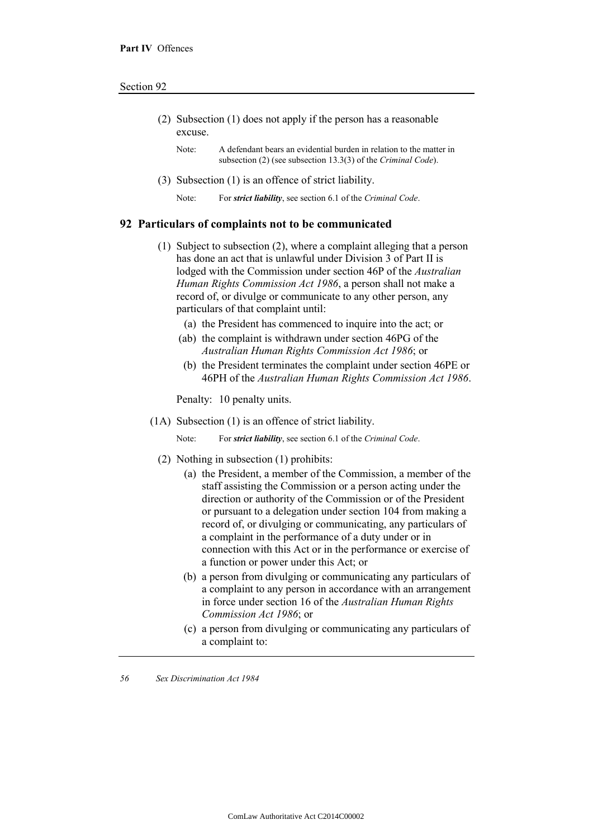| Section 92 |  |
|------------|--|
|            |  |

(2) Subsection (1) does not apply if the person has a reasonable excuse.

(3) Subsection (1) is an offence of strict liability.

Note: For *strict liability*, see section 6.1 of the *Criminal Code*.

## **92 Particulars of complaints not to be communicated**

- (1) Subject to subsection (2), where a complaint alleging that a person has done an act that is unlawful under Division 3 of Part II is lodged with the Commission under section 46P of the *Australian Human Rights Commission Act 1986*, a person shall not make a record of, or divulge or communicate to any other person, any particulars of that complaint until:
	- (a) the President has commenced to inquire into the act; or
	- (ab) the complaint is withdrawn under section 46PG of the *Australian Human Rights Commission Act 1986*; or
	- (b) the President terminates the complaint under section 46PE or 46PH of the *Australian Human Rights Commission Act 1986*.

Penalty: 10 penalty units.

(1A) Subsection (1) is an offence of strict liability.

Note: For *strict liability*, see section 6.1 of the *Criminal Code*.

- (2) Nothing in subsection (1) prohibits:
	- (a) the President, a member of the Commission, a member of the staff assisting the Commission or a person acting under the direction or authority of the Commission or of the President or pursuant to a delegation under section 104 from making a record of, or divulging or communicating, any particulars of a complaint in the performance of a duty under or in connection with this Act or in the performance or exercise of a function or power under this Act; or
	- (b) a person from divulging or communicating any particulars of a complaint to any person in accordance with an arrangement in force under section 16 of the *Australian Human Rights Commission Act 1986*; or
	- (c) a person from divulging or communicating any particulars of a complaint to:

*56 Sex Discrimination Act 1984* 

Note: A defendant bears an evidential burden in relation to the matter in subsection (2) (see subsection 13.3(3) of the *Criminal Code*).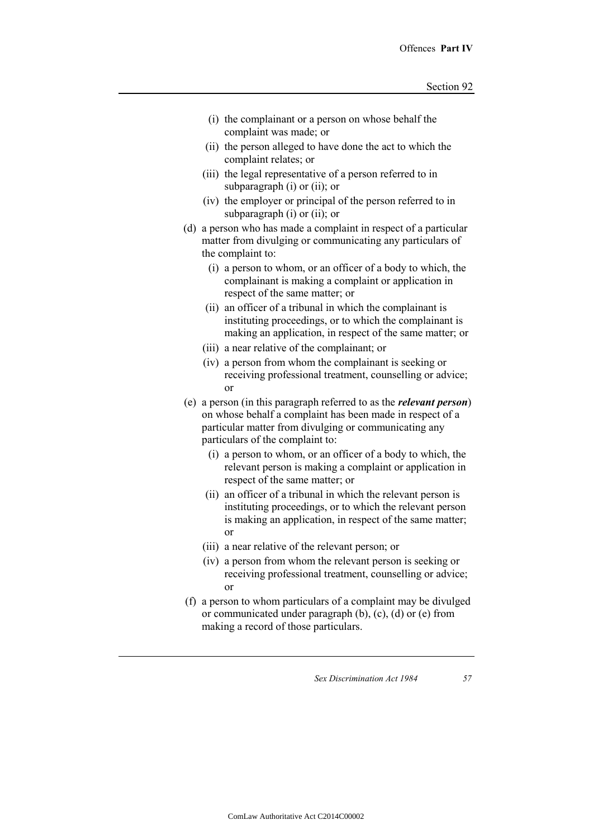- (i) the complainant or a person on whose behalf the complaint was made; or
- (ii) the person alleged to have done the act to which the complaint relates; or
- (iii) the legal representative of a person referred to in subparagraph (i) or (ii); or
- (iv) the employer or principal of the person referred to in subparagraph (i) or (ii); or
- (d) a person who has made a complaint in respect of a particular matter from divulging or communicating any particulars of the complaint to:
	- (i) a person to whom, or an officer of a body to which, the complainant is making a complaint or application in respect of the same matter; or
	- (ii) an officer of a tribunal in which the complainant is instituting proceedings, or to which the complainant is making an application, in respect of the same matter; or
	- (iii) a near relative of the complainant; or
	- (iv) a person from whom the complainant is seeking or receiving professional treatment, counselling or advice; or
- (e) a person (in this paragraph referred to as the *relevant person*) on whose behalf a complaint has been made in respect of a particular matter from divulging or communicating any particulars of the complaint to:
	- (i) a person to whom, or an officer of a body to which, the relevant person is making a complaint or application in respect of the same matter; or
	- (ii) an officer of a tribunal in which the relevant person is instituting proceedings, or to which the relevant person is making an application, in respect of the same matter; or
	- (iii) a near relative of the relevant person; or
	- (iv) a person from whom the relevant person is seeking or receiving professional treatment, counselling or advice; or
- (f) a person to whom particulars of a complaint may be divulged or communicated under paragraph (b), (c), (d) or (e) from making a record of those particulars.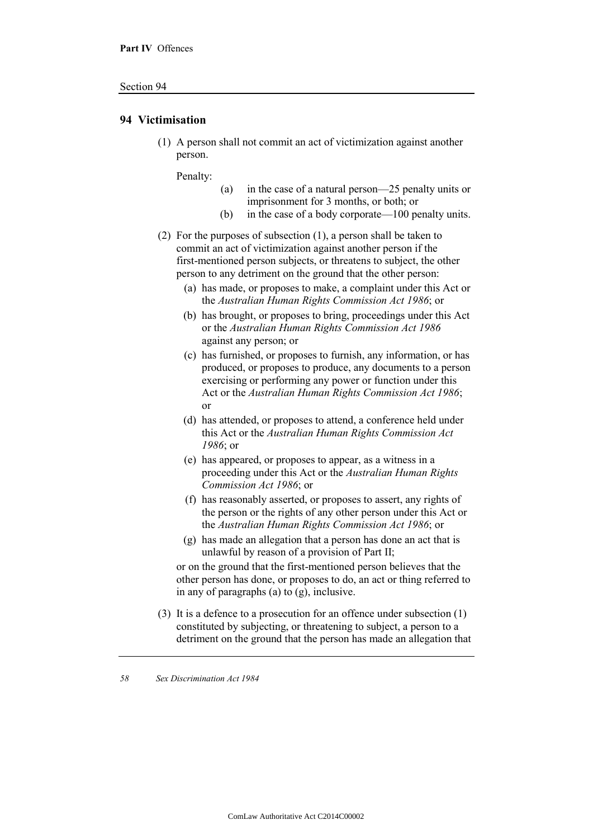#### **94 Victimisation**

(1) A person shall not commit an act of victimization against another person.

Penalty:

- (a) in the case of a natural person—25 penalty units or imprisonment for 3 months, or both; or
- (b) in the case of a body corporate—100 penalty units.
- (2) For the purposes of subsection (1), a person shall be taken to commit an act of victimization against another person if the first-mentioned person subjects, or threatens to subject, the other person to any detriment on the ground that the other person:
	- (a) has made, or proposes to make, a complaint under this Act or the *Australian Human Rights Commission Act 1986*; or
	- (b) has brought, or proposes to bring, proceedings under this Act or the *Australian Human Rights Commission Act 1986* against any person; or
	- (c) has furnished, or proposes to furnish, any information, or has produced, or proposes to produce, any documents to a person exercising or performing any power or function under this Act or the *Australian Human Rights Commission Act 1986*; or
	- (d) has attended, or proposes to attend, a conference held under this Act or the *Australian Human Rights Commission Act 1986*; or
	- (e) has appeared, or proposes to appear, as a witness in a proceeding under this Act or the *Australian Human Rights Commission Act 1986*; or
	- (f) has reasonably asserted, or proposes to assert, any rights of the person or the rights of any other person under this Act or the *Australian Human Rights Commission Act 1986*; or
	- (g) has made an allegation that a person has done an act that is unlawful by reason of a provision of Part II;

or on the ground that the first-mentioned person believes that the other person has done, or proposes to do, an act or thing referred to in any of paragraphs (a) to (g), inclusive.

(3) It is a defence to a prosecution for an offence under subsection (1) constituted by subjecting, or threatening to subject, a person to a detriment on the ground that the person has made an allegation that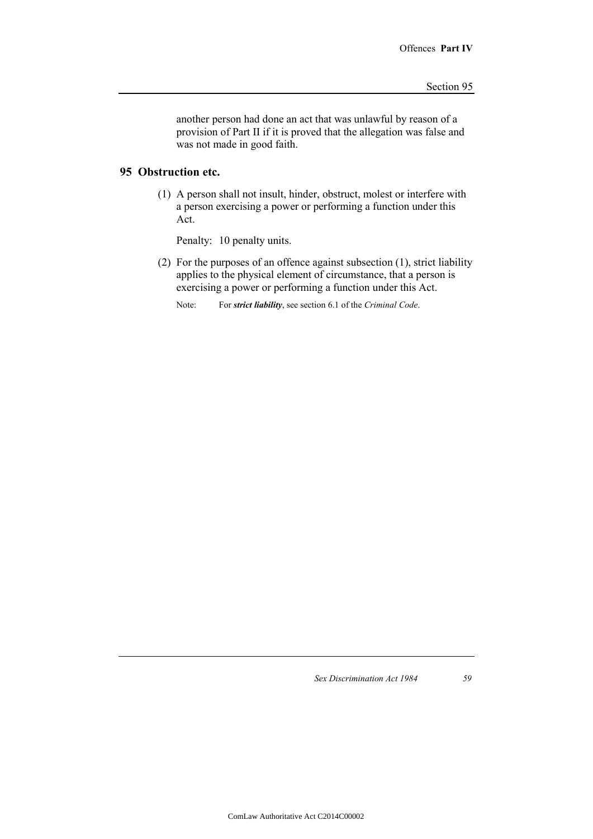another person had done an act that was unlawful by reason of a provision of Part II if it is proved that the allegation was false and was not made in good faith.

## **95 Obstruction etc.**

(1) A person shall not insult, hinder, obstruct, molest or interfere with a person exercising a power or performing a function under this Act.

Penalty: 10 penalty units.

(2) For the purposes of an offence against subsection (1), strict liability applies to the physical element of circumstance, that a person is exercising a power or performing a function under this Act.

Note: For *strict liability*, see section 6.1 of the *Criminal Code*.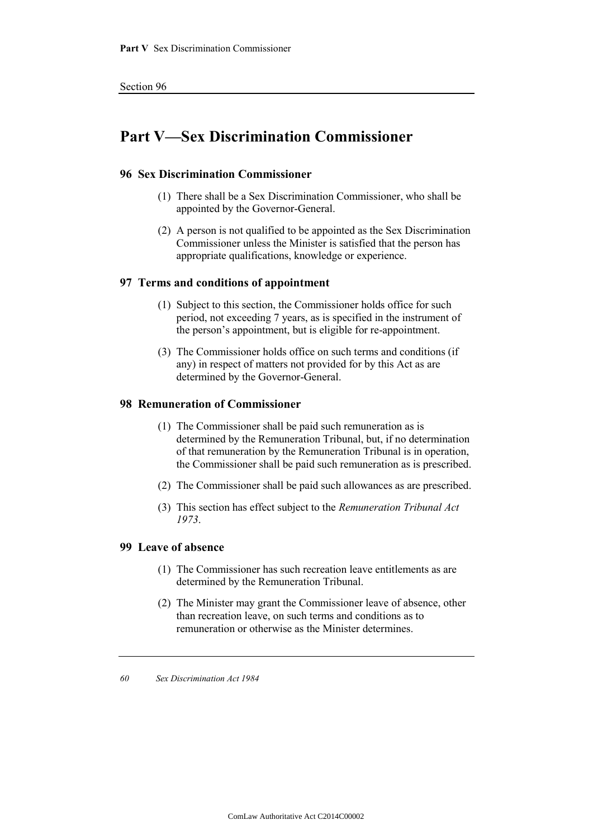# **Part V—Sex Discrimination Commissioner**

#### **96 Sex Discrimination Commissioner**

- (1) There shall be a Sex Discrimination Commissioner, who shall be appointed by the Governor-General.
- (2) A person is not qualified to be appointed as the Sex Discrimination Commissioner unless the Minister is satisfied that the person has appropriate qualifications, knowledge or experience.

## **97 Terms and conditions of appointment**

- (1) Subject to this section, the Commissioner holds office for such period, not exceeding 7 years, as is specified in the instrument of the person's appointment, but is eligible for re-appointment.
- (3) The Commissioner holds office on such terms and conditions (if any) in respect of matters not provided for by this Act as are determined by the Governor-General.

## **98 Remuneration of Commissioner**

- (1) The Commissioner shall be paid such remuneration as is determined by the Remuneration Tribunal, but, if no determination of that remuneration by the Remuneration Tribunal is in operation, the Commissioner shall be paid such remuneration as is prescribed.
- (2) The Commissioner shall be paid such allowances as are prescribed.
- (3) This section has effect subject to the *Remuneration Tribunal Act 1973*.

#### **99 Leave of absence**

- (1) The Commissioner has such recreation leave entitlements as are determined by the Remuneration Tribunal.
- (2) The Minister may grant the Commissioner leave of absence, other than recreation leave, on such terms and conditions as to remuneration or otherwise as the Minister determines.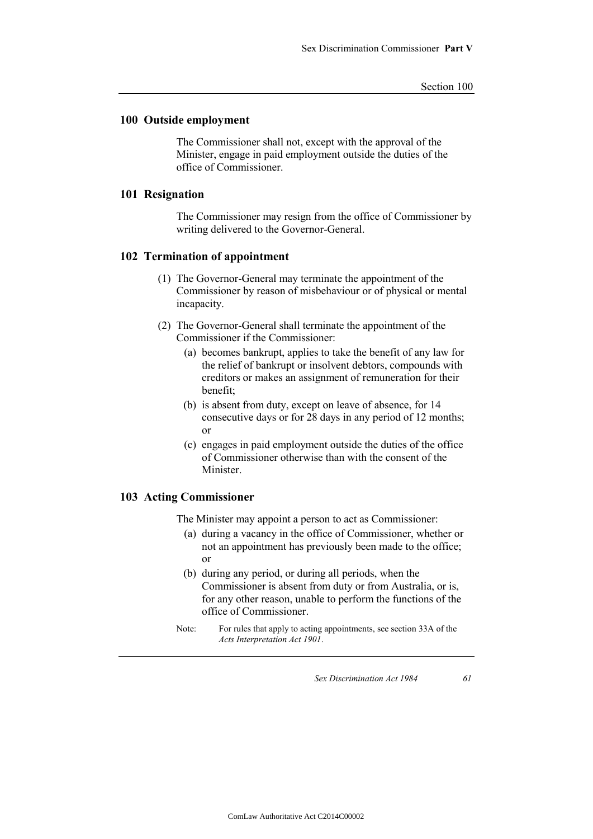#### **100 Outside employment**

The Commissioner shall not, except with the approval of the Minister, engage in paid employment outside the duties of the office of Commissioner.

## **101 Resignation**

The Commissioner may resign from the office of Commissioner by writing delivered to the Governor-General.

## **102 Termination of appointment**

- (1) The Governor-General may terminate the appointment of the Commissioner by reason of misbehaviour or of physical or mental incapacity.
- (2) The Governor-General shall terminate the appointment of the Commissioner if the Commissioner:
	- (a) becomes bankrupt, applies to take the benefit of any law for the relief of bankrupt or insolvent debtors, compounds with creditors or makes an assignment of remuneration for their benefit;
	- (b) is absent from duty, except on leave of absence, for 14 consecutive days or for 28 days in any period of 12 months; or
	- (c) engages in paid employment outside the duties of the office of Commissioner otherwise than with the consent of the Minister.

## **103 Acting Commissioner**

The Minister may appoint a person to act as Commissioner:

- (a) during a vacancy in the office of Commissioner, whether or not an appointment has previously been made to the office; or
- (b) during any period, or during all periods, when the Commissioner is absent from duty or from Australia, or is, for any other reason, unable to perform the functions of the office of Commissioner.
- Note: For rules that apply to acting appointments, see section 33A of the *Acts Interpretation Act 1901*.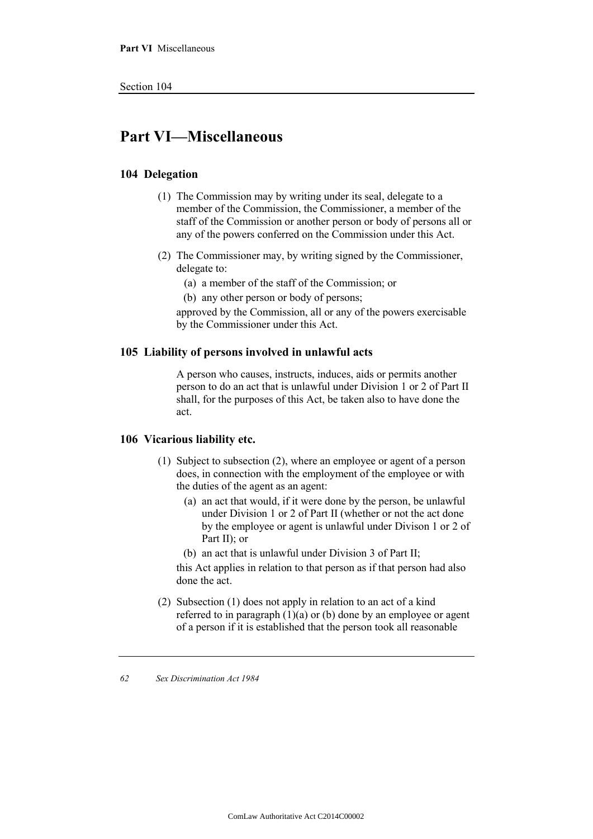# **Part VI—Miscellaneous**

## **104 Delegation**

- (1) The Commission may by writing under its seal, delegate to a member of the Commission, the Commissioner, a member of the staff of the Commission or another person or body of persons all or any of the powers conferred on the Commission under this Act.
- (2) The Commissioner may, by writing signed by the Commissioner, delegate to:
	- (a) a member of the staff of the Commission; or
	- (b) any other person or body of persons;
	- approved by the Commission, all or any of the powers exercisable by the Commissioner under this Act.

## **105 Liability of persons involved in unlawful acts**

A person who causes, instructs, induces, aids or permits another person to do an act that is unlawful under Division 1 or 2 of Part II shall, for the purposes of this Act, be taken also to have done the act.

## **106 Vicarious liability etc.**

- (1) Subject to subsection (2), where an employee or agent of a person does, in connection with the employment of the employee or with the duties of the agent as an agent:
	- (a) an act that would, if it were done by the person, be unlawful under Division 1 or 2 of Part II (whether or not the act done by the employee or agent is unlawful under Divison 1 or 2 of Part II); or
	- (b) an act that is unlawful under Division 3 of Part II;

this Act applies in relation to that person as if that person had also done the act.

(2) Subsection (1) does not apply in relation to an act of a kind referred to in paragraph (1)(a) or (b) done by an employee or agent of a person if it is established that the person took all reasonable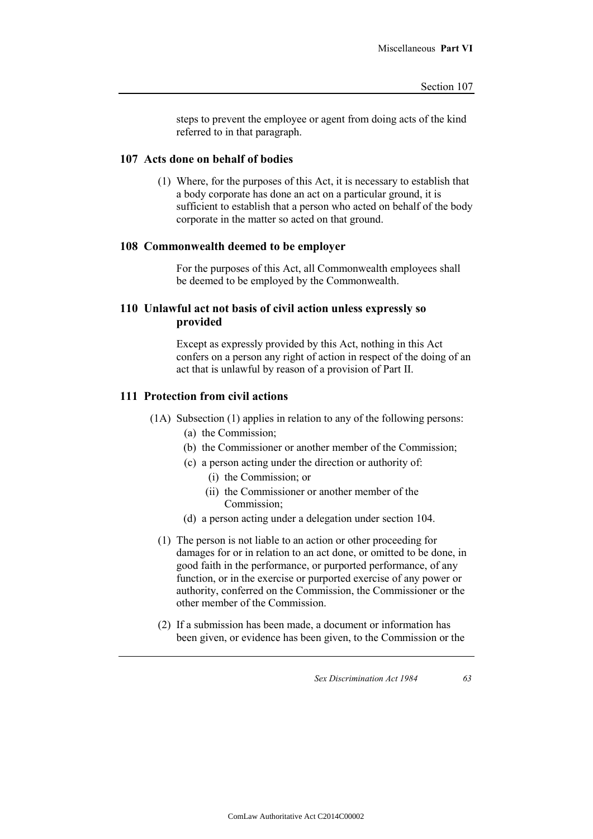steps to prevent the employee or agent from doing acts of the kind referred to in that paragraph.

## **107 Acts done on behalf of bodies**

(1) Where, for the purposes of this Act, it is necessary to establish that a body corporate has done an act on a particular ground, it is sufficient to establish that a person who acted on behalf of the body corporate in the matter so acted on that ground.

## **108 Commonwealth deemed to be employer**

For the purposes of this Act, all Commonwealth employees shall be deemed to be employed by the Commonwealth.

## **110 Unlawful act not basis of civil action unless expressly so provided**

Except as expressly provided by this Act, nothing in this Act confers on a person any right of action in respect of the doing of an act that is unlawful by reason of a provision of Part II.

## **111 Protection from civil actions**

- (1A) Subsection (1) applies in relation to any of the following persons:
	- (a) the Commission;
	- (b) the Commissioner or another member of the Commission;
	- (c) a person acting under the direction or authority of:
		- (i) the Commission; or
		- (ii) the Commissioner or another member of the Commission;
	- (d) a person acting under a delegation under section 104.
	- (1) The person is not liable to an action or other proceeding for damages for or in relation to an act done, or omitted to be done, in good faith in the performance, or purported performance, of any function, or in the exercise or purported exercise of any power or authority, conferred on the Commission, the Commissioner or the other member of the Commission.
	- (2) If a submission has been made, a document or information has been given, or evidence has been given, to the Commission or the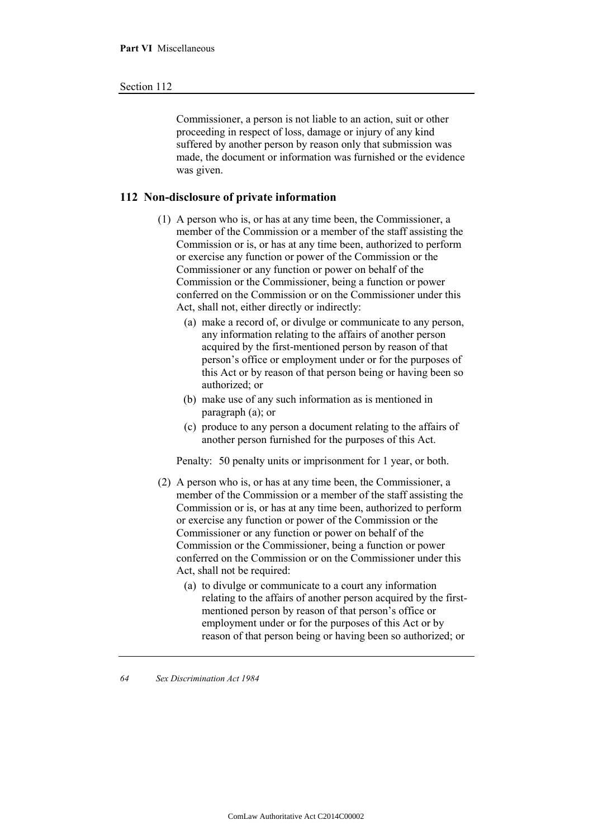Commissioner, a person is not liable to an action, suit or other proceeding in respect of loss, damage or injury of any kind suffered by another person by reason only that submission was made, the document or information was furnished or the evidence was given.

## **112 Non-disclosure of private information**

- (1) A person who is, or has at any time been, the Commissioner, a member of the Commission or a member of the staff assisting the Commission or is, or has at any time been, authorized to perform or exercise any function or power of the Commission or the Commissioner or any function or power on behalf of the Commission or the Commissioner, being a function or power conferred on the Commission or on the Commissioner under this Act, shall not, either directly or indirectly:
	- (a) make a record of, or divulge or communicate to any person, any information relating to the affairs of another person acquired by the first-mentioned person by reason of that person's office or employment under or for the purposes of this Act or by reason of that person being or having been so authorized; or
	- (b) make use of any such information as is mentioned in paragraph (a); or
	- (c) produce to any person a document relating to the affairs of another person furnished for the purposes of this Act.

Penalty: 50 penalty units or imprisonment for 1 year, or both.

- (2) A person who is, or has at any time been, the Commissioner, a member of the Commission or a member of the staff assisting the Commission or is, or has at any time been, authorized to perform or exercise any function or power of the Commission or the Commissioner or any function or power on behalf of the Commission or the Commissioner, being a function or power conferred on the Commission or on the Commissioner under this Act, shall not be required:
	- (a) to divulge or communicate to a court any information relating to the affairs of another person acquired by the firstmentioned person by reason of that person's office or employment under or for the purposes of this Act or by reason of that person being or having been so authorized; or

*64 Sex Discrimination Act 1984*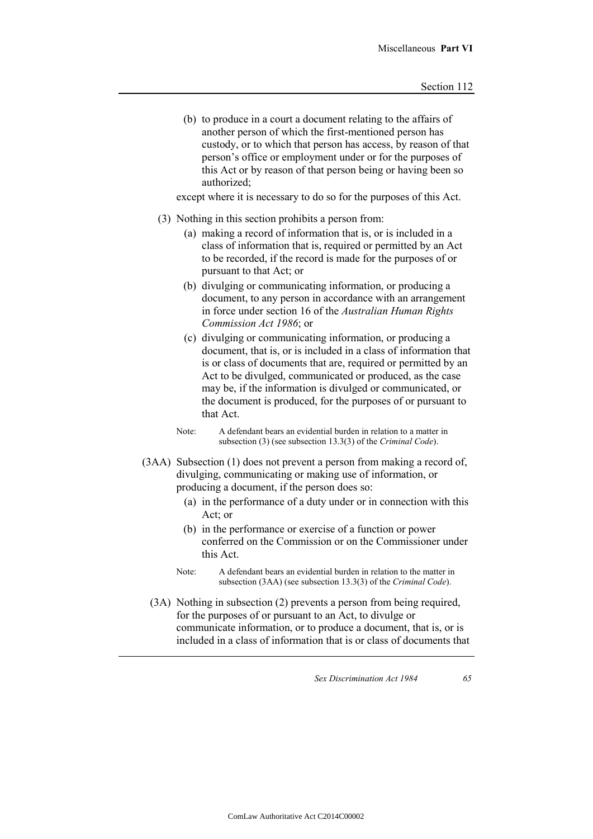(b) to produce in a court a document relating to the affairs of another person of which the first-mentioned person has custody, or to which that person has access, by reason of that person's office or employment under or for the purposes of this Act or by reason of that person being or having been so authorized;

except where it is necessary to do so for the purposes of this Act.

- (3) Nothing in this section prohibits a person from:
	- (a) making a record of information that is, or is included in a class of information that is, required or permitted by an Act to be recorded, if the record is made for the purposes of or pursuant to that Act; or
	- (b) divulging or communicating information, or producing a document, to any person in accordance with an arrangement in force under section 16 of the *Australian Human Rights Commission Act 1986*; or
	- (c) divulging or communicating information, or producing a document, that is, or is included in a class of information that is or class of documents that are, required or permitted by an Act to be divulged, communicated or produced, as the case may be, if the information is divulged or communicated, or the document is produced, for the purposes of or pursuant to that Act.
	- Note: A defendant bears an evidential burden in relation to a matter in subsection (3) (see subsection 13.3(3) of the *Criminal Code*).
- (3AA) Subsection (1) does not prevent a person from making a record of, divulging, communicating or making use of information, or producing a document, if the person does so:
	- (a) in the performance of a duty under or in connection with this Act; or
	- (b) in the performance or exercise of a function or power conferred on the Commission or on the Commissioner under this Act.
	- Note: A defendant bears an evidential burden in relation to the matter in subsection (3AA) (see subsection 13.3(3) of the *Criminal Code*).
	- (3A) Nothing in subsection (2) prevents a person from being required, for the purposes of or pursuant to an Act, to divulge or communicate information, or to produce a document, that is, or is included in a class of information that is or class of documents that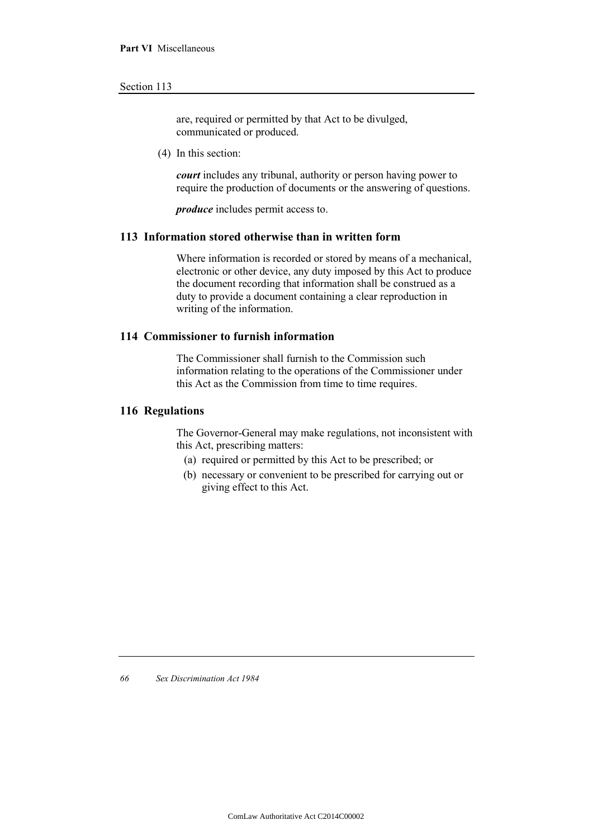are, required or permitted by that Act to be divulged, communicated or produced.

(4) In this section:

*court* includes any tribunal, authority or person having power to require the production of documents or the answering of questions.

*produce* includes permit access to.

## **113 Information stored otherwise than in written form**

Where information is recorded or stored by means of a mechanical, electronic or other device, any duty imposed by this Act to produce the document recording that information shall be construed as a duty to provide a document containing a clear reproduction in writing of the information.

## **114 Commissioner to furnish information**

The Commissioner shall furnish to the Commission such information relating to the operations of the Commissioner under this Act as the Commission from time to time requires.

## **116 Regulations**

The Governor-General may make regulations, not inconsistent with this Act, prescribing matters:

- (a) required or permitted by this Act to be prescribed; or
- (b) necessary or convenient to be prescribed for carrying out or giving effect to this Act.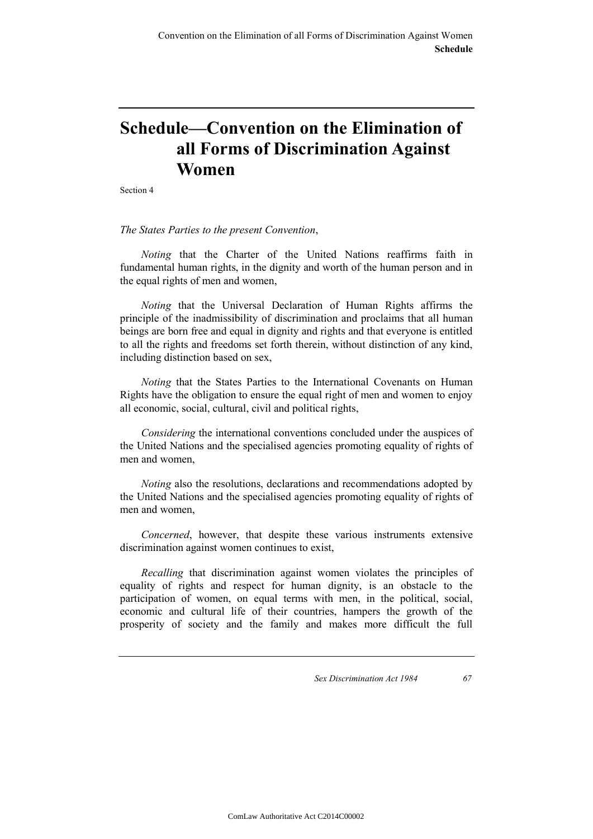# **Schedule—Convention on the Elimination of all Forms of Discrimination Against Women**

Section 4

#### *The States Parties to the present Convention*,

*Noting* that the Charter of the United Nations reaffirms faith in fundamental human rights, in the dignity and worth of the human person and in the equal rights of men and women,

*Noting* that the Universal Declaration of Human Rights affirms the principle of the inadmissibility of discrimination and proclaims that all human beings are born free and equal in dignity and rights and that everyone is entitled to all the rights and freedoms set forth therein, without distinction of any kind, including distinction based on sex,

*Noting* that the States Parties to the International Covenants on Human Rights have the obligation to ensure the equal right of men and women to enjoy all economic, social, cultural, civil and political rights,

*Considering* the international conventions concluded under the auspices of the United Nations and the specialised agencies promoting equality of rights of men and women,

*Noting* also the resolutions, declarations and recommendations adopted by the United Nations and the specialised agencies promoting equality of rights of men and women,

*Concerned*, however, that despite these various instruments extensive discrimination against women continues to exist,

*Recalling* that discrimination against women violates the principles of equality of rights and respect for human dignity, is an obstacle to the participation of women, on equal terms with men, in the political, social, economic and cultural life of their countries, hampers the growth of the prosperity of society and the family and makes more difficult the full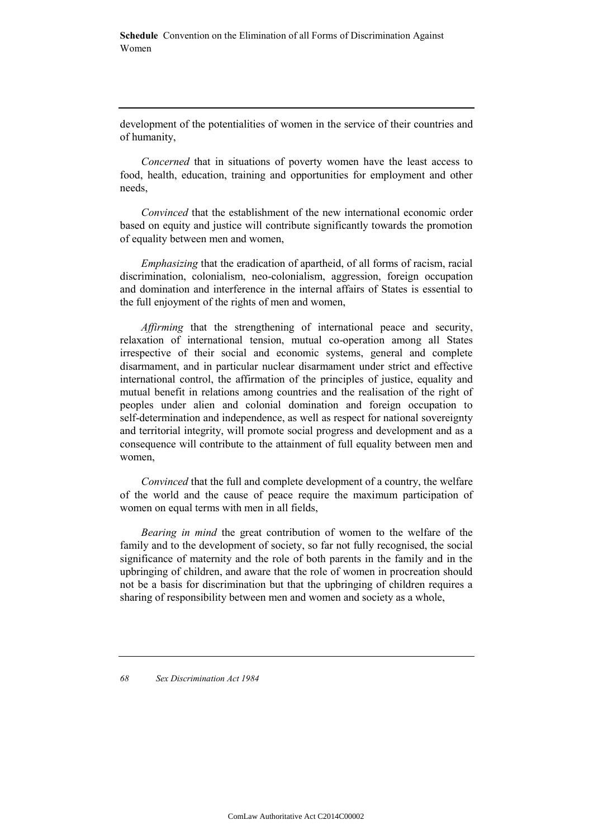development of the potentialities of women in the service of their countries and of humanity,

*Concerned* that in situations of poverty women have the least access to food, health, education, training and opportunities for employment and other needs,

*Convinced* that the establishment of the new international economic order based on equity and justice will contribute significantly towards the promotion of equality between men and women,

*Emphasizing* that the eradication of apartheid, of all forms of racism, racial discrimination, colonialism, neo-colonialism, aggression, foreign occupation and domination and interference in the internal affairs of States is essential to the full enjoyment of the rights of men and women,

*Affirming* that the strengthening of international peace and security, relaxation of international tension, mutual co-operation among all States irrespective of their social and economic systems, general and complete disarmament, and in particular nuclear disarmament under strict and effective international control, the affirmation of the principles of justice, equality and mutual benefit in relations among countries and the realisation of the right of peoples under alien and colonial domination and foreign occupation to self-determination and independence, as well as respect for national sovereignty and territorial integrity, will promote social progress and development and as a consequence will contribute to the attainment of full equality between men and women,

*Convinced* that the full and complete development of a country, the welfare of the world and the cause of peace require the maximum participation of women on equal terms with men in all fields.

*Bearing in mind* the great contribution of women to the welfare of the family and to the development of society, so far not fully recognised, the social significance of maternity and the role of both parents in the family and in the upbringing of children, and aware that the role of women in procreation should not be a basis for discrimination but that the upbringing of children requires a sharing of responsibility between men and women and society as a whole,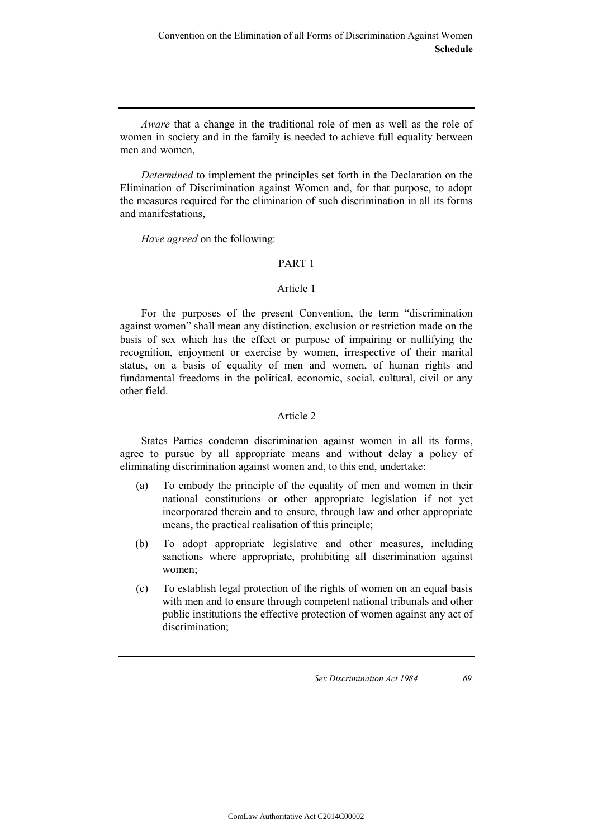*Aware* that a change in the traditional role of men as well as the role of women in society and in the family is needed to achieve full equality between men and women,

*Determined* to implement the principles set forth in the Declaration on the Elimination of Discrimination against Women and, for that purpose, to adopt the measures required for the elimination of such discrimination in all its forms and manifestations,

*Have agreed* on the following:

#### PART 1

#### Article 1

For the purposes of the present Convention, the term "discrimination" against women" shall mean any distinction, exclusion or restriction made on the basis of sex which has the effect or purpose of impairing or nullifying the recognition, enjoyment or exercise by women, irrespective of their marital status, on a basis of equality of men and women, of human rights and fundamental freedoms in the political, economic, social, cultural, civil or any other field.

#### Article 2

States Parties condemn discrimination against women in all its forms, agree to pursue by all appropriate means and without delay a policy of eliminating discrimination against women and, to this end, undertake:

- (a) To embody the principle of the equality of men and women in their national constitutions or other appropriate legislation if not yet incorporated therein and to ensure, through law and other appropriate means, the practical realisation of this principle;
- (b) To adopt appropriate legislative and other measures, including sanctions where appropriate, prohibiting all discrimination against women;
- (c) To establish legal protection of the rights of women on an equal basis with men and to ensure through competent national tribunals and other public institutions the effective protection of women against any act of discrimination;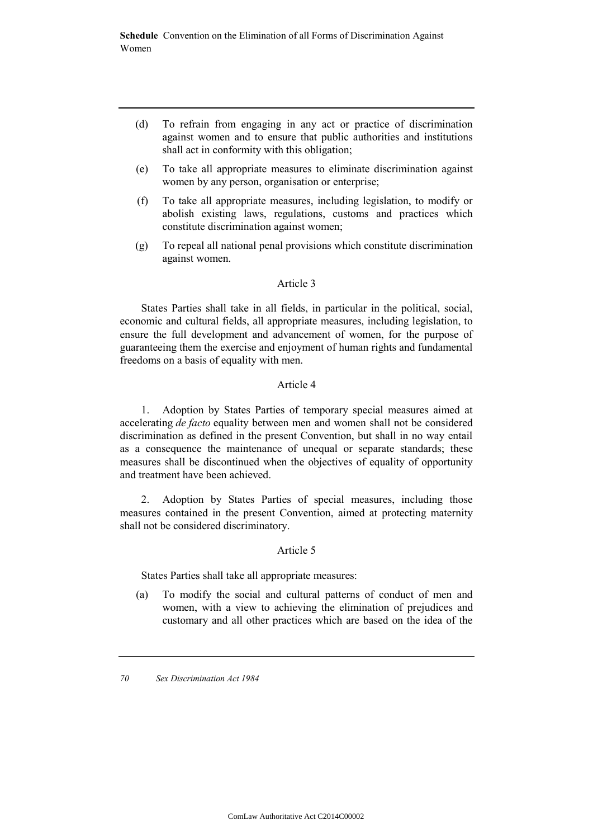- (d) To refrain from engaging in any act or practice of discrimination against women and to ensure that public authorities and institutions shall act in conformity with this obligation;
- (e) To take all appropriate measures to eliminate discrimination against women by any person, organisation or enterprise;
- (f) To take all appropriate measures, including legislation, to modify or abolish existing laws, regulations, customs and practices which constitute discrimination against women;
- (g) To repeal all national penal provisions which constitute discrimination against women.

## Article 3

States Parties shall take in all fields, in particular in the political, social, economic and cultural fields, all appropriate measures, including legislation, to ensure the full development and advancement of women, for the purpose of guaranteeing them the exercise and enjoyment of human rights and fundamental freedoms on a basis of equality with men.

#### Article 4

1. Adoption by States Parties of temporary special measures aimed at accelerating *de facto* equality between men and women shall not be considered discrimination as defined in the present Convention, but shall in no way entail as a consequence the maintenance of unequal or separate standards; these measures shall be discontinued when the objectives of equality of opportunity and treatment have been achieved.

2. Adoption by States Parties of special measures, including those measures contained in the present Convention, aimed at protecting maternity shall not be considered discriminatory.

#### Article 5

States Parties shall take all appropriate measures:

(a) To modify the social and cultural patterns of conduct of men and women, with a view to achieving the elimination of prejudices and customary and all other practices which are based on the idea of the

*<sup>70</sup> Sex Discrimination Act 1984*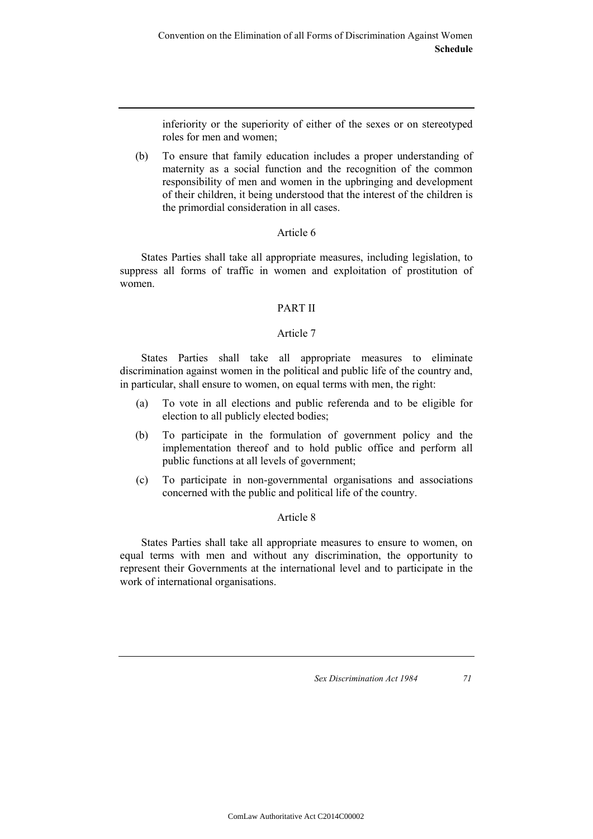inferiority or the superiority of either of the sexes or on stereotyped roles for men and women;

(b) To ensure that family education includes a proper understanding of maternity as a social function and the recognition of the common responsibility of men and women in the upbringing and development of their children, it being understood that the interest of the children is the primordial consideration in all cases.

## Article 6

States Parties shall take all appropriate measures, including legislation, to suppress all forms of traffic in women and exploitation of prostitution of women.

# PART II

# Article 7

States Parties shall take all appropriate measures to eliminate discrimination against women in the political and public life of the country and, in particular, shall ensure to women, on equal terms with men, the right:

- (a) To vote in all elections and public referenda and to be eligible for election to all publicly elected bodies;
- (b) To participate in the formulation of government policy and the implementation thereof and to hold public office and perform all public functions at all levels of government;
- (c) To participate in non-governmental organisations and associations concerned with the public and political life of the country.

# Article 8

States Parties shall take all appropriate measures to ensure to women, on equal terms with men and without any discrimination, the opportunity to represent their Governments at the international level and to participate in the work of international organisations.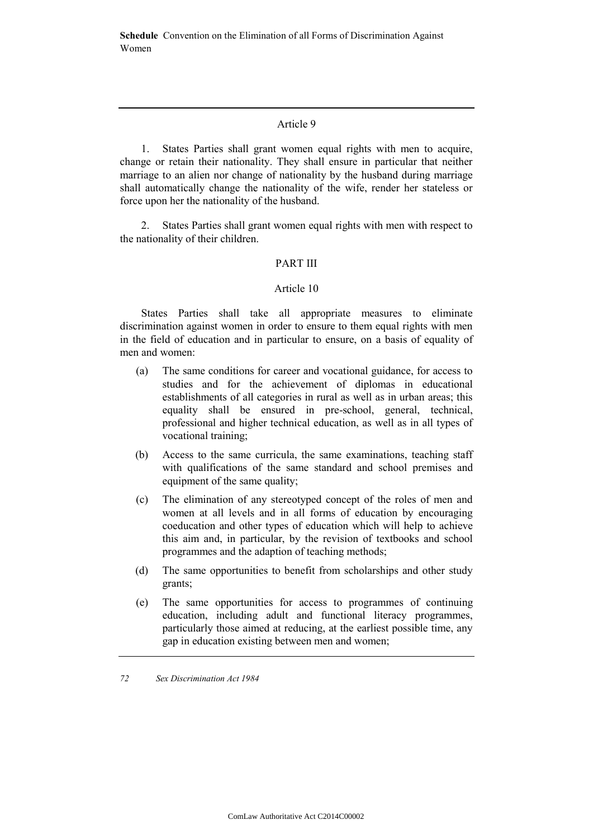**Schedule** Convention on the Elimination of all Forms of Discrimination Against Women

# Article 9

1. States Parties shall grant women equal rights with men to acquire, change or retain their nationality. They shall ensure in particular that neither marriage to an alien nor change of nationality by the husband during marriage shall automatically change the nationality of the wife, render her stateless or force upon her the nationality of the husband.

2. States Parties shall grant women equal rights with men with respect to the nationality of their children.

#### PART III

#### Article 10

States Parties shall take all appropriate measures to eliminate discrimination against women in order to ensure to them equal rights with men in the field of education and in particular to ensure, on a basis of equality of men and women:

- (a) The same conditions for career and vocational guidance, for access to studies and for the achievement of diplomas in educational establishments of all categories in rural as well as in urban areas; this equality shall be ensured in pre-school, general, technical, professional and higher technical education, as well as in all types of vocational training;
- (b) Access to the same curricula, the same examinations, teaching staff with qualifications of the same standard and school premises and equipment of the same quality;
- (c) The elimination of any stereotyped concept of the roles of men and women at all levels and in all forms of education by encouraging coeducation and other types of education which will help to achieve this aim and, in particular, by the revision of textbooks and school programmes and the adaption of teaching methods;
- (d) The same opportunities to benefit from scholarships and other study grants;
- (e) The same opportunities for access to programmes of continuing education, including adult and functional literacy programmes, particularly those aimed at reducing, at the earliest possible time, any gap in education existing between men and women;
- *72 Sex Discrimination Act 1984*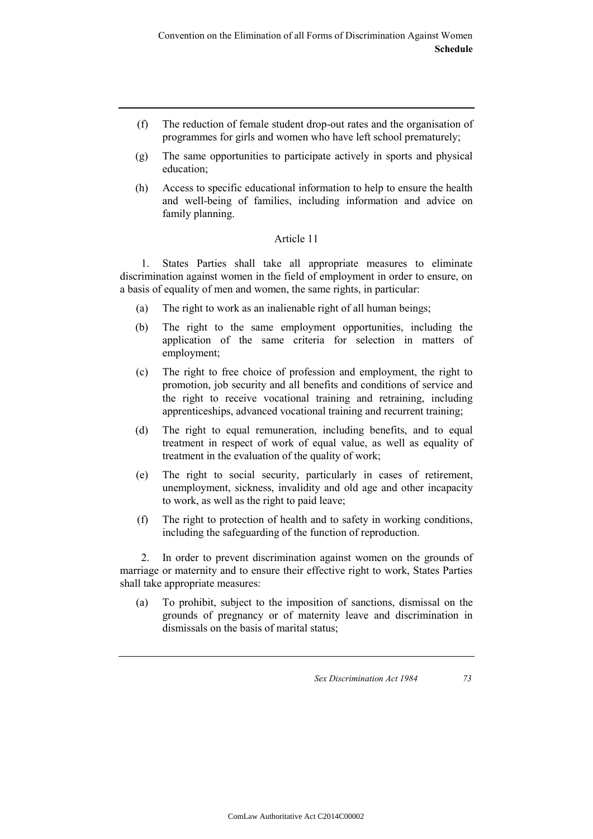- (f) The reduction of female student drop-out rates and the organisation of programmes for girls and women who have left school prematurely;
- (g) The same opportunities to participate actively in sports and physical education;
- (h) Access to specific educational information to help to ensure the health and well-being of families, including information and advice on family planning.

## Article 11

1. States Parties shall take all appropriate measures to eliminate discrimination against women in the field of employment in order to ensure, on a basis of equality of men and women, the same rights, in particular:

- (a) The right to work as an inalienable right of all human beings;
- (b) The right to the same employment opportunities, including the application of the same criteria for selection in matters of employment;
- (c) The right to free choice of profession and employment, the right to promotion, job security and all benefits and conditions of service and the right to receive vocational training and retraining, including apprenticeships, advanced vocational training and recurrent training;
- (d) The right to equal remuneration, including benefits, and to equal treatment in respect of work of equal value, as well as equality of treatment in the evaluation of the quality of work;
- (e) The right to social security, particularly in cases of retirement, unemployment, sickness, invalidity and old age and other incapacity to work, as well as the right to paid leave;
- (f) The right to protection of health and to safety in working conditions, including the safeguarding of the function of reproduction.

2. In order to prevent discrimination against women on the grounds of marriage or maternity and to ensure their effective right to work, States Parties shall take appropriate measures:

(a) To prohibit, subject to the imposition of sanctions, dismissal on the grounds of pregnancy or of maternity leave and discrimination in dismissals on the basis of marital status;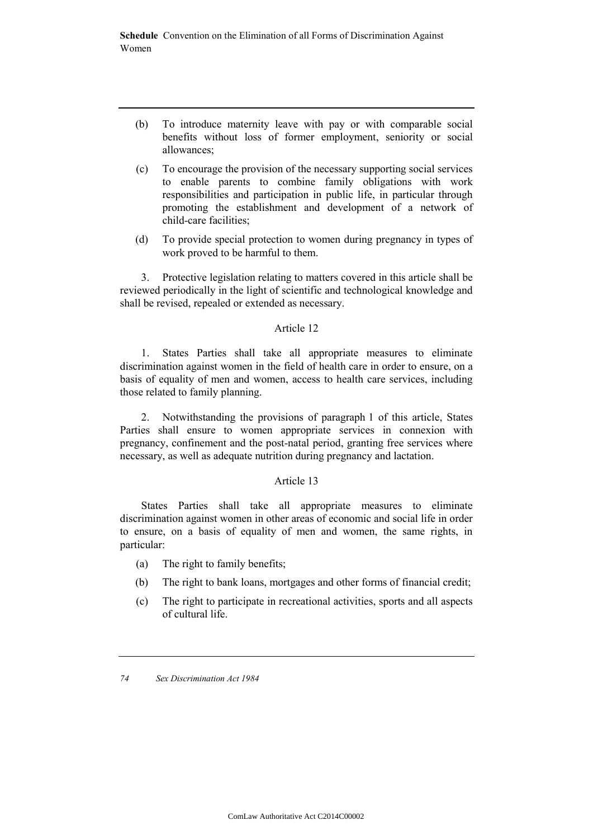- (b) To introduce maternity leave with pay or with comparable social benefits without loss of former employment, seniority or social allowances;
- (c) To encourage the provision of the necessary supporting social services to enable parents to combine family obligations with work responsibilities and participation in public life, in particular through promoting the establishment and development of a network of child-care facilities;
- (d) To provide special protection to women during pregnancy in types of work proved to be harmful to them.

3. Protective legislation relating to matters covered in this article shall be reviewed periodically in the light of scientific and technological knowledge and shall be revised, repealed or extended as necessary.

#### Article 12

1. States Parties shall take all appropriate measures to eliminate discrimination against women in the field of health care in order to ensure, on a basis of equality of men and women, access to health care services, including those related to family planning.

2. Notwithstanding the provisions of paragraph 1 of this article, States Parties shall ensure to women appropriate services in connexion with pregnancy, confinement and the post-natal period, granting free services where necessary, as well as adequate nutrition during pregnancy and lactation.

#### Article 13

States Parties shall take all appropriate measures to eliminate discrimination against women in other areas of economic and social life in order to ensure, on a basis of equality of men and women, the same rights, in particular:

- (a) The right to family benefits;
- (b) The right to bank loans, mortgages and other forms of financial credit;
- (c) The right to participate in recreational activities, sports and all aspects of cultural life.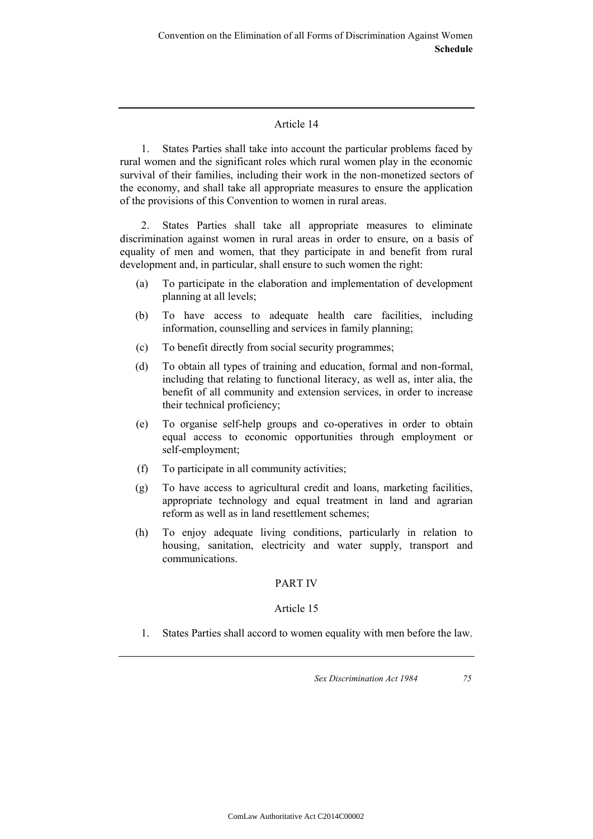## Article 14

1. States Parties shall take into account the particular problems faced by rural women and the significant roles which rural women play in the economic survival of their families, including their work in the non-monetized sectors of the economy, and shall take all appropriate measures to ensure the application of the provisions of this Convention to women in rural areas.

2. States Parties shall take all appropriate measures to eliminate discrimination against women in rural areas in order to ensure, on a basis of equality of men and women, that they participate in and benefit from rural development and, in particular, shall ensure to such women the right:

- (a) To participate in the elaboration and implementation of development planning at all levels;
- (b) To have access to adequate health care facilities, including information, counselling and services in family planning;
- (c) To benefit directly from social security programmes;
- (d) To obtain all types of training and education, formal and non-formal, including that relating to functional literacy, as well as, inter alia, the benefit of all community and extension services, in order to increase their technical proficiency;
- (e) To organise self-help groups and co-operatives in order to obtain equal access to economic opportunities through employment or self-employment;
- (f) To participate in all community activities;
- (g) To have access to agricultural credit and loans, marketing facilities, appropriate technology and equal treatment in land and agrarian reform as well as in land resettlement schemes;
- (h) To enjoy adequate living conditions, particularly in relation to housing, sanitation, electricity and water supply, transport and communications.

#### PART IV

#### Article 15

1. States Parties shall accord to women equality with men before the law.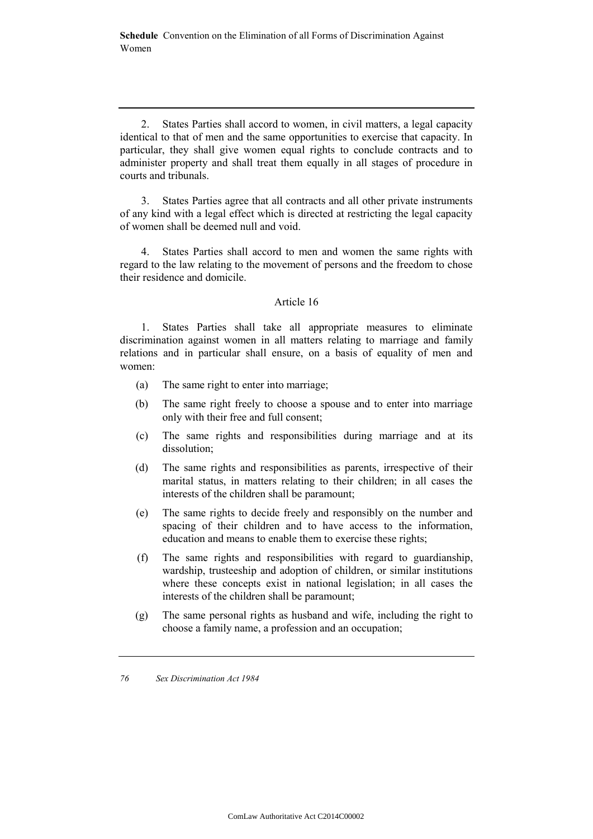2. States Parties shall accord to women, in civil matters, a legal capacity identical to that of men and the same opportunities to exercise that capacity. In particular, they shall give women equal rights to conclude contracts and to administer property and shall treat them equally in all stages of procedure in courts and tribunals.

3. States Parties agree that all contracts and all other private instruments of any kind with a legal effect which is directed at restricting the legal capacity of women shall be deemed null and void.

4. States Parties shall accord to men and women the same rights with regard to the law relating to the movement of persons and the freedom to chose their residence and domicile.

#### Article 16

1. States Parties shall take all appropriate measures to eliminate discrimination against women in all matters relating to marriage and family relations and in particular shall ensure, on a basis of equality of men and women:

- (a) The same right to enter into marriage;
- (b) The same right freely to choose a spouse and to enter into marriage only with their free and full consent;
- (c) The same rights and responsibilities during marriage and at its dissolution;
- (d) The same rights and responsibilities as parents, irrespective of their marital status, in matters relating to their children; in all cases the interests of the children shall be paramount;
- (e) The same rights to decide freely and responsibly on the number and spacing of their children and to have access to the information, education and means to enable them to exercise these rights;
- (f) The same rights and responsibilities with regard to guardianship, wardship, trusteeship and adoption of children, or similar institutions where these concepts exist in national legislation; in all cases the interests of the children shall be paramount;
- (g) The same personal rights as husband and wife, including the right to choose a family name, a profession and an occupation;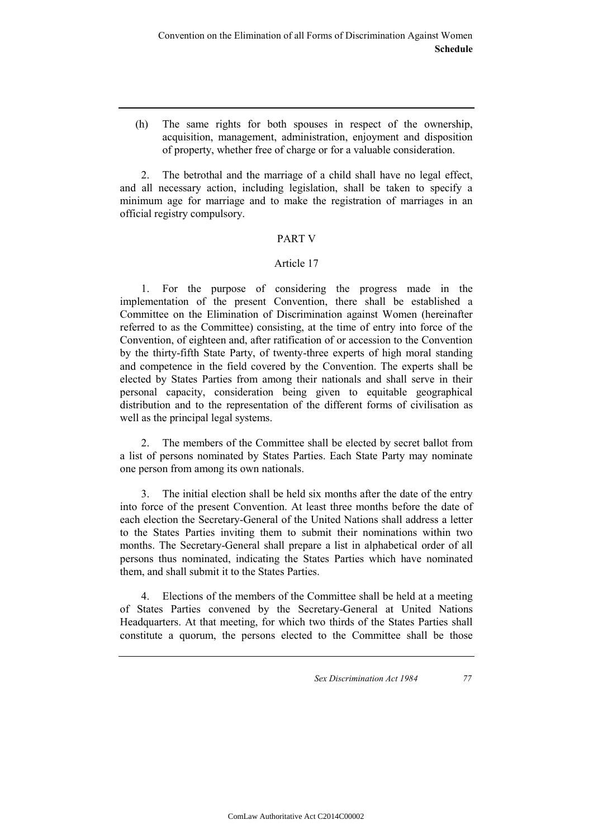(h) The same rights for both spouses in respect of the ownership, acquisition, management, administration, enjoyment and disposition of property, whether free of charge or for a valuable consideration.

2. The betrothal and the marriage of a child shall have no legal effect, and all necessary action, including legislation, shall be taken to specify a minimum age for marriage and to make the registration of marriages in an official registry compulsory.

#### PART V

#### Article 17

1. For the purpose of considering the progress made in the implementation of the present Convention, there shall be established a Committee on the Elimination of Discrimination against Women (hereinafter referred to as the Committee) consisting, at the time of entry into force of the Convention, of eighteen and, after ratification of or accession to the Convention by the thirty-fifth State Party, of twenty-three experts of high moral standing and competence in the field covered by the Convention. The experts shall be elected by States Parties from among their nationals and shall serve in their personal capacity, consideration being given to equitable geographical distribution and to the representation of the different forms of civilisation as well as the principal legal systems.

2. The members of the Committee shall be elected by secret ballot from a list of persons nominated by States Parties. Each State Party may nominate one person from among its own nationals.

3. The initial election shall be held six months after the date of the entry into force of the present Convention. At least three months before the date of each election the Secretary-General of the United Nations shall address a letter to the States Parties inviting them to submit their nominations within two months. The Secretary-General shall prepare a list in alphabetical order of all persons thus nominated, indicating the States Parties which have nominated them, and shall submit it to the States Parties.

4. Elections of the members of the Committee shall be held at a meeting of States Parties convened by the Secretary-General at United Nations Headquarters. At that meeting, for which two thirds of the States Parties shall constitute a quorum, the persons elected to the Committee shall be those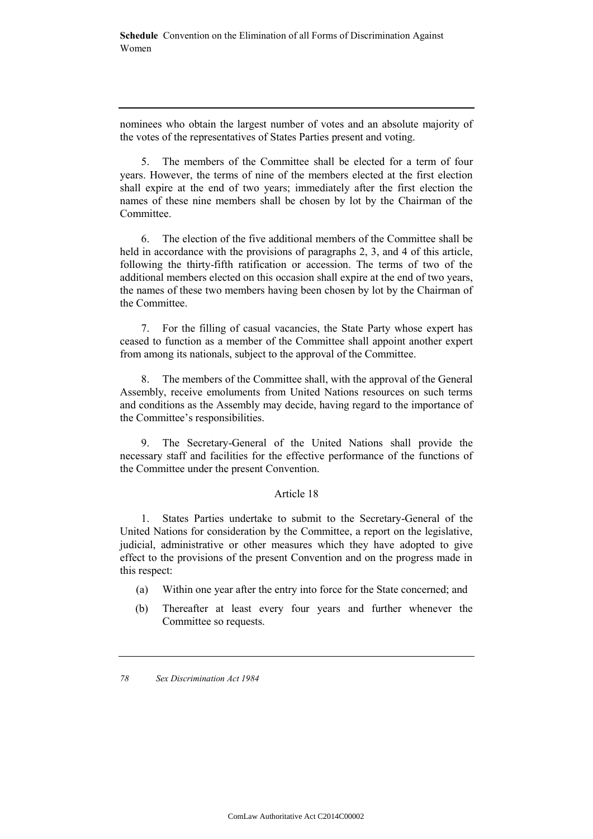nominees who obtain the largest number of votes and an absolute majority of the votes of the representatives of States Parties present and voting.

5. The members of the Committee shall be elected for a term of four years. However, the terms of nine of the members elected at the first election shall expire at the end of two years; immediately after the first election the names of these nine members shall be chosen by lot by the Chairman of the Committee.

6. The election of the five additional members of the Committee shall be held in accordance with the provisions of paragraphs 2, 3, and 4 of this article, following the thirty-fifth ratification or accession. The terms of two of the additional members elected on this occasion shall expire at the end of two years, the names of these two members having been chosen by lot by the Chairman of the Committee.

7. For the filling of casual vacancies, the State Party whose expert has ceased to function as a member of the Committee shall appoint another expert from among its nationals, subject to the approval of the Committee.

8. The members of the Committee shall, with the approval of the General Assembly, receive emoluments from United Nations resources on such terms and conditions as the Assembly may decide, having regard to the importance of the Committee's responsibilities.

9. The Secretary-General of the United Nations shall provide the necessary staff and facilities for the effective performance of the functions of the Committee under the present Convention.

#### Article 18

1. States Parties undertake to submit to the Secretary-General of the United Nations for consideration by the Committee, a report on the legislative, judicial, administrative or other measures which they have adopted to give effect to the provisions of the present Convention and on the progress made in this respect:

- (a) Within one year after the entry into force for the State concerned; and
- (b) Thereafter at least every four years and further whenever the Committee so requests.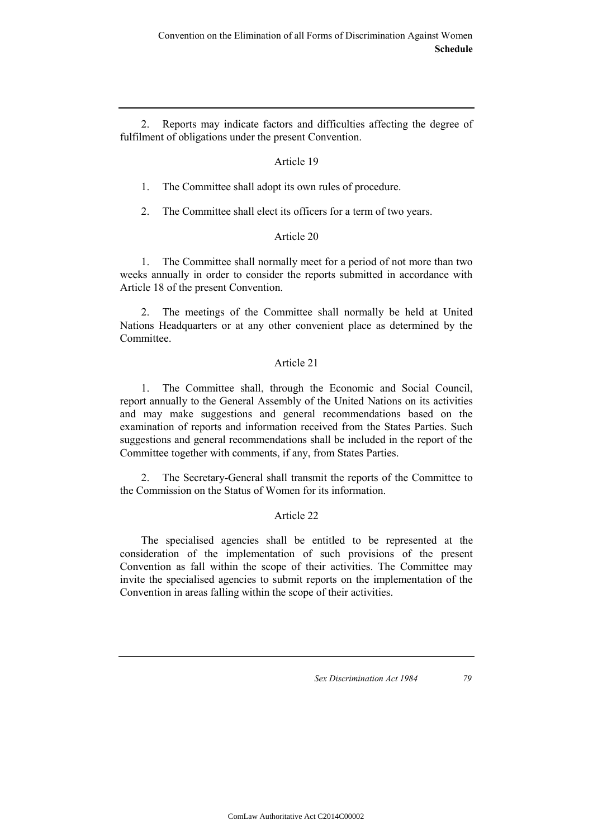2. Reports may indicate factors and difficulties affecting the degree of fulfilment of obligations under the present Convention.

## Article 19

1. The Committee shall adopt its own rules of procedure.

2. The Committee shall elect its officers for a term of two years.

## Article 20

1. The Committee shall normally meet for a period of not more than two weeks annually in order to consider the reports submitted in accordance with Article 18 of the present Convention.

2. The meetings of the Committee shall normally be held at United Nations Headquarters or at any other convenient place as determined by the Committee.

## Article 21

1. The Committee shall, through the Economic and Social Council, report annually to the General Assembly of the United Nations on its activities and may make suggestions and general recommendations based on the examination of reports and information received from the States Parties. Such suggestions and general recommendations shall be included in the report of the Committee together with comments, if any, from States Parties.

2. The Secretary-General shall transmit the reports of the Committee to the Commission on the Status of Women for its information.

# Article 22

The specialised agencies shall be entitled to be represented at the consideration of the implementation of such provisions of the present Convention as fall within the scope of their activities. The Committee may invite the specialised agencies to submit reports on the implementation of the Convention in areas falling within the scope of their activities.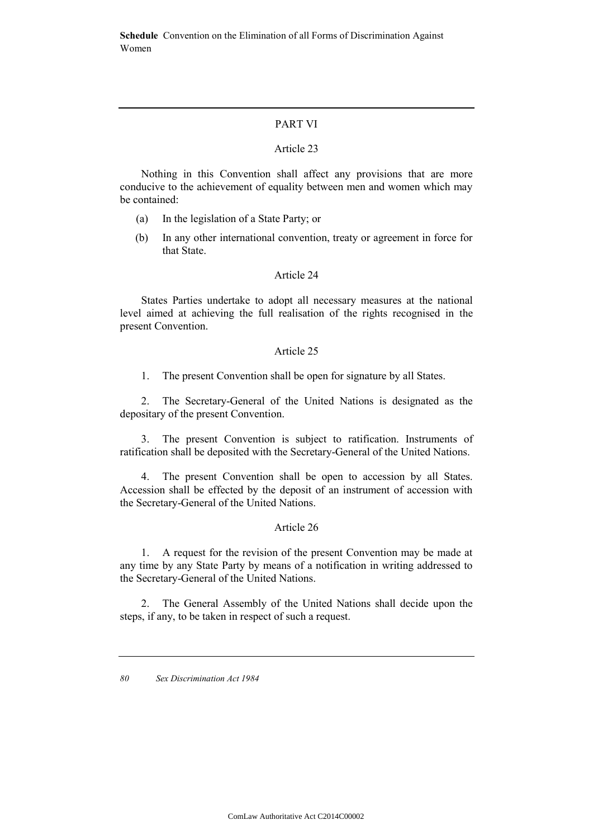#### PART VI

#### Article 23

Nothing in this Convention shall affect any provisions that are more conducive to the achievement of equality between men and women which may be contained:

- (a) In the legislation of a State Party; or
- (b) In any other international convention, treaty or agreement in force for that State.

#### Article 24

States Parties undertake to adopt all necessary measures at the national level aimed at achieving the full realisation of the rights recognised in the present Convention.

#### Article 25

1. The present Convention shall be open for signature by all States.

2. The Secretary-General of the United Nations is designated as the depositary of the present Convention.

3. The present Convention is subject to ratification. Instruments of ratification shall be deposited with the Secretary-General of the United Nations.

4. The present Convention shall be open to accession by all States. Accession shall be effected by the deposit of an instrument of accession with the Secretary-General of the United Nations.

#### Article 26

1. A request for the revision of the present Convention may be made at any time by any State Party by means of a notification in writing addressed to the Secretary-General of the United Nations.

2. The General Assembly of the United Nations shall decide upon the steps, if any, to be taken in respect of such a request.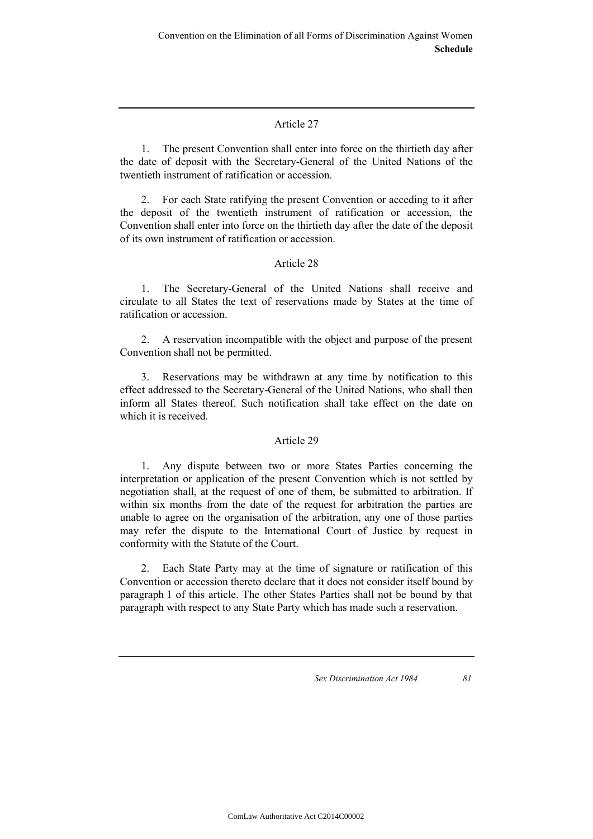# Article 27

1. The present Convention shall enter into force on the thirtieth day after the date of deposit with the Secretary-General of the United Nations of the twentieth instrument of ratification or accession.

2. For each State ratifying the present Convention or acceding to it after the deposit of the twentieth instrument of ratification or accession, the Convention shall enter into force on the thirtieth day after the date of the deposit of its own instrument of ratification or accession.

#### Article 28

1. The Secretary-General of the United Nations shall receive and circulate to all States the text of reservations made by States at the time of ratification or accession.

2. A reservation incompatible with the object and purpose of the present Convention shall not be permitted.

3. Reservations may be withdrawn at any time by notification to this effect addressed to the Secretary-General of the United Nations, who shall then inform all States thereof. Such notification shall take effect on the date on which it is received.

#### Article 29

1. Any dispute between two or more States Parties concerning the interpretation or application of the present Convention which is not settled by negotiation shall, at the request of one of them, be submitted to arbitration. If within six months from the date of the request for arbitration the parties are unable to agree on the organisation of the arbitration, any one of those parties may refer the dispute to the International Court of Justice by request in conformity with the Statute of the Court.

2. Each State Party may at the time of signature or ratification of this Convention or accession thereto declare that it does not consider itself bound by paragraph 1 of this article. The other States Parties shall not be bound by that paragraph with respect to any State Party which has made such a reservation.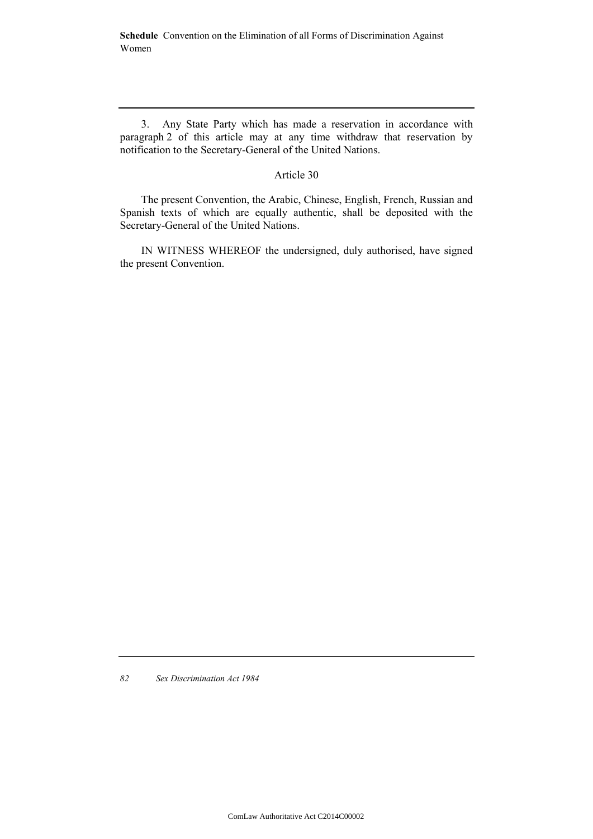**Schedule** Convention on the Elimination of all Forms of Discrimination Against Women

3. Any State Party which has made a reservation in accordance with paragraph 2 of this article may at any time withdraw that reservation by notification to the Secretary-General of the United Nations.

#### Article 30

The present Convention, the Arabic, Chinese, English, French, Russian and Spanish texts of which are equally authentic, shall be deposited with the Secretary-General of the United Nations.

IN WITNESS WHEREOF the undersigned, duly authorised, have signed the present Convention.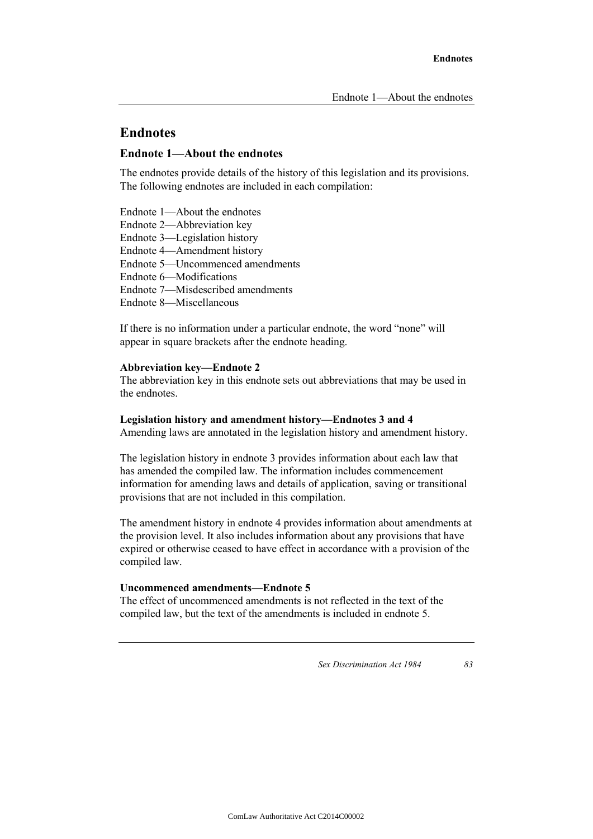#### **Endnote 1—About the endnotes**

The endnotes provide details of the history of this legislation and its provisions. The following endnotes are included in each compilation:

Endnote 1—About the endnotes

Endnote 2—Abbreviation key

Endnote 3—Legislation history

Endnote 4—Amendment history

Endnote 5—Uncommenced amendments

Endnote 6—Modifications

Endnote 7—Misdescribed amendments

Endnote 8—Miscellaneous

If there is no information under a particular endnote, the word "none" will appear in square brackets after the endnote heading.

#### **Abbreviation key—Endnote 2**

The abbreviation key in this endnote sets out abbreviations that may be used in the endnotes.

#### **Legislation history and amendment history—Endnotes 3 and 4**

Amending laws are annotated in the legislation history and amendment history.

The legislation history in endnote 3 provides information about each law that has amended the compiled law. The information includes commencement information for amending laws and details of application, saving or transitional provisions that are not included in this compilation.

The amendment history in endnote 4 provides information about amendments at the provision level. It also includes information about any provisions that have expired or otherwise ceased to have effect in accordance with a provision of the compiled law.

#### **Uncommenced amendments—Endnote 5**

The effect of uncommenced amendments is not reflected in the text of the compiled law, but the text of the amendments is included in endnote 5.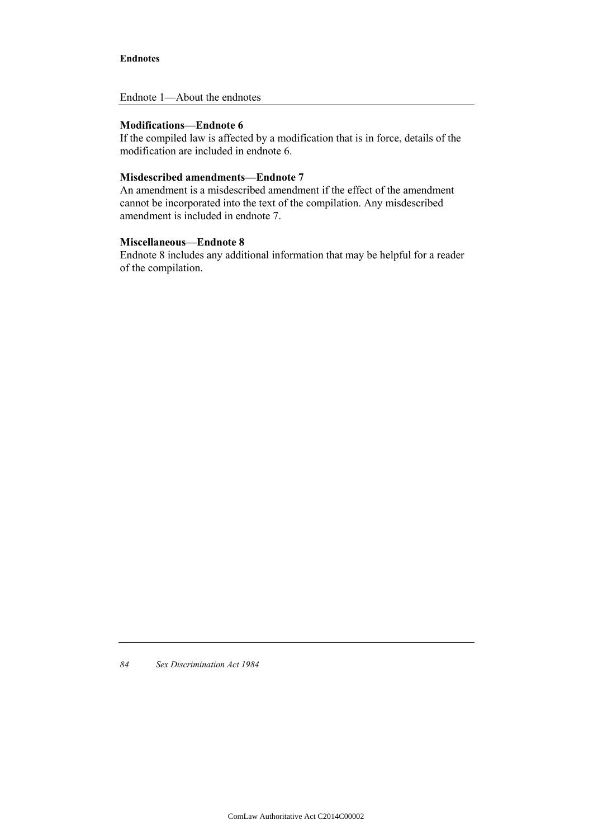Endnote 1—About the endnotes

#### **Modifications—Endnote 6**

If the compiled law is affected by a modification that is in force, details of the modification are included in endnote 6.

## **Misdescribed amendments—Endnote 7**

An amendment is a misdescribed amendment if the effect of the amendment cannot be incorporated into the text of the compilation. Any misdescribed amendment is included in endnote 7.

### **Miscellaneous—Endnote 8**

Endnote 8 includes any additional information that may be helpful for a reader of the compilation.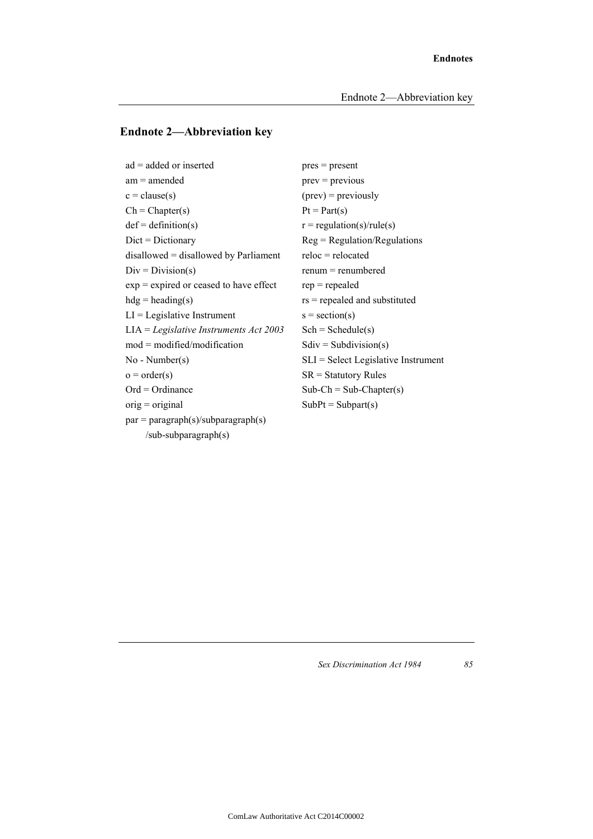# **Endnote 2—Abbreviation key**

| $ad = added or inserted$                 | $pres = present$                          |
|------------------------------------------|-------------------------------------------|
| $am = amended$                           | $prev = previous$                         |
| $c = clause(s)$                          | $(\text{prev})$ = previously              |
| $Ch = Chapter(s)$                        | $Pt = Part(s)$                            |
| $def = definition(s)$                    | $r = \text{regulation}(s)/\text{rule}(s)$ |
| $Dict = Dictionary$                      | $Reg = Regulation/Regularions$            |
| $disallowed = disallowed by Parliament$  | $reloc = relocated$                       |
| $Div = Division(s)$                      | $renum = renumbered$                      |
| $exp = expired$ or ceased to have effect | $rep = repeated$                          |
| $hdg = heading(s)$                       | $rs$ = repealed and substituted           |
| $LI =$ Legislative Instrument            | $s = section(s)$                          |
| $LIA = Legislative Instruments Act 2003$ | $Sch = Schedule(s)$                       |
| $mod = modified/modification$            | $Sdiv = Subdivision(s)$                   |
| $No$ - Number(s)                         | $SLI = Select$ Legislative Instrument     |
| $o = order(s)$                           | $SR =$ Statutory Rules                    |
| $Ord = Ordinance$                        | $Sub-Ch = Sub-Chapter(s)$                 |
| $orig = original$                        | $SubPt = Subpart(s)$                      |
| $par = paragraph(s)/subparagnh(s)$       |                                           |
| $sub-subparagnh(s)$                      |                                           |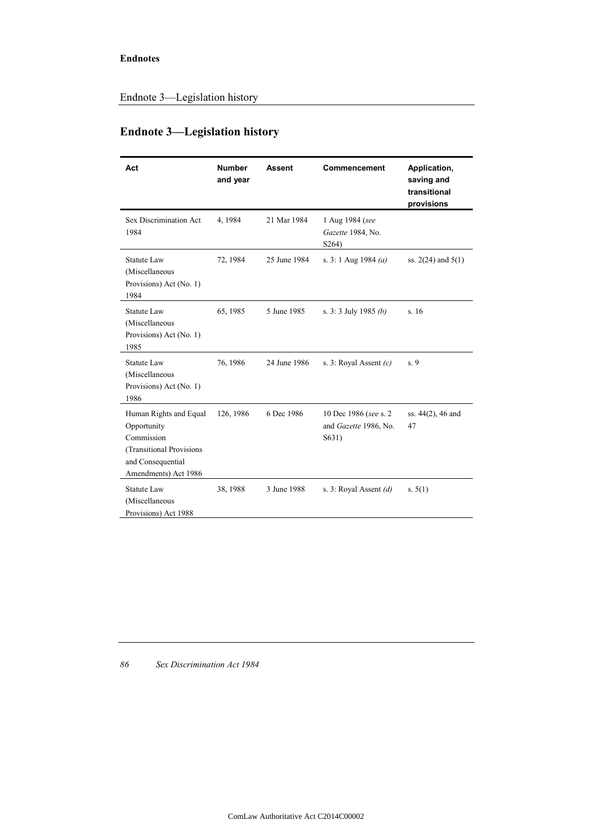| Act                                                                                                                          | <b>Number</b><br>and year | <b>Assent</b> | Commencement                                               | Application,<br>saving and<br>transitional<br>provisions |
|------------------------------------------------------------------------------------------------------------------------------|---------------------------|---------------|------------------------------------------------------------|----------------------------------------------------------|
| Sex Discrimination Act<br>1984                                                                                               | 4, 1984                   | 21 Mar 1984   | 1 Aug 1984 (see<br>Gazette 1984, No.<br>S <sub>264</sub> ) |                                                          |
| <b>Statute Law</b><br>(Miscellaneous<br>Provisions) Act (No. 1)<br>1984                                                      | 72, 1984                  | 25 June 1984  | s. 3: 1 Aug 1984 ( <i>a</i> )                              | ss. $2(24)$ and $5(1)$                                   |
| <b>Statute Law</b><br>(Miscellaneous<br>Provisions) Act (No. 1)<br>1985                                                      | 65, 1985                  | 5 June 1985   | s. 3: 3 July 1985 (b)                                      | s. 16                                                    |
| <b>Statute Law</b><br>(Miscellaneous<br>Provisions) Act (No. 1)<br>1986                                                      | 76, 1986                  | 24 June 1986  | s. 3: Royal Assent $(c)$                                   | s. 9                                                     |
| Human Rights and Equal<br>Opportunity<br>Commission<br>(Transitional Provisions<br>and Consequential<br>Amendments) Act 1986 | 126, 1986                 | 6 Dec 1986    | 10 Dec 1986 (see s. 2)<br>and Gazette 1986, No.<br>S631)   | ss. 44(2), 46 and<br>47                                  |
| <b>Statute Law</b><br>(Miscellaneous<br>Provisions) Act 1988                                                                 | 38, 1988                  | 3 June 1988   | s. 3: Royal Assent $(d)$                                   | s. $5(1)$                                                |

# **Endnote 3—Legislation history**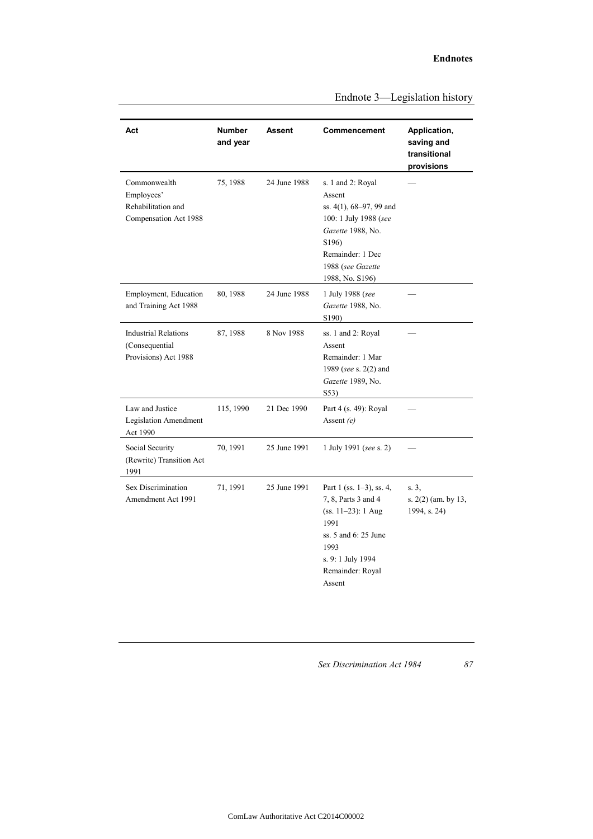| Act                                                                       | <b>Number</b><br>and year | <b>Assent</b> | Commencement                                                                                                                                                                         | Application,<br>saving and<br>transitional<br>provisions |
|---------------------------------------------------------------------------|---------------------------|---------------|--------------------------------------------------------------------------------------------------------------------------------------------------------------------------------------|----------------------------------------------------------|
| Commonwealth<br>Employees'<br>Rehabilitation and<br>Compensation Act 1988 | 75, 1988                  | 24 June 1988  | s. 1 and 2: Royal<br>Assent<br>ss. 4(1), 68-97, 99 and<br>100: 1 July 1988 (see<br>Gazette 1988, No.<br>S <sub>196</sub><br>Remainder: 1 Dec<br>1988 (see Gazette<br>1988, No. S196) |                                                          |
| Employment, Education<br>and Training Act 1988                            | 80, 1988                  | 24 June 1988  | 1 July 1988 (see<br>Gazette 1988, No.<br>S <sub>190</sub> )                                                                                                                          |                                                          |
| <b>Industrial Relations</b><br>(Consequential<br>Provisions) Act 1988     | 87, 1988                  | 8 Nov 1988    | ss. 1 and 2: Royal<br>Assent<br>Remainder: 1 Mar<br>1989 (see s. 2(2) and<br>Gazette 1989, No.<br>S53)                                                                               |                                                          |
| Law and Justice<br>Legislation Amendment<br>Act 1990                      | 115, 1990                 | 21 Dec 1990   | Part 4 (s. 49): Royal<br>Assent $(e)$                                                                                                                                                |                                                          |
| Social Security<br>(Rewrite) Transition Act<br>1991                       | 70, 1991                  | 25 June 1991  | 1 July 1991 (see s. 2)                                                                                                                                                               |                                                          |
| Sex Discrimination<br>Amendment Act 1991                                  | 71, 1991                  | 25 June 1991  | Part 1 (ss. $1-3$ ), ss. 4,<br>7, 8, Parts 3 and 4<br>$(ss. 11-23): 1 Aug$<br>1991<br>ss. 5 and 6: 25 June<br>1993<br>s. 9: 1 July 1994<br>Remainder: Royal<br>Assent                | s. 3,<br>s. $2(2)$ (am. by 13,<br>1994, s. 24)           |

Endnote 3—Legislation history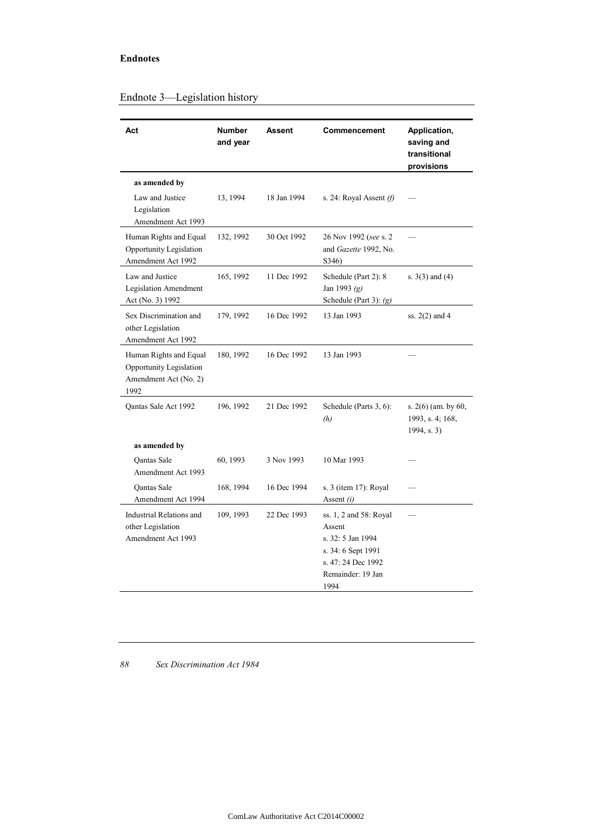| Act                                                                                | <b>Number</b><br>and year | <b>Assent</b> | Commencement                                                                                                                   | Application,<br>saving and<br>transitional<br>provisions |
|------------------------------------------------------------------------------------|---------------------------|---------------|--------------------------------------------------------------------------------------------------------------------------------|----------------------------------------------------------|
| as amended by                                                                      |                           |               |                                                                                                                                |                                                          |
| Law and Justice<br>Legislation<br>Amendment Act 1993                               | 13, 1994                  | 18 Jan 1994   | s. 24: Royal Assent $(f)$                                                                                                      |                                                          |
| Human Rights and Equal<br>Opportunity Legislation<br>Amendment Act 1992            | 132, 1992                 | 30 Oct 1992   | 26 Nov 1992 (see s. 2<br>and Gazette 1992, No.<br>S346)                                                                        |                                                          |
| Law and Justice<br>Legislation Amendment<br>Act (No. 3) 1992                       | 165, 1992                 | 11 Dec 1992   | Schedule (Part 2): 8<br>Jan 1993 (g)<br>Schedule (Part 3): $(g)$                                                               | s. $3(3)$ and $(4)$                                      |
| Sex Discrimination and<br>other Legislation<br>Amendment Act 1992                  | 179, 1992                 | 16 Dec 1992   | 13 Jan 1993                                                                                                                    | ss. $2(2)$ and 4                                         |
| Human Rights and Equal<br>Opportunity Legislation<br>Amendment Act (No. 2)<br>1992 | 180, 1992                 | 16 Dec 1992   | 13 Jan 1993                                                                                                                    |                                                          |
| Qantas Sale Act 1992                                                               | 196, 1992                 | 21 Dec 1992   | Schedule (Parts 3, 6):<br>(h)                                                                                                  | s. $2(6)$ (am. by 60,<br>1993, s. 4; 168,<br>1994, s. 3) |
| as amended by                                                                      |                           |               |                                                                                                                                |                                                          |
| <b>Oantas Sale</b><br>Amendment Act 1993                                           | 60, 1993                  | 3 Nov 1993    | 10 Mar 1993                                                                                                                    |                                                          |
| <b>Oantas Sale</b><br>Amendment Act 1994                                           | 168, 1994                 | 16 Dec 1994   | s. 3 (item 17): Royal<br>Assent $(i)$                                                                                          |                                                          |
| Industrial Relations and<br>other Legislation<br>Amendment Act 1993                | 109, 1993                 | 22 Dec 1993   | ss. 1, 2 and 58: Royal<br>Assent<br>s. 32: 5 Jan 1994<br>s. 34: 6 Sept 1991<br>s. 47: 24 Dec 1992<br>Remainder: 19 Jan<br>1994 |                                                          |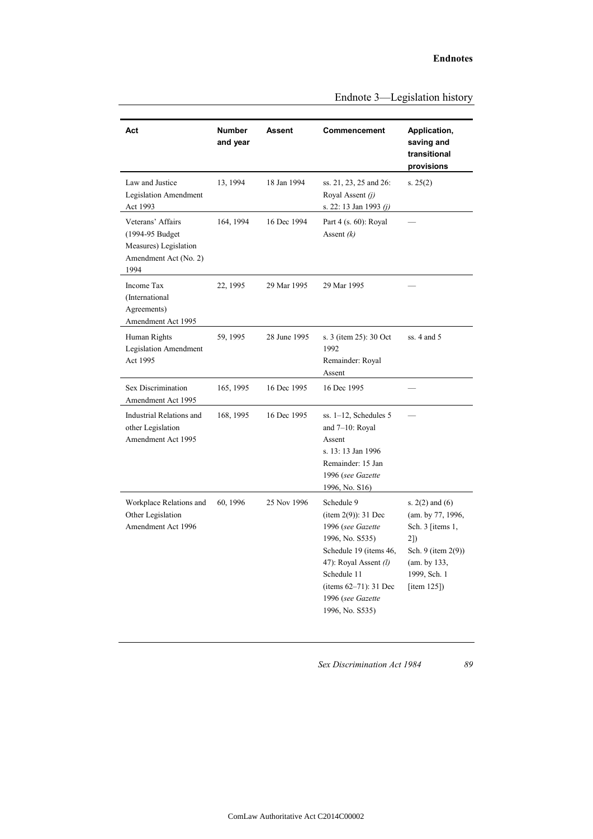| Act                                                                                            | <b>Number</b><br>and year | <b>Assent</b> | Commencement                                                                                                                                                                                                     | Application,<br>saving and<br>transitional<br>provisions                                                                                             |
|------------------------------------------------------------------------------------------------|---------------------------|---------------|------------------------------------------------------------------------------------------------------------------------------------------------------------------------------------------------------------------|------------------------------------------------------------------------------------------------------------------------------------------------------|
| Law and Justice<br><b>Legislation Amendment</b><br>Act 1993                                    | 13, 1994                  | 18 Jan 1994   | ss. 21, 23, 25 and 26:<br>Royal Assent (j)<br>s. 22: 13 Jan 1993 (j)                                                                                                                                             | s. $25(2)$                                                                                                                                           |
| Veterans' Affairs<br>(1994-95 Budget<br>Measures) Legislation<br>Amendment Act (No. 2)<br>1994 | 164, 1994                 | 16 Dec 1994   | Part 4 (s. 60): Royal<br>Assent $(k)$                                                                                                                                                                            |                                                                                                                                                      |
| Income Tax<br>(International<br>Agreements)<br>Amendment Act 1995                              | 22, 1995                  | 29 Mar 1995   | 29 Mar 1995                                                                                                                                                                                                      |                                                                                                                                                      |
| Human Rights<br>Legislation Amendment<br>Act 1995                                              | 59, 1995                  | 28 June 1995  | s. 3 (item 25): 30 Oct<br>1992<br>Remainder: Royal<br>Assent                                                                                                                                                     | ss. $4$ and $5$                                                                                                                                      |
| Sex Discrimination<br>Amendment Act 1995                                                       | 165, 1995                 | 16 Dec 1995   | 16 Dec 1995                                                                                                                                                                                                      |                                                                                                                                                      |
| Industrial Relations and<br>other Legislation<br>Amendment Act 1995                            | 168, 1995                 | 16 Dec 1995   | ss. $1-12$ , Schedules 5<br>and $7-10$ : Royal<br>Assent<br>s. 13:13 Jan 1996<br>Remainder: 15 Jan<br>1996 (see Gazette<br>1996, No. S16)                                                                        |                                                                                                                                                      |
| Workplace Relations and<br>Other Legislation<br>Amendment Act 1996                             | 60, 1996                  | 25 Nov 1996   | Schedule 9<br>$item 2(9)$ : 31 Dec<br>1996 (see Gazette<br>1996, No. S535)<br>Schedule 19 (items 46,<br>47): Royal Assent (1)<br>Schedule 11<br>(items $62-71$ ): 31 Dec<br>1996 (see Gazette<br>1996, No. S535) | s. $2(2)$ and $(6)$<br>(am. by 77, 1996,<br>Sch. 3 [items 1,<br>2 <sup>1</sup> )<br>Sch. 9 (item 2(9))<br>(am. by 133,<br>1999, Sch. 1<br>[item 125] |

Endnote 3—Legislation history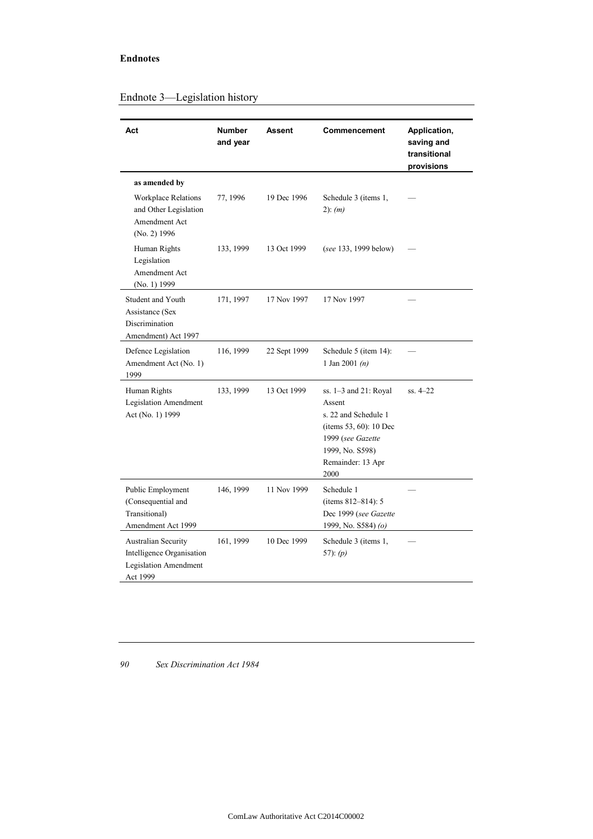# Endnote 3—Legislation history

| Act                                                                                   | <b>Number</b><br>and year | <b>Assent</b> | Commencement                                                                                                                                           | Application,<br>saving and<br>transitional<br>provisions |
|---------------------------------------------------------------------------------------|---------------------------|---------------|--------------------------------------------------------------------------------------------------------------------------------------------------------|----------------------------------------------------------|
| as amended by                                                                         |                           |               |                                                                                                                                                        |                                                          |
| <b>Workplace Relations</b><br>and Other Legislation<br>Amendment Act<br>(No. 2) 1996  | 77, 1996                  | 19 Dec 1996   | Schedule 3 (items 1,<br>$2)$ : $(m)$                                                                                                                   |                                                          |
| Human Rights<br>Legislation<br>Amendment Act<br>(No. 1) 1999                          | 133, 1999                 | 13 Oct 1999   | (see 133, 1999 below)                                                                                                                                  |                                                          |
| <b>Student and Youth</b><br>Assistance (Sex<br>Discrimination<br>Amendment) Act 1997  | 171, 1997                 | 17 Nov 1997   | 17 Nov 1997                                                                                                                                            |                                                          |
| Defence Legislation<br>Amendment Act (No. 1)<br>1999                                  | 116, 1999                 | 22 Sept 1999  | Schedule 5 (item 14):<br>1 Jan 2001 $(n)$                                                                                                              |                                                          |
| Human Rights<br><b>Legislation Amendment</b><br>Act (No. 1) 1999                      | 133, 1999                 | 13 Oct 1999   | ss. 1-3 and 21: Royal<br>Assent<br>s. 22 and Schedule 1<br>(items 53, 60): 10 Dec<br>1999 (see Gazette<br>1999, No. S598)<br>Remainder: 13 Apr<br>2000 | $ss. 4 - 22$                                             |
| Public Employment<br>(Consequential and<br>Transitional)<br>Amendment Act 1999        | 146, 1999                 | 11 Nov 1999   | Schedule 1<br>(items $812 - 814$ ): 5<br>Dec 1999 (see Gazette<br>1999, No. S584) (o)                                                                  |                                                          |
| Australian Security<br>Intelligence Organisation<br>Legislation Amendment<br>Act 1999 | 161, 1999                 | 10 Dec 1999   | Schedule 3 (items 1,<br>57): $(p)$                                                                                                                     |                                                          |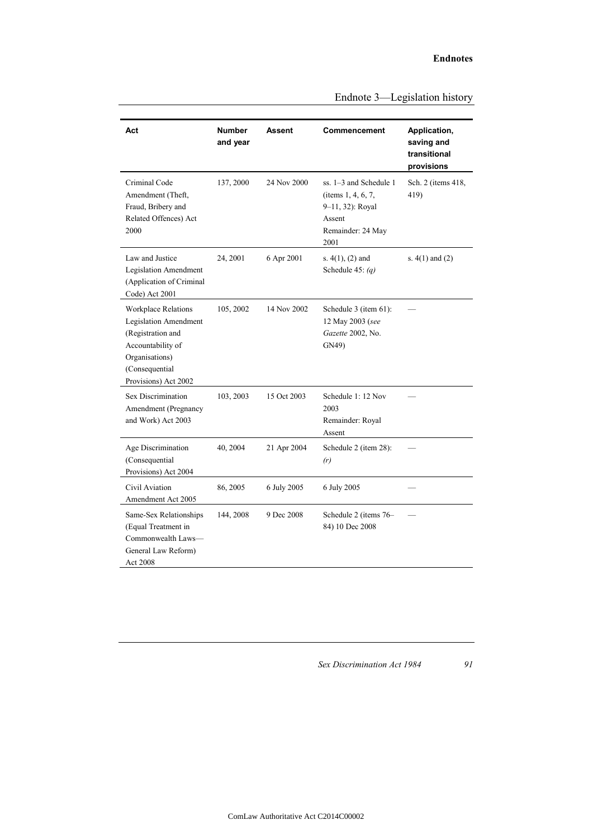| Act                                                                                                                                                       | <b>Number</b><br>and year | Assent      | Commencement                                                                                              | Application,<br>saving and<br>transitional<br>provisions |
|-----------------------------------------------------------------------------------------------------------------------------------------------------------|---------------------------|-------------|-----------------------------------------------------------------------------------------------------------|----------------------------------------------------------|
| Criminal Code<br>Amendment (Theft,<br>Fraud, Bribery and<br>Related Offences) Act<br>2000                                                                 | 137, 2000                 | 24 Nov 2000 | ss. $1-3$ and Schedule 1<br>(items 1, 4, 6, 7,<br>9-11, 32): Royal<br>Assent<br>Remainder: 24 May<br>2001 | Sch. 2 (items 418,<br>419)                               |
| Law and Justice<br>Legislation Amendment<br>(Application of Criminal<br>Code) Act 2001                                                                    | 24, 2001                  | 6 Apr 2001  | s. $4(1)$ , $(2)$ and<br>Schedule 45: $(q)$                                                               | s. $4(1)$ and $(2)$                                      |
| <b>Workplace Relations</b><br>Legislation Amendment<br>(Registration and<br>Accountability of<br>Organisations)<br>(Consequential<br>Provisions) Act 2002 | 105, 2002                 | 14 Nov 2002 | Schedule 3 (item 61):<br>12 May 2003 (see<br>Gazette 2002, No.<br>GN49)                                   |                                                          |
| Sex Discrimination<br>Amendment (Pregnancy<br>and Work) Act 2003                                                                                          | 103, 2003                 | 15 Oct 2003 | Schedule 1: 12 Nov<br>2003<br>Remainder: Royal<br>Assent                                                  |                                                          |
| Age Discrimination<br>(Consequential<br>Provisions) Act 2004                                                                                              | 40, 2004                  | 21 Apr 2004 | Schedule 2 (item 28):<br>(r)                                                                              |                                                          |
| Civil Aviation<br>Amendment Act 2005                                                                                                                      | 86, 2005                  | 6 July 2005 | 6 July 2005                                                                                               |                                                          |
| Same-Sex Relationships<br>(Equal Treatment in<br>Commonwealth Laws-<br>General Law Reform)<br>Act 2008                                                    | 144, 2008                 | 9 Dec 2008  | Schedule 2 (items 76-<br>84) 10 Dec 2008                                                                  |                                                          |

Endnote 3—Legislation history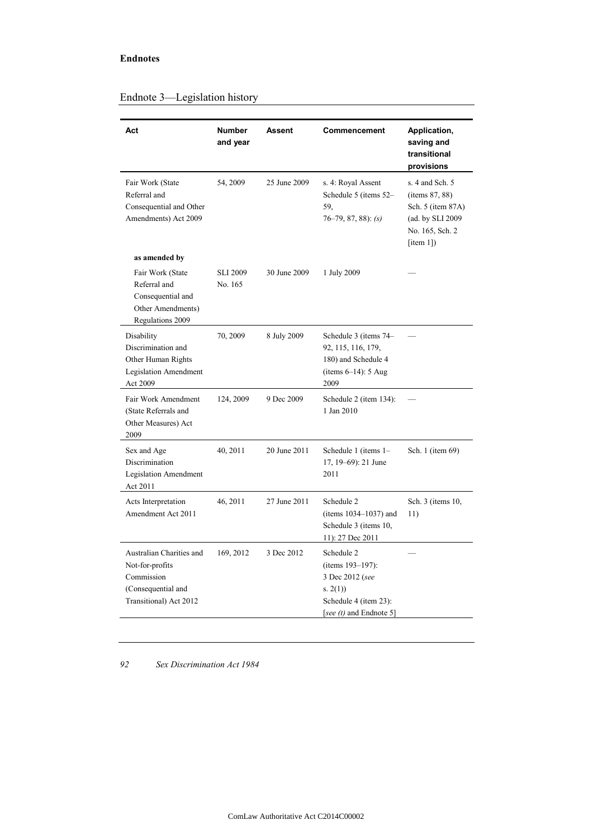| Act                                                                                                             | <b>Number</b><br>and year  | <b>Assent</b> | Commencement                                                                                                       | Application,<br>saving and<br>transitional<br>provisions                                                   |
|-----------------------------------------------------------------------------------------------------------------|----------------------------|---------------|--------------------------------------------------------------------------------------------------------------------|------------------------------------------------------------------------------------------------------------|
| Fair Work (State<br>Referral and<br>Consequential and Other<br>Amendments) Act 2009                             | 54, 2009                   | 25 June 2009  | s. 4: Royal Assent<br>Schedule 5 (items 52-<br>59,<br>$76-79, 87, 88$ : (s)                                        | s. 4 and Sch. 5<br>(items 87, 88)<br>Sch. 5 (item 87A)<br>(ad. by SLI 2009)<br>No. 165, Sch. 2<br>[item 1] |
| as amended by<br>Fair Work (State<br>Referral and<br>Consequential and<br>Other Amendments)<br>Regulations 2009 | <b>SLI 2009</b><br>No. 165 | 30 June 2009  | 1 July 2009                                                                                                        |                                                                                                            |
| Disability<br>Discrimination and<br>Other Human Rights<br>Legislation Amendment<br>Act 2009                     | 70, 2009                   | 8 July 2009   | Schedule 3 (items 74–<br>92, 115, 116, 179,<br>180) and Schedule 4<br>(items $6-14$ ): 5 Aug<br>2009               |                                                                                                            |
| Fair Work Amendment<br>(State Referrals and<br>Other Measures) Act<br>2009                                      | 124, 2009                  | 9 Dec 2009    | Schedule 2 (item 134):<br>1 Jan 2010                                                                               |                                                                                                            |
| Sex and Age<br>Discrimination<br>Legislation Amendment<br>Act 2011                                              | 40, 2011                   | 20 June 2011  | Schedule 1 (items 1-<br>17, 19–69): 21 June<br>2011                                                                | Sch. 1 (item 69)                                                                                           |
| Acts Interpretation<br>Amendment Act 2011                                                                       | 46, 2011                   | 27 June 2011  | Schedule 2<br>(items $1034 - 1037$ ) and<br>Schedule 3 (items 10,<br>11): 27 Dec 2011                              | Sch. 3 (items 10,<br>11)                                                                                   |
| Australian Charities and<br>Not-for-profits<br>Commission<br>(Consequential and<br>Transitional) Act 2012       | 169, 2012                  | 3 Dec 2012    | Schedule 2<br>(items 193-197):<br>3 Dec 2012 (see<br>s. 2(1)<br>Schedule 4 (item 23):<br>[see $(t)$ and Endnote 5] |                                                                                                            |

# Endnote 3—Legislation history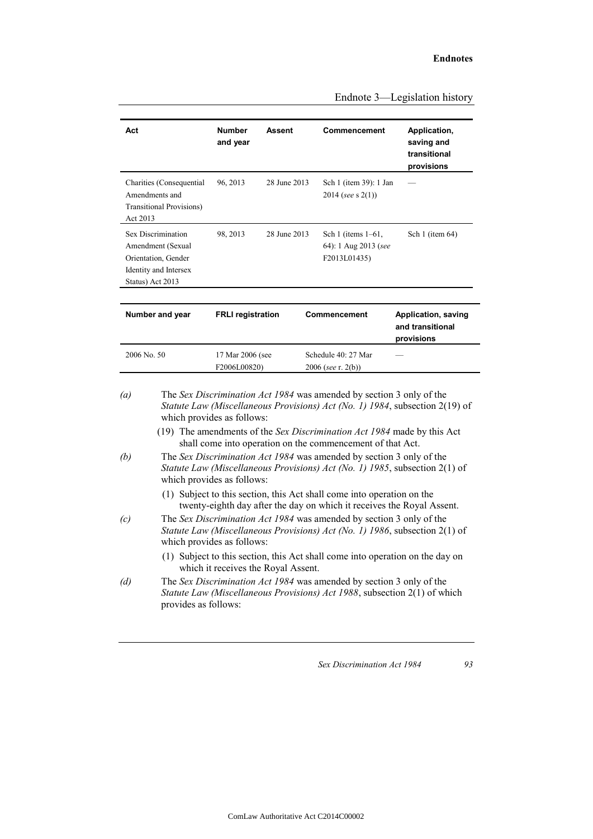| Act                                                                                                         | <b>Number</b><br>and year        | Assent       | Commencement                                                  | Application,<br>saving and<br>transitional<br>provisions |
|-------------------------------------------------------------------------------------------------------------|----------------------------------|--------------|---------------------------------------------------------------|----------------------------------------------------------|
| Charities (Consequential<br>Amendments and<br>Transitional Provisions)<br>Act 2013                          | 96, 2013                         | 28 June 2013 | Sch 1 (item 39): 1 Jan<br>$2014$ (see s $2(1)$ )              |                                                          |
| Sex Discrimination<br>Amendment (Sexual<br>Orientation, Gender<br>Identity and Intersex<br>Status) Act 2013 | 98, 2013                         | 28 June 2013 | Sch 1 (items $1-61$ ,<br>64): 1 Aug 2013 (see<br>F2013L01435) | Sch 1 (item 64)                                          |
| Number and year                                                                                             | <b>FRLI</b> registration         |              | Commencement                                                  | Application, saving<br>and transitional<br>provisions    |
| 2006 No. 50                                                                                                 | 17 Mar 2006 (see<br>F2006L00820) |              | Schedule 40: 27 Mar<br>$2006$ (see r. 2(b))                   |                                                          |

Endnote 3—Legislation history

- (19) The amendments of the *Sex Discrimination Act 1984* made by this Act shall come into operation on the commencement of that Act.
- *(b)* The *Sex Discrimination Act 1984* was amended by section 3 only of the *Statute Law (Miscellaneous Provisions) Act (No. 1) 1985*, subsection 2(1) of which provides as follows:
	- (1) Subject to this section, this Act shall come into operation on the twenty-eighth day after the day on which it receives the Royal Assent.
- *(c)* The *Sex Discrimination Act 1984* was amended by section 3 only of the *Statute Law (Miscellaneous Provisions) Act (No. 1) 1986*, subsection 2(1) of which provides as follows:
	- (1) Subject to this section, this Act shall come into operation on the day on which it receives the Royal Assent.
- *(d)* The *Sex Discrimination Act 1984* was amended by section 3 only of the *Statute Law (Miscellaneous Provisions) Act 1988*, subsection 2(1) of which provides as follows: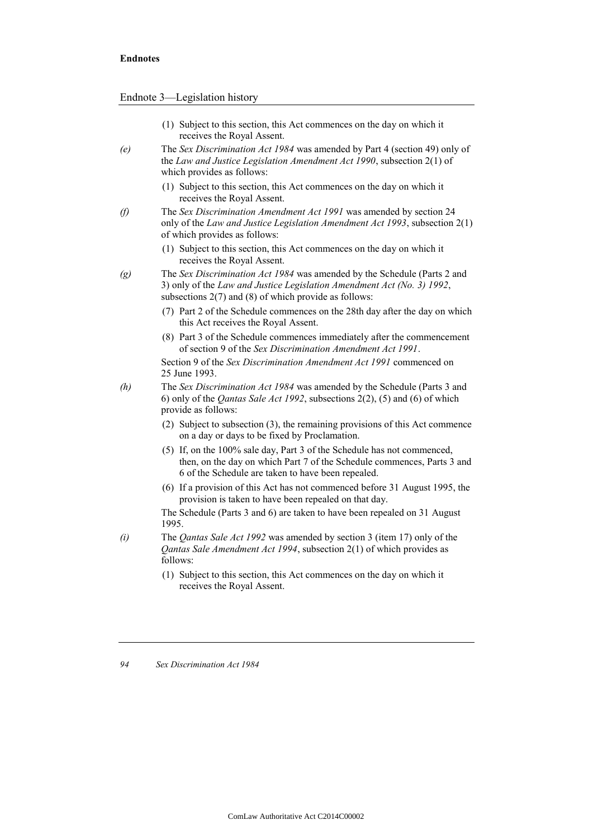#### Endnote 3—Legislation history

| (1) Subject to this section, this Act commences on the day on which it |
|------------------------------------------------------------------------|
| receives the Royal Assent.                                             |

- *(e)* The *Sex Discrimination Act 1984* was amended by Part 4 (section 49) only of the *Law and Justice Legislation Amendment Act 1990*, subsection 2(1) of which provides as follows:
	- (1) Subject to this section, this Act commences on the day on which it receives the Royal Assent.
- *(f)* The *Sex Discrimination Amendment Act 1991* was amended by section 24 only of the *Law and Justice Legislation Amendment Act 1993*, subsection 2(1) of which provides as follows:
	- (1) Subject to this section, this Act commences on the day on which it receives the Royal Assent.
- *(g)* The *Sex Discrimination Act 1984* was amended by the Schedule (Parts 2 and 3) only of the *Law and Justice Legislation Amendment Act (No. 3) 1992*, subsections 2(7) and (8) of which provide as follows:
	- (7) Part 2 of the Schedule commences on the 28th day after the day on which this Act receives the Royal Assent.
	- (8) Part 3 of the Schedule commences immediately after the commencement of section 9 of the *Sex Discrimination Amendment Act 1991*.

Section 9 of the *Sex Discrimination Amendment Act 1991* commenced on 25 June 1993.

- *(h)* The *Sex Discrimination Act 1984* was amended by the Schedule (Parts 3 and 6) only of the *Qantas Sale Act 1992*, subsections 2(2), (5) and (6) of which provide as follows:
	- (2) Subject to subsection (3), the remaining provisions of this Act commence on a day or days to be fixed by Proclamation.
	- (5) If, on the 100% sale day, Part 3 of the Schedule has not commenced, then, on the day on which Part 7 of the Schedule commences, Parts 3 and 6 of the Schedule are taken to have been repealed.
	- (6) If a provision of this Act has not commenced before 31 August 1995, the provision is taken to have been repealed on that day.

The Schedule (Parts 3 and 6) are taken to have been repealed on 31 August 1995.

- *(i)* The *Qantas Sale Act 1992* was amended by section 3 (item 17) only of the *Qantas Sale Amendment Act 1994*, subsection 2(1) of which provides as follows:
	- (1) Subject to this section, this Act commences on the day on which it receives the Royal Assent.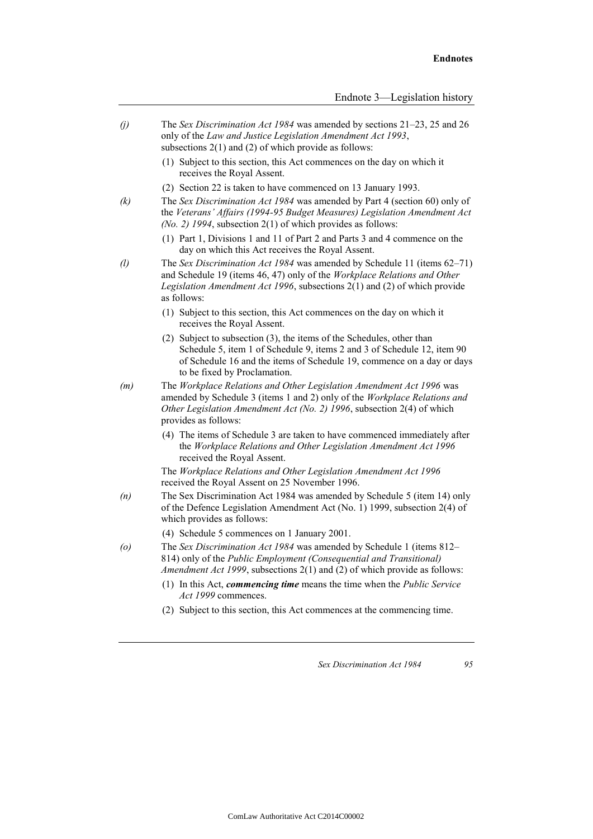- *(j)* The *Sex Discrimination Act 1984* was amended by sections 21–23, 25 and 26 only of the *Law and Justice Legislation Amendment Act 1993*, subsections  $2(1)$  and  $(2)$  of which provide as follows:
	- (1) Subject to this section, this Act commences on the day on which it receives the Royal Assent.
	- (2) Section 22 is taken to have commenced on 13 January 1993.
- *(k)* The *Sex Discrimination Act 1984* was amended by Part 4 (section 60) only of the *Veterans' Affairs (1994-95 Budget Measures) Legislation Amendment Act (No. 2) 1994*, subsection 2(1) of which provides as follows:
	- (1) Part 1, Divisions 1 and 11 of Part 2 and Parts 3 and 4 commence on the day on which this Act receives the Royal Assent.
- *(l)* The *Sex Discrimination Act 1984* was amended by Schedule 11 (items 62–71) and Schedule 19 (items 46, 47) only of the *Workplace Relations and Other Legislation Amendment Act 1996*, subsections 2(1) and (2) of which provide as follows:
	- (1) Subject to this section, this Act commences on the day on which it receives the Royal Assent.
	- (2) Subject to subsection (3), the items of the Schedules, other than Schedule 5, item 1 of Schedule 9, items 2 and 3 of Schedule 12, item 90 of Schedule 16 and the items of Schedule 19, commence on a day or days to be fixed by Proclamation.
- *(m)* The *Workplace Relations and Other Legislation Amendment Act 1996* was amended by Schedule 3 (items 1 and 2) only of the *Workplace Relations and Other Legislation Amendment Act (No. 2) 1996*, subsection 2(4) of which provides as follows:
	- (4) The items of Schedule 3 are taken to have commenced immediately after the *Workplace Relations and Other Legislation Amendment Act 1996* received the Royal Assent.

The *Workplace Relations and Other Legislation Amendment Act 1996* received the Royal Assent on 25 November 1996.

*(n)* The Sex Discrimination Act 1984 was amended by Schedule 5 (item 14) only of the Defence Legislation Amendment Act (No. 1) 1999, subsection 2(4) of which provides as follows:

(4) Schedule 5 commences on 1 January 2001.

- *(o)* The *Sex Discrimination Act 1984* was amended by Schedule 1 (items 812– 814) only of the *Public Employment (Consequential and Transitional) Amendment Act 1999*, subsections 2(1) and (2) of which provide as follows:
	- (1) In this Act, *commencing time* means the time when the *Public Service Act 1999* commences.
	- (2) Subject to this section, this Act commences at the commencing time.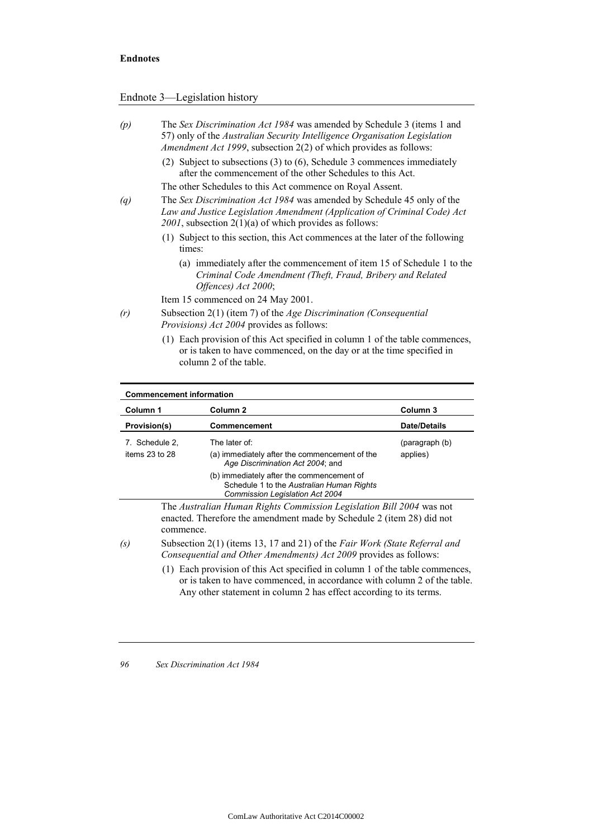#### Endnote 3—Legislation history

column 2 of the table.

| (p)               | The Sex Discrimination Act 1984 was amended by Schedule 3 (items 1 and<br>57) only of the Australian Security Intelligence Organisation Legislation<br><i>Amendment Act 1999</i> , subsection 2(2) of which provides as follows: |
|-------------------|----------------------------------------------------------------------------------------------------------------------------------------------------------------------------------------------------------------------------------|
|                   | (2) Subject to subsections $(3)$ to $(6)$ , Schedule 3 commences immediately<br>after the commencement of the other Schedules to this Act.                                                                                       |
|                   | The other Schedules to this Act commence on Royal Assent.                                                                                                                                                                        |
| $\left( q\right)$ | The Sex Discrimination Act 1984 was amended by Schedule 45 only of the<br>Law and Justice Legislation Amendment (Application of Criminal Code) Act<br>2001, subsection $2(1)(a)$ of which provides as follows:                   |
|                   | (1) Subject to this section, this Act commences at the later of the following<br>times:                                                                                                                                          |
|                   | (a) immediately after the commencement of item 15 of Schedule 1 to the<br>Criminal Code Amendment (Theft, Fraud, Bribery and Related<br>Offences) $Act$ 2000;                                                                    |
|                   | Item 15 commenced on 24 May 2001.                                                                                                                                                                                                |
| (r)               | Subsection 2(1) (item 7) of the Age Discrimination (Consequential<br>Provisions) Act 2004 provides as follows:                                                                                                                   |
|                   | (1) Each provision of this Act specified in column 1 of the table commences,<br>or is taken to have commenced, on the day or at the time specified in                                                                            |

**Commencement information Column 1 Column 2 Column 3 Provision(s) Commencement Date/Details** 7. Schedule 2, items 23 to 28 The later of: (a) immediately after the commencement of the *Age Discrimination Act 2004*; and (b) immediately after the commencement of Schedule 1 to the *Australian Human Rights Commission Legislation Act 2004* (paragraph (b) applies) The *Australian Human Rights Commission Legislation Bill 2004* was not enacted. Therefore the amendment made by Schedule 2 (item 28) did not commence. *(s)* Subsection 2(1) (items 13, 17 and 21) of the *Fair Work (State Referral and Consequential and Other Amendments) Act 2009* provides as follows: (1) Each provision of this Act specified in column 1 of the table commences, or is taken to have commenced, in accordance with column 2 of the table. Any other statement in column 2 has effect according to its terms.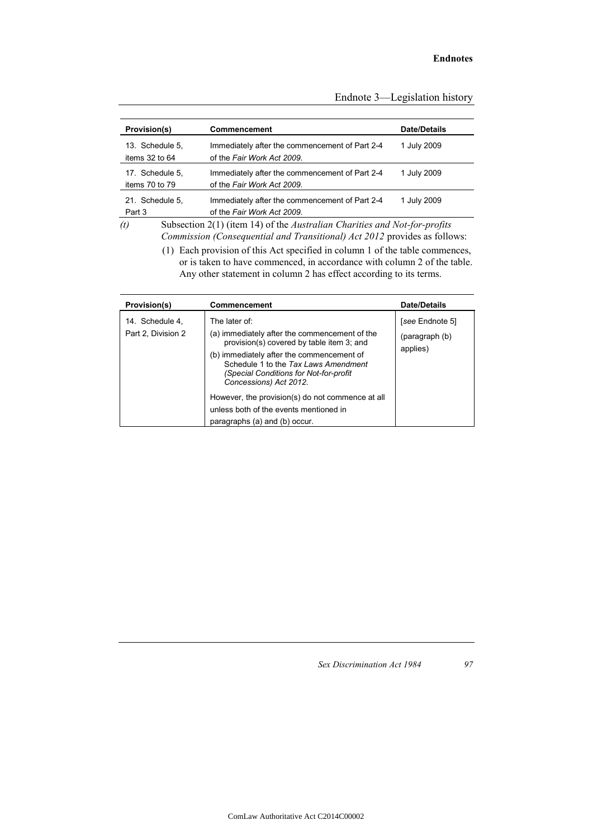| Provision(s)                      | Commencement                                                                 | <b>Date/Details</b> |
|-----------------------------------|------------------------------------------------------------------------------|---------------------|
| 13. Schedule 5,<br>items 32 to 64 | Immediately after the commencement of Part 2-4<br>of the Fair Work Act 2009. | 1 July 2009         |
| 17. Schedule 5.<br>items 70 to 79 | Immediately after the commencement of Part 2-4<br>of the Fair Work Act 2009. | 1 July 2009         |
| 21. Schedule 5.<br>Part 3         | Immediately after the commencement of Part 2-4<br>of the Fair Work Act 2009. | 1 July 2009         |
| (t)                               | Subsection $2(1)$ (item 14) of the Australian Charities and Not-for-profits  |                     |

Endnote 3—Legislation history

*Commission (Consequential and Transitional) Act 2012* provides as follows:

(1) Each provision of this Act specified in column 1 of the table commences, or is taken to have commenced, in accordance with column 2 of the table. Any other statement in column 2 has effect according to its terms.

| Provision(s)                          | Commencement                                                                                                                                          | <b>Date/Details</b>                           |
|---------------------------------------|-------------------------------------------------------------------------------------------------------------------------------------------------------|-----------------------------------------------|
| 14. Schedule 4,<br>Part 2, Division 2 | The later of:<br>(a) immediately after the commencement of the<br>provision(s) covered by table item 3; and                                           | [see Endnote 5]<br>(paragraph (b)<br>applies) |
|                                       | (b) immediately after the commencement of<br>Schedule 1 to the Tax Laws Amendment<br>(Special Conditions for Not-for-profit<br>Concessions) Act 2012. |                                               |
|                                       | However, the provision(s) do not commence at all                                                                                                      |                                               |
|                                       | unless both of the events mentioned in                                                                                                                |                                               |
|                                       | paragraphs (a) and (b) occur.                                                                                                                         |                                               |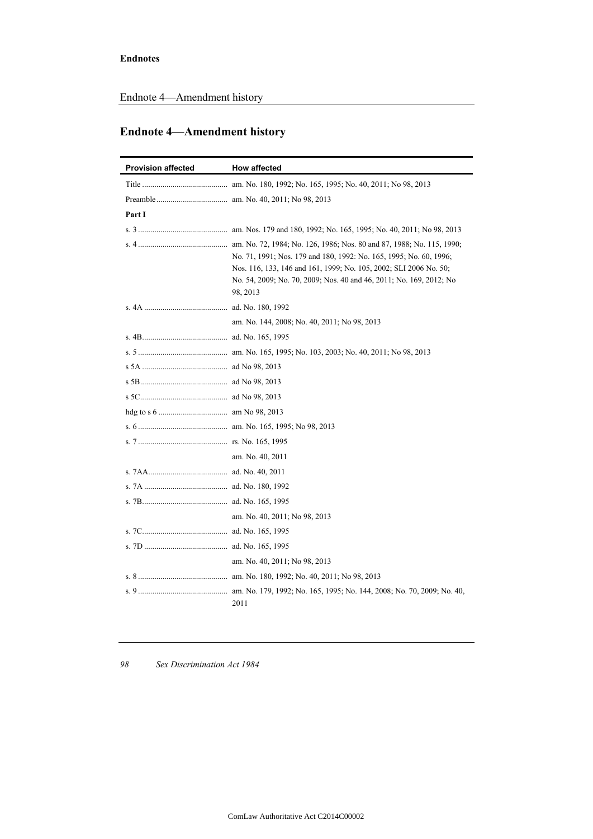# **Endnote 4—Amendment history**

| <b>Provision affected</b> | <b>How affected</b>                                                                                                                                                                                                        |
|---------------------------|----------------------------------------------------------------------------------------------------------------------------------------------------------------------------------------------------------------------------|
|                           |                                                                                                                                                                                                                            |
|                           |                                                                                                                                                                                                                            |
| Part I                    |                                                                                                                                                                                                                            |
|                           |                                                                                                                                                                                                                            |
|                           | No. 71, 1991; Nos. 179 and 180, 1992: No. 165, 1995; No. 60, 1996;<br>Nos. 116, 133, 146 and 161, 1999; No. 105, 2002; SLI 2006 No. 50;<br>No. 54, 2009; No. 70, 2009; Nos. 40 and 46, 2011; No. 169, 2012; No<br>98, 2013 |
|                           |                                                                                                                                                                                                                            |
|                           | am. No. 144, 2008; No. 40, 2011; No 98, 2013                                                                                                                                                                               |
|                           |                                                                                                                                                                                                                            |
|                           |                                                                                                                                                                                                                            |
|                           |                                                                                                                                                                                                                            |
|                           |                                                                                                                                                                                                                            |
|                           |                                                                                                                                                                                                                            |
|                           |                                                                                                                                                                                                                            |
|                           |                                                                                                                                                                                                                            |
|                           |                                                                                                                                                                                                                            |
|                           | am. No. 40, 2011                                                                                                                                                                                                           |
|                           |                                                                                                                                                                                                                            |
|                           |                                                                                                                                                                                                                            |
|                           |                                                                                                                                                                                                                            |
|                           | am. No. 40, 2011; No 98, 2013                                                                                                                                                                                              |
|                           |                                                                                                                                                                                                                            |
|                           |                                                                                                                                                                                                                            |
|                           | am. No. 40, 2011; No 98, 2013                                                                                                                                                                                              |
|                           |                                                                                                                                                                                                                            |
|                           | am. No. 179, 1992; No. 165, 1995; No. 144, 2008; No. 70, 2009; No. 40,<br>2011                                                                                                                                             |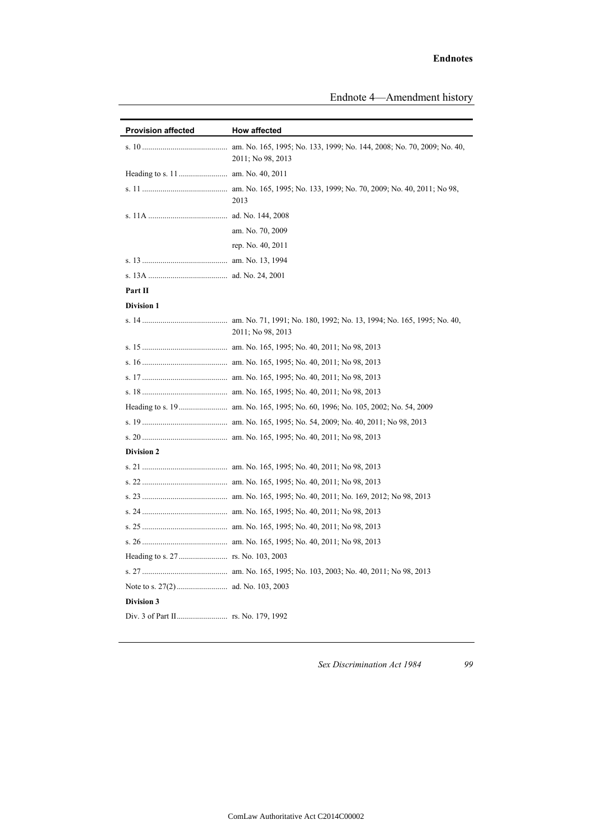Endnote 4—Amendment history

| <b>Provision affected</b> | <b>How affected</b> |
|---------------------------|---------------------|
|                           | 2011; No 98, 2013   |
|                           |                     |
|                           | 2013                |
|                           |                     |
|                           | am. No. 70, 2009    |
|                           | rep. No. 40, 2011   |
|                           |                     |
|                           |                     |
| Part II                   |                     |
| <b>Division 1</b>         |                     |
|                           | 2011; No 98, 2013   |
|                           |                     |
|                           |                     |
|                           |                     |
|                           |                     |
|                           |                     |
|                           |                     |
|                           |                     |
| <b>Division 2</b>         |                     |
|                           |                     |
|                           |                     |
|                           |                     |
|                           |                     |
|                           |                     |
|                           |                     |
|                           |                     |
|                           |                     |
|                           |                     |
| Division 3                |                     |
|                           |                     |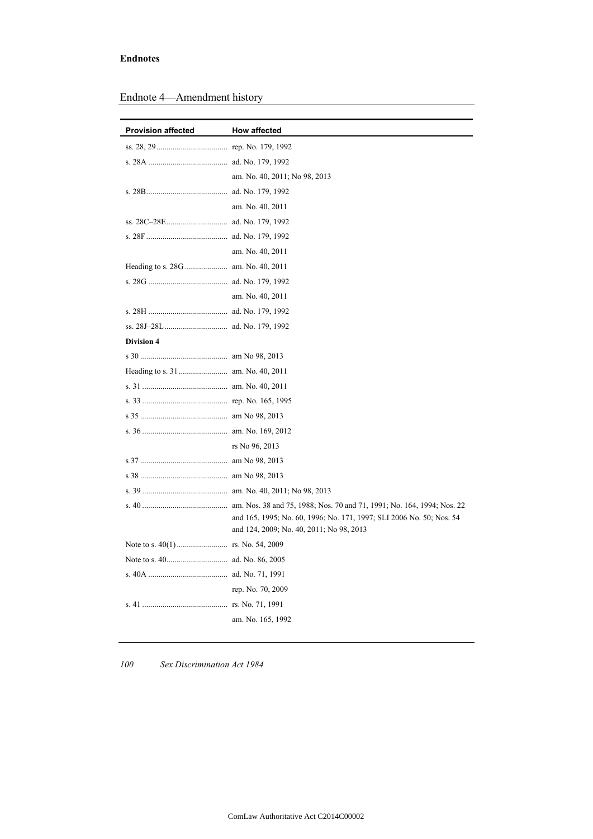# Endnote 4—Amendment history

| <b>Provision affected</b> | <b>How affected</b>                                                                                              |
|---------------------------|------------------------------------------------------------------------------------------------------------------|
|                           |                                                                                                                  |
|                           |                                                                                                                  |
|                           | am. No. 40, 2011; No 98, 2013                                                                                    |
|                           |                                                                                                                  |
|                           | am. No. 40, 2011                                                                                                 |
|                           |                                                                                                                  |
|                           |                                                                                                                  |
|                           | am. No. 40, 2011                                                                                                 |
|                           |                                                                                                                  |
|                           |                                                                                                                  |
|                           | am. No. 40, 2011                                                                                                 |
|                           |                                                                                                                  |
|                           |                                                                                                                  |
| <b>Division 4</b>         |                                                                                                                  |
|                           |                                                                                                                  |
|                           |                                                                                                                  |
|                           |                                                                                                                  |
|                           |                                                                                                                  |
|                           |                                                                                                                  |
|                           |                                                                                                                  |
|                           | rs No 96, 2013                                                                                                   |
|                           |                                                                                                                  |
|                           |                                                                                                                  |
|                           |                                                                                                                  |
|                           | and 165, 1995; No. 60, 1996; No. 171, 1997; SLI 2006 No. 50; Nos. 54<br>and 124, 2009; No. 40, 2011; No 98, 2013 |
|                           |                                                                                                                  |
|                           |                                                                                                                  |
|                           |                                                                                                                  |
|                           | rep. No. 70, 2009                                                                                                |
|                           |                                                                                                                  |
|                           | am. No. 165, 1992                                                                                                |
|                           |                                                                                                                  |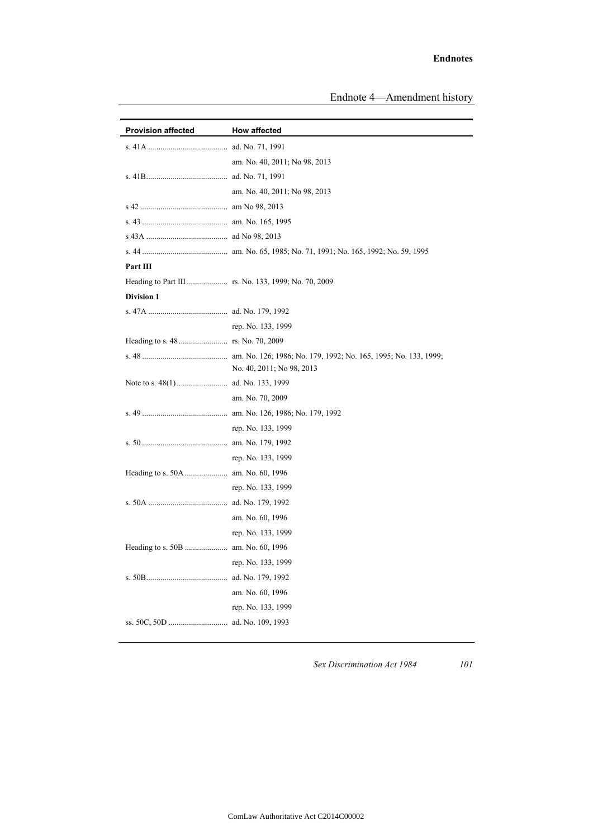|  | Endnote 4—Amendment history |  |
|--|-----------------------------|--|
|--|-----------------------------|--|

| <b>Provision affected</b> | <b>How affected</b>                                  |
|---------------------------|------------------------------------------------------|
|                           |                                                      |
|                           | am. No. 40, 2011; No 98, 2013                        |
|                           |                                                      |
|                           | am. No. 40, 2011; No 98, 2013                        |
|                           |                                                      |
|                           |                                                      |
|                           |                                                      |
|                           |                                                      |
| Part III                  |                                                      |
|                           | Heading to Part III  rs. No. 133, 1999; No. 70, 2009 |
| <b>Division 1</b>         |                                                      |
|                           |                                                      |
|                           | rep. No. 133, 1999                                   |
|                           |                                                      |
|                           | No. 40, 2011; No 98, 2013                            |
|                           |                                                      |
|                           | am. No. 70, 2009                                     |
|                           |                                                      |
|                           | rep. No. 133, 1999                                   |
|                           |                                                      |
|                           | rep. No. 133, 1999                                   |
|                           |                                                      |
|                           | rep. No. 133, 1999                                   |
|                           |                                                      |
|                           | am. No. 60, 1996                                     |
|                           | rep. No. 133, 1999                                   |
|                           |                                                      |
|                           | rep. No. 133, 1999                                   |
|                           |                                                      |
|                           | am. No. 60, 1996                                     |
|                           | rep. No. 133, 1999                                   |
|                           |                                                      |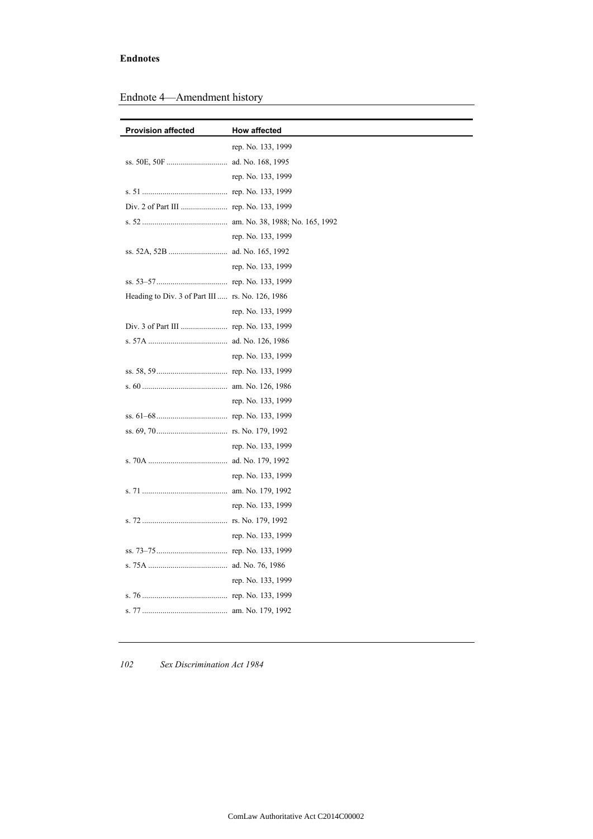# Endnote 4—Amendment history

| <b>Provision affected</b>                        | <b>How affected</b> |
|--------------------------------------------------|---------------------|
|                                                  | rep. No. 133, 1999  |
|                                                  |                     |
|                                                  | rep. No. 133, 1999  |
|                                                  |                     |
|                                                  |                     |
|                                                  |                     |
|                                                  | rep. No. 133, 1999  |
|                                                  |                     |
|                                                  | rep. No. 133, 1999  |
|                                                  |                     |
| Heading to Div. 3 of Part III  rs. No. 126, 1986 |                     |
|                                                  | rep. No. 133, 1999  |
|                                                  |                     |
|                                                  |                     |
|                                                  | rep. No. 133, 1999  |
|                                                  |                     |
|                                                  |                     |
|                                                  | rep. No. 133, 1999  |
|                                                  |                     |
|                                                  |                     |
|                                                  | rep. No. 133, 1999  |
|                                                  |                     |
|                                                  | rep. No. 133, 1999  |
|                                                  |                     |
|                                                  | rep. No. 133, 1999  |
|                                                  |                     |
|                                                  | rep. No. 133, 1999  |
|                                                  |                     |
|                                                  |                     |
|                                                  | rep. No. 133, 1999  |
|                                                  |                     |
|                                                  |                     |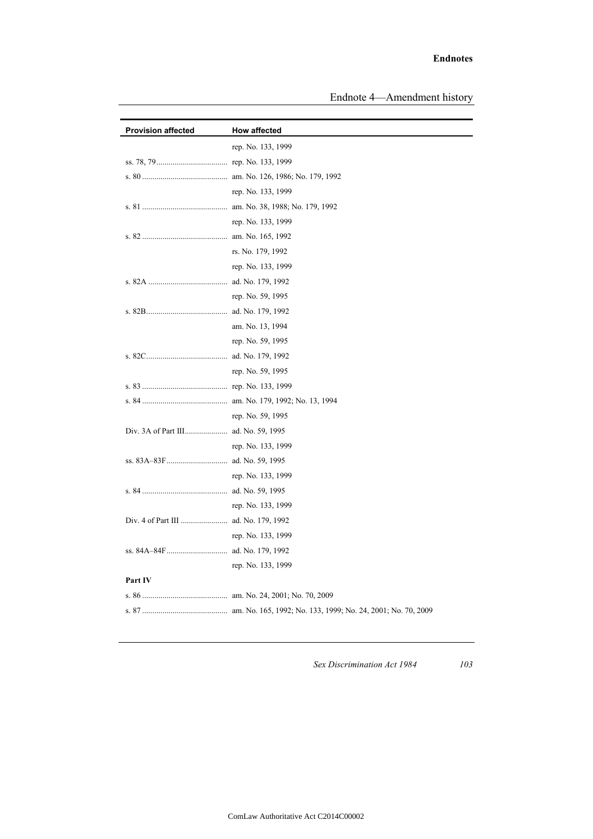#### **Endnotes**

|  | Endnote 4—Amendment history |  |
|--|-----------------------------|--|
|--|-----------------------------|--|

| <b>Provision affected</b> | <b>How affected</b> |
|---------------------------|---------------------|
|                           | rep. No. 133, 1999  |
|                           |                     |
|                           |                     |
|                           | rep. No. 133, 1999  |
|                           |                     |
|                           | rep. No. 133, 1999  |
|                           |                     |
|                           | rs. No. 179, 1992   |
|                           | rep. No. 133, 1999  |
|                           |                     |
|                           | rep. No. 59, 1995   |
|                           |                     |
|                           | am. No. 13, 1994    |
|                           | rep. No. 59, 1995   |
|                           |                     |
|                           | rep. No. 59, 1995   |
|                           |                     |
|                           |                     |
|                           | rep. No. 59, 1995   |
|                           |                     |
|                           | rep. No. 133, 1999  |
|                           |                     |
|                           | rep. No. 133, 1999  |
|                           |                     |
|                           | rep. No. 133, 1999  |
|                           |                     |
|                           | rep. No. 133, 1999  |
|                           |                     |
|                           | rep. No. 133, 1999  |
| Part IV                   |                     |
|                           |                     |
|                           |                     |

*Sex Discrimination Act 1984 103*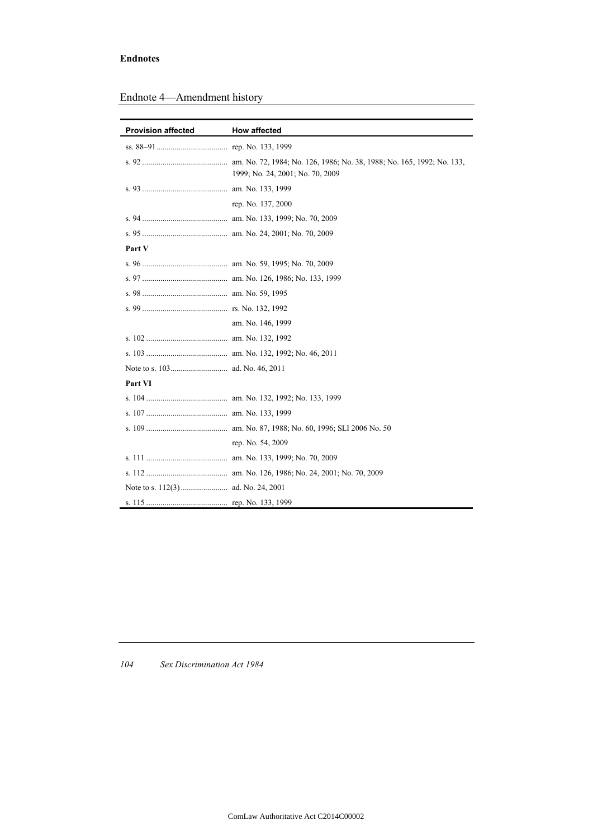## **Endnotes**

# Endnote 4—Amendment history

| <b>Provision affected</b> | How affected                     |
|---------------------------|----------------------------------|
|                           |                                  |
|                           | 1999; No. 24, 2001; No. 70, 2009 |
|                           |                                  |
|                           | rep. No. 137, 2000               |
|                           |                                  |
|                           |                                  |
| Part V                    |                                  |
|                           |                                  |
|                           |                                  |
|                           |                                  |
|                           |                                  |
|                           | am. No. 146, 1999                |
|                           |                                  |
|                           |                                  |
|                           |                                  |
| Part VI                   |                                  |
|                           |                                  |
|                           |                                  |
|                           |                                  |
|                           | rep. No. 54, 2009                |
|                           |                                  |
|                           |                                  |
|                           |                                  |
|                           |                                  |

*104 Sex Discrimination Act 1984*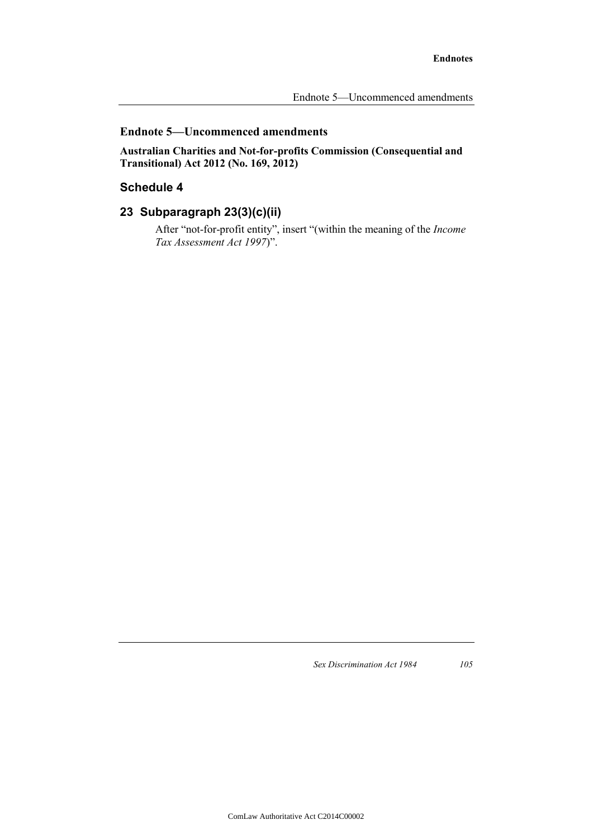### **Endnote 5—Uncommenced amendments**

**Australian Charities and Not-for-profits Commission (Consequential and Transitional) Act 2012 (No. 169, 2012)**

## **Schedule 4**

# **23 Subparagraph 23(3)(c)(ii)**

After "not-for-profit entity", insert "(within the meaning of the *Income* Tax Assessment Act 1997)".

*Sex Discrimination Act 1984 105*